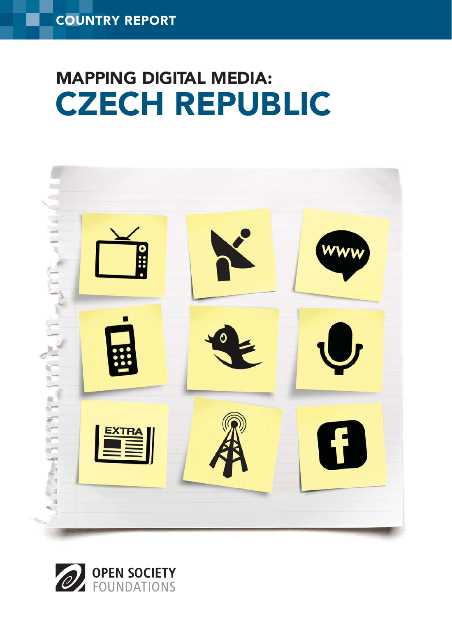# CZECH REPUBLIC MAPPING DIGITAL MEDIA:



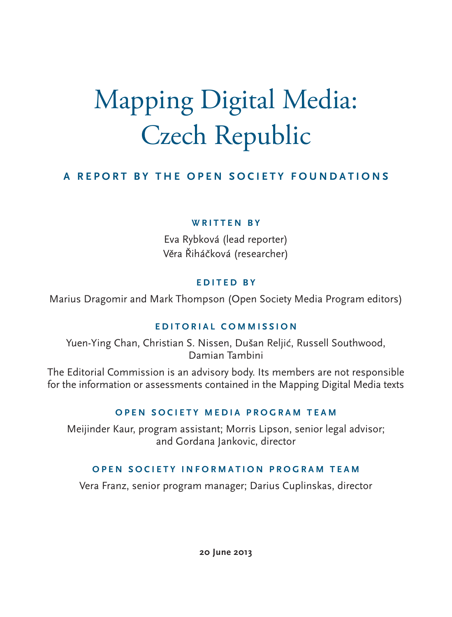# Mapping Digital Media: Czech Republic

#### **A REPORT BY THE OPEN SOCIETY FOUNDATIONS**

#### **WRITTEN BY**

Eva Rybková (lead reporter) Věra Řiháčková (researcher)

#### **EDITED BY**

Marius Dragomir and Mark Thompson (Open Society Media Program editors)

#### **EDITORIAL COMMISSION**

Yuen-Ying Chan, Christian S. Nissen, Dušan Reljić, Russell Southwood, Damian Tambini

The Editorial Commission is an advisory body. Its members are not responsible for the information or assessments contained in the Mapping Digital Media texts

#### **OPEN SOCIETY MEDIA PROGRAM TEAM**

Meijinder Kaur, program assistant; Morris Lipson, senior legal advisor; and Gordana Jankovic, director

#### **OPEN SOCIETY INFORMATION PROGRAM TEAM**

Vera Franz, senior program manager; Darius Cuplinskas, director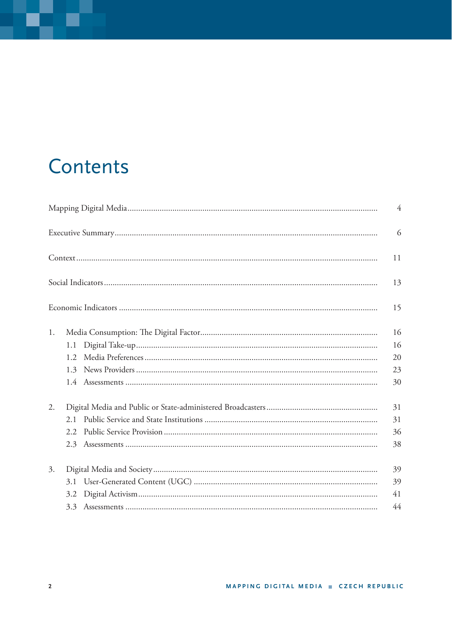### Contents

|    |      | $\overline{4}$ |
|----|------|----------------|
|    |      | 6              |
|    |      | 11             |
|    |      | 13             |
|    |      | 15             |
| 1. |      | 16             |
|    | 1.1  | 16             |
|    | 1.2. | 20             |
|    | 1.3  | 23             |
|    |      | 30             |
| 2. |      | 31             |
|    | 2.1  | 31             |
|    | 2.2  | 36             |
|    | 2.3  | 38             |
| 3. |      | 39             |
|    | 3.1  | 39             |
|    | 3.2  | 41             |
|    | 3.3  | 44             |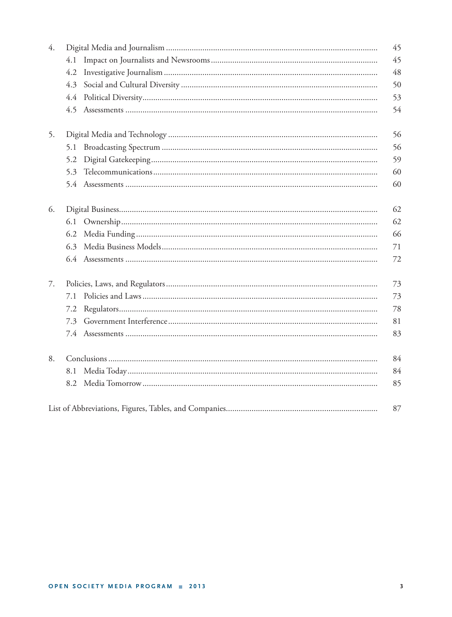| $\overline{4}$ . |     | 45 |
|------------------|-----|----|
|                  | 4.1 | 45 |
|                  | 4.2 | 48 |
|                  | 4.3 | 50 |
|                  | 4.4 | 53 |
|                  |     | 54 |
| 5.               |     | 56 |
|                  | 5.1 | 56 |
|                  | 5.2 | 59 |
|                  | 5.3 | 60 |
|                  |     | 60 |
| 6.               |     | 62 |
|                  | 6.1 | 62 |
|                  | 6.2 | 66 |
|                  | 6.3 | 71 |
|                  |     | 72 |
| 7.               |     | 73 |
|                  | 7.1 | 73 |
|                  | 7.2 | 78 |
|                  | 7.3 | 81 |
|                  |     | 83 |
| 8.               |     | 84 |
|                  | 8.1 | 84 |
|                  | 8.2 | 85 |
|                  |     | 87 |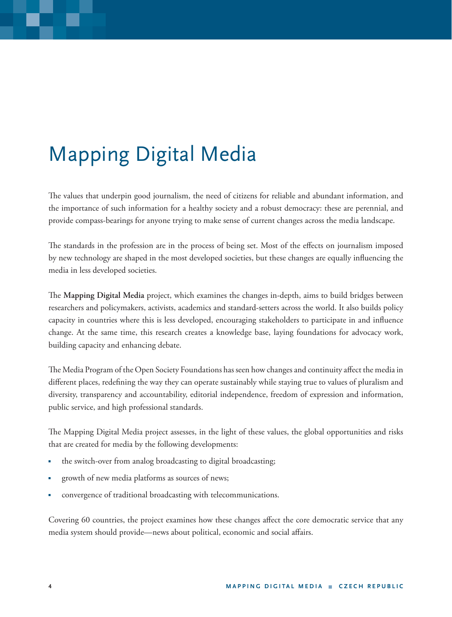## Mapping Digital Media

The values that underpin good journalism, the need of citizens for reliable and abundant information, and the importance of such information for a healthy society and a robust democracy: these are perennial, and provide compass-bearings for anyone trying to make sense of current changes across the media landscape.

The standards in the profession are in the process of being set. Most of the effects on journalism imposed by new technology are shaped in the most developed societies, but these changes are equally influencing the media in less developed societies.

The Mapping Digital Media project, which examines the changes in-depth, aims to build bridges between researchers and policymakers, activists, academics and standard-setters across the world. It also builds policy capacity in countries where this is less developed, encouraging stakeholders to participate in and influence change. At the same time, this research creates a knowledge base, laying foundations for advocacy work, building capacity and enhancing debate.

The Media Program of the Open Society Foundations has seen how changes and continuity affect the media in different places, redefining the way they can operate sustainably while staying true to values of pluralism and diversity, transparency and accountability, editorial independence, freedom of expression and information, public service, and high professional standards.

The Mapping Digital Media project assesses, in the light of these values, the global opportunities and risks that are created for media by the following developments:

- the switch-over from analog broadcasting to digital broadcasting;
- growth of new media platforms as sources of news;
- convergence of traditional broadcasting with telecommunications.

Covering 60 countries, the project examines how these changes affect the core democratic service that any media system should provide—news about political, economic and social affairs.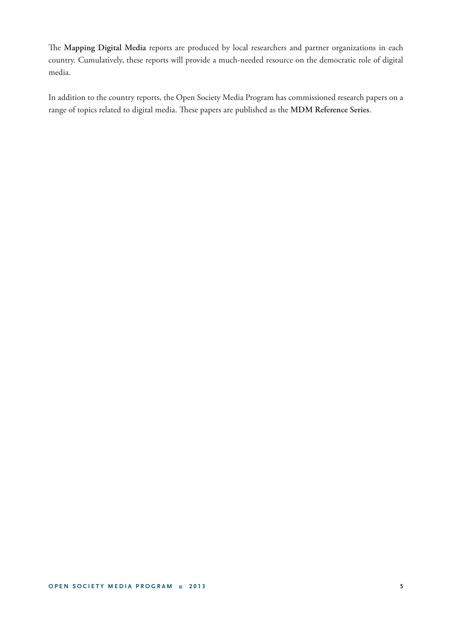The Mapping Digital Media reports are produced by local researchers and partner organizations in each country. Cumulatively, these reports will provide a much-needed resource on the democratic role of digital media.

In addition to the country reports, the Open Society Media Program has commissioned research papers on a range of topics related to digital media. These papers are published as the MDM Reference Series.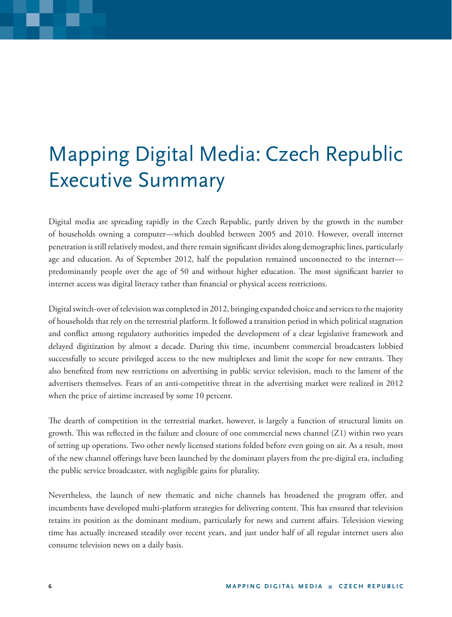### Mapping Digital Media: Czech Republic Executive Summary

Digital media are spreading rapidly in the Czech Republic, partly driven by the growth in the number of households owning a computer—which doubled between 2005 and 2010. However, overall internet penetration is still relatively modest, and there remain significant divides along demographic lines, particularly age and education. As of September 2012, half the population remained unconnected to the internet predominantly people over the age of 50 and without higher education. The most significant barrier to internet access was digital literacy rather than financial or physical access restrictions.

Digital switch-over of television was completed in 2012, bringing expanded choice and services to the majority of households that rely on the terrestrial platform. It followed a transition period in which political stagnation and conflict among regulatory authorities impeded the development of a clear legislative framework and delayed digitization by almost a decade. During this time, incumbent commercial broadcasters lobbied successfully to secure privileged access to the new multiplexes and limit the scope for new entrants. They also benefited from new restrictions on advertising in public service television, much to the lament of the advertisers themselves. Fears of an anti-competitive threat in the advertising market were realized in 2012 when the price of airtime increased by some 10 percent.

The dearth of competition in the terrestrial market, however, is largely a function of structural limits on growth. This was reflected in the failure and closure of one commercial news channel (Z1) within two years of setting up operations. Two other newly licensed stations folded before even going on air. As a result, most of the new channel offerings have been launched by the dominant players from the pre-digital era, including the public service broadcaster, with negligible gains for plurality.

Nevertheless, the launch of new thematic and niche channels has broadened the program offer, and incumbents have developed multi-platform strategies for delivering content. This has ensured that television retains its position as the dominant medium, particularly for news and current affairs. Television viewing time has actually increased steadily over recent years, and just under half of all regular internet users also consume television news on a daily basis.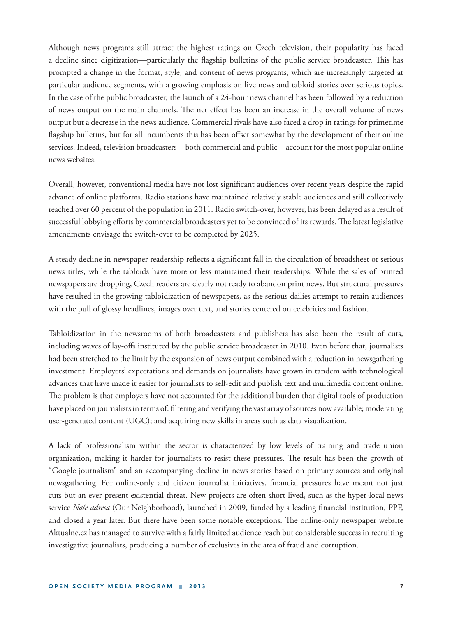Although news programs still attract the highest ratings on Czech television, their popularity has faced a decline since digitization—particularly the flagship bulletins of the public service broadcaster. This has prompted a change in the format, style, and content of news programs, which are increasingly targeted at particular audience segments, with a growing emphasis on live news and tabloid stories over serious topics. In the case of the public broadcaster, the launch of a 24-hour news channel has been followed by a reduction of news output on the main channels. The net effect has been an increase in the overall volume of news output but a decrease in the news audience. Commercial rivals have also faced a drop in ratings for primetime flagship bulletins, but for all incumbents this has been offset somewhat by the development of their online services. Indeed, television broadcasters—both commercial and public—account for the most popular online news websites.

Overall, however, conventional media have not lost significant audiences over recent years despite the rapid advance of online platforms. Radio stations have maintained relatively stable audiences and still collectively reached over 60 percent of the population in 2011. Radio switch-over, however, has been delayed as a result of successful lobbying efforts by commercial broadcasters yet to be convinced of its rewards. The latest legislative amendments envisage the switch-over to be completed by 2025.

A steady decline in newspaper readership reflects a significant fall in the circulation of broadsheet or serious news titles, while the tabloids have more or less maintained their readerships. While the sales of printed newspapers are dropping, Czech readers are clearly not ready to abandon print news. But structural pressures have resulted in the growing tabloidization of newspapers, as the serious dailies attempt to retain audiences with the pull of glossy headlines, images over text, and stories centered on celebrities and fashion.

Tabloidization in the newsrooms of both broadcasters and publishers has also been the result of cuts, including waves of lay-offs instituted by the public service broadcaster in 2010. Even before that, journalists had been stretched to the limit by the expansion of news output combined with a reduction in newsgathering investment. Employers' expectations and demands on journalists have grown in tandem with technological advances that have made it easier for journalists to self-edit and publish text and multimedia content online. The problem is that employers have not accounted for the additional burden that digital tools of production have placed on journalists in terms of: filtering and verifying the vast array of sources now available; moderating user-generated content (UGC); and acquiring new skills in areas such as data visualization.

A lack of professionalism within the sector is characterized by low levels of training and trade union organization, making it harder for journalists to resist these pressures. The result has been the growth of "Google journalism" and an accompanying decline in news stories based on primary sources and original newsgathering. For online-only and citizen journalist initiatives, financial pressures have meant not just cuts but an ever-present existential threat. New projects are often short lived, such as the hyper-local news service *Naše adresa* (Our Neighborhood), launched in 2009, funded by a leading financial institution, PPF, and closed a year later. But there have been some notable exceptions. The online-only newspaper website Aktualne.cz has managed to survive with a fairly limited audience reach but considerable success in recruiting investigative journalists, producing a number of exclusives in the area of fraud and corruption.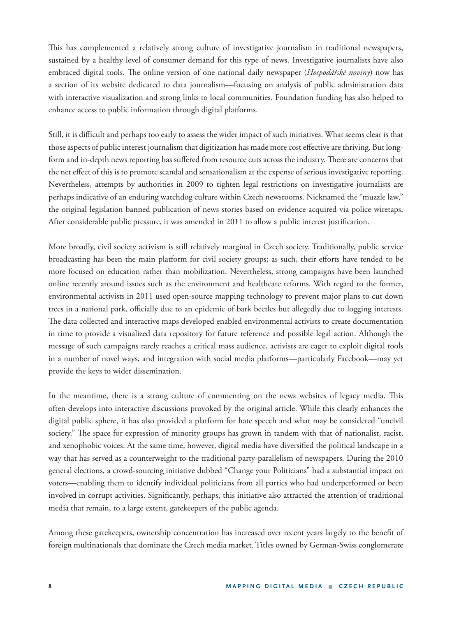This has complemented a relatively strong culture of investigative journalism in traditional newspapers, sustained by a healthy level of consumer demand for this type of news. Investigative journalists have also embraced digital tools. The online version of one national daily newspaper (*Hospodářské noviny*) now has a section of its website dedicated to data journalism—focusing on analysis of public administration data with interactive visualization and strong links to local communities. Foundation funding has also helped to enhance access to public information through digital platforms.

Still, it is difficult and perhaps too early to assess the wider impact of such initiatives. What seems clear is that those aspects of public interest journalism that digitization has made more cost effective are thriving. But longform and in-depth news reporting has suffered from resource cuts across the industry. There are concerns that the net effect of this is to promote scandal and sensationalism at the expense of serious investigative reporting. Nevertheless, attempts by authorities in 2009 to tighten legal restrictions on investigative journalists are perhaps indicative of an enduring watchdog culture within Czech newsrooms. Nicknamed the "muzzle law," the original legislation banned publication of news stories based on evidence acquired via police wiretaps. After considerable public pressure, it was amended in 2011 to allow a public interest justification.

More broadly, civil society activism is still relatively marginal in Czech society. Traditionally, public service broadcasting has been the main platform for civil society groups; as such, their efforts have tended to be more focused on education rather than mobilization. Nevertheless, strong campaigns have been launched online recently around issues such as the environment and healthcare reforms. With regard to the former, environmental activists in 2011 used open-source mapping technology to prevent major plans to cut down trees in a national park, officially due to an epidemic of bark beetles but allegedly due to logging interests. The data collected and interactive maps developed enabled environmental activists to create documentation in time to provide a visualized data repository for future reference and possible legal action. Although the message of such campaigns rarely reaches a critical mass audience, activists are eager to exploit digital tools in a number of novel ways, and integration with social media platforms—particularly Facebook—may yet provide the keys to wider dissemination.

In the meantime, there is a strong culture of commenting on the news websites of legacy media. This often develops into interactive discussions provoked by the original article. While this clearly enhances the digital public sphere, it has also provided a platform for hate speech and what may be considered "uncivil society." The space for expression of minority groups has grown in tandem with that of nationalist, racist, and xenophobic voices. At the same time, however, digital media have diversified the political landscape in a way that has served as a counterweight to the traditional party-parallelism of newspapers. During the 2010 general elections, a crowd-sourcing initiative dubbed "Change your Politicians" had a substantial impact on voters—enabling them to identify individual politicians from all parties who had underperformed or been involved in corrupt activities. Significantly, perhaps, this initiative also attracted the attention of traditional media that remain, to a large extent, gatekeepers of the public agenda.

Among these gatekeepers, ownership concentration has increased over recent years largely to the benefit of foreign multinationals that dominate the Czech media market. Titles owned by German-Swiss conglomerate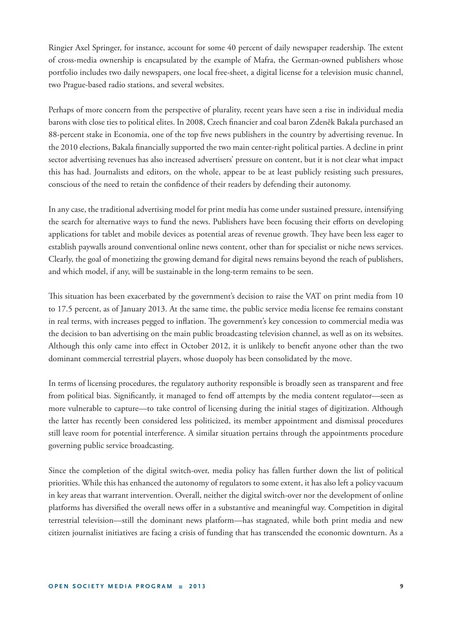Ringier Axel Springer, for instance, account for some 40 percent of daily newspaper readership. The extent of cross-media ownership is encapsulated by the example of Mafra, the German-owned publishers whose portfolio includes two daily newspapers, one local free-sheet, a digital license for a television music channel, two Prague-based radio stations, and several websites.

Perhaps of more concern from the perspective of plurality, recent years have seen a rise in individual media barons with close ties to political elites. In 2008, Czech financier and coal baron Zdeněk Bakala purchased an 88-percent stake in Economia, one of the top five news publishers in the country by advertising revenue. In the 2010 elections, Bakala financially supported the two main center-right political parties. A decline in print sector advertising revenues has also increased advertisers' pressure on content, but it is not clear what impact this has had. Journalists and editors, on the whole, appear to be at least publicly resisting such pressures, conscious of the need to retain the confidence of their readers by defending their autonomy.

In any case, the traditional advertising model for print media has come under sustained pressure, intensifying the search for alternative ways to fund the news. Publishers have been focusing their efforts on developing applications for tablet and mobile devices as potential areas of revenue growth. They have been less eager to establish paywalls around conventional online news content, other than for specialist or niche news services. Clearly, the goal of monetizing the growing demand for digital news remains beyond the reach of publishers, and which model, if any, will be sustainable in the long-term remains to be seen.

This situation has been exacerbated by the government's decision to raise the VAT on print media from 10 to 17.5 percent, as of January 2013. At the same time, the public service media license fee remains constant in real terms, with increases pegged to inflation. The government's key concession to commercial media was the decision to ban advertising on the main public broadcasting television channel, as well as on its websites. Although this only came into effect in October 2012, it is unlikely to benefit anyone other than the two dominant commercial terrestrial players, whose duopoly has been consolidated by the move.

In terms of licensing procedures, the regulatory authority responsible is broadly seen as transparent and free from political bias. Significantly, it managed to fend off attempts by the media content regulator—seen as more vulnerable to capture—to take control of licensing during the initial stages of digitization. Although the latter has recently been considered less politicized, its member appointment and dismissal procedures still leave room for potential interference. A similar situation pertains through the appointments procedure governing public service broadcasting.

Since the completion of the digital switch-over, media policy has fallen further down the list of political priorities. While this has enhanced the autonomy of regulators to some extent, it has also left a policy vacuum in key areas that warrant intervention. Overall, neither the digital switch-over nor the development of online platforms has diversified the overall news offer in a substantive and meaningful way. Competition in digital terrestrial television—still the dominant news platform—has stagnated, while both print media and new citizen journalist initiatives are facing a crisis of funding that has transcended the economic downturn. As a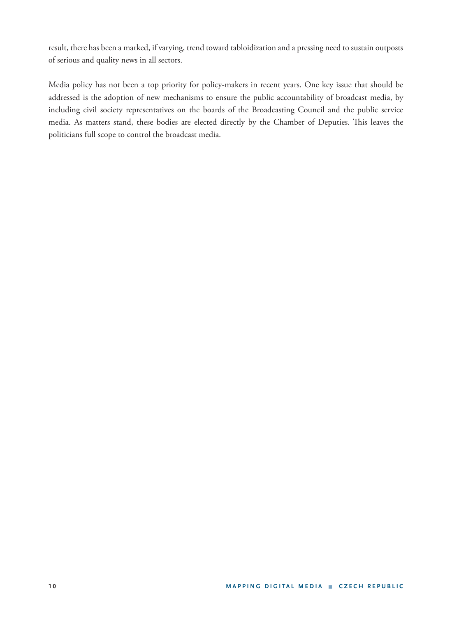result, there has been a marked, if varying, trend toward tabloidization and a pressing need to sustain outposts of serious and quality news in all sectors.

Media policy has not been a top priority for policy-makers in recent years. One key issue that should be addressed is the adoption of new mechanisms to ensure the public accountability of broadcast media, by including civil society representatives on the boards of the Broadcasting Council and the public service media. As matters stand, these bodies are elected directly by the Chamber of Deputies. This leaves the politicians full scope to control the broadcast media.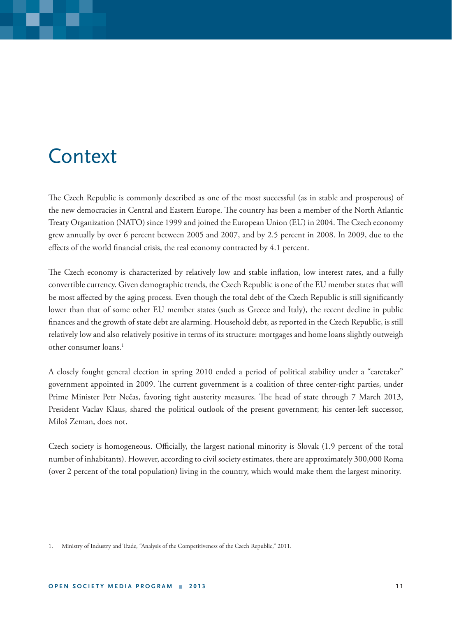### **Context**

The Czech Republic is commonly described as one of the most successful (as in stable and prosperous) of the new democracies in Central and Eastern Europe. The country has been a member of the North Atlantic Treaty Organization (NATO) since 1999 and joined the European Union (EU) in 2004. The Czech economy grew annually by over 6 percent between 2005 and 2007, and by 2.5 percent in 2008. In 2009, due to the effects of the world financial crisis, the real economy contracted by 4.1 percent.

The Czech economy is characterized by relatively low and stable inflation, low interest rates, and a fully convertible currency. Given demographic trends, the Czech Republic is one of the EU member states that will be most affected by the aging process. Even though the total debt of the Czech Republic is still significantly lower than that of some other EU member states (such as Greece and Italy), the recent decline in public finances and the growth of state debt are alarming. Household debt, as reported in the Czech Republic, is still relatively low and also relatively positive in terms of its structure: mortgages and home loans slightly outweigh other consumer loans.1

A closely fought general election in spring 2010 ended a period of political stability under a "caretaker" government appointed in 2009. The current government is a coalition of three center-right parties, under Prime Minister Petr Nečas, favoring tight austerity measures. The head of state through 7 March 2013, President Vaclav Klaus, shared the political outlook of the present government; his center-left successor, Miloš Zeman, does not.

Czech society is homogeneous. Officially, the largest national minority is Slovak (1.9 percent of the total number of inhabitants). However, according to civil society estimates, there are approximately 300,000 Roma (over 2 percent of the total population) living in the country, which would make them the largest minority.

<sup>1.</sup> Ministry of Industry and Trade, "Analysis of the Competitiveness of the Czech Republic," 2011.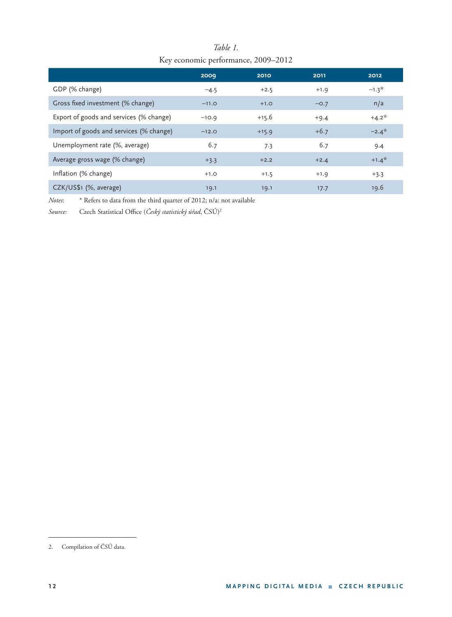| $1.0, 0.00, 0.00, 0.00, 0.00, 0.00, 0.00, 0.00, 0.00, 0.00, 0.00, 0.00, 0.00, 0.00, 0.00, 0.00, 0.00, 0.00, 0.00, 0.00, 0.00, 0.00, 0.00, 0.00, 0.00, 0.00, 0.00, 0.00, 0.00, 0.00, 0.00, 0.00, 0.00, 0.00, 0.00, 0.00, 0.00,$ |         |         |        |         |  |  |  |  |
|--------------------------------------------------------------------------------------------------------------------------------------------------------------------------------------------------------------------------------|---------|---------|--------|---------|--|--|--|--|
|                                                                                                                                                                                                                                | 2009    | 2010    | 2011   | 2012    |  |  |  |  |
| GDP (% change)                                                                                                                                                                                                                 | $-4.5$  | $+2.5$  | $+1.9$ | $-1.3*$ |  |  |  |  |
| Gross fixed investment (% change)                                                                                                                                                                                              | $-11.0$ | $+1.0$  | $-0.7$ | n/a     |  |  |  |  |
| Export of goods and services (% change)                                                                                                                                                                                        | $-10.9$ | $+15.6$ | $+9.4$ | $+4.2*$ |  |  |  |  |
| Import of goods and services (% change)                                                                                                                                                                                        | $-12.0$ | $+15.9$ | $+6.7$ | $-2.4*$ |  |  |  |  |
| Unemployment rate (%, average)                                                                                                                                                                                                 | 6.7     | 7.3     | 6.7    | 9.4     |  |  |  |  |
| Average gross wage (% change)                                                                                                                                                                                                  | $+3.3$  | $+2.2$  | $+2.4$ | $+1.4*$ |  |  |  |  |
| Inflation (% change)                                                                                                                                                                                                           | $+1.0$  | $+1.5$  | $+1.9$ | $+3.3$  |  |  |  |  |
| CZK/US\$1 (%, average)                                                                                                                                                                                                         | 19.1    | 19.1    | 17.7   | 19.6    |  |  |  |  |

#### *Table 1.* Key economic performance, 2009–2012

*Notes*: \* Refers to data from the third quarter of 2012; n/a: not available

Source: Czech Statistical Office (Český statistický úřad, ČSÚ)<sup>2</sup>

<sup>2.</sup> Compilation of ČSÚ data.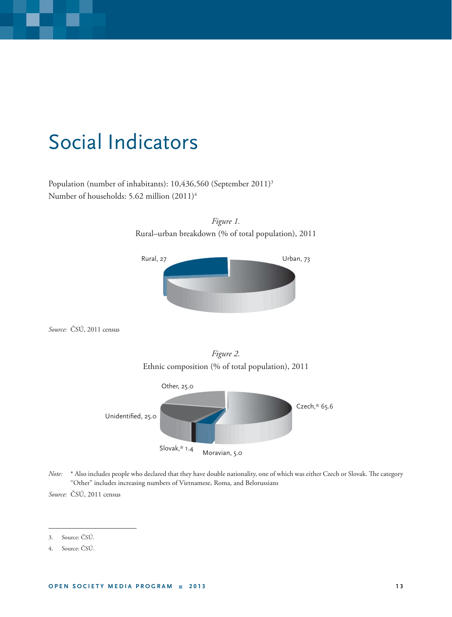### Social Indicators

Population (number of inhabitants): 10,436,560 (September 2011)<sup>3</sup> Number of households: 5.62 million (2011)4



*Figure 1.* 

*Source:* ČSÚ, 2011 census



Slovak,\* 1.4

*Note:* \* Also includes people who declared that they have double nationality, one of which was either Czech or Slovak. The category "Other" includes increasing numbers of Vietnamese, Roma, and Belorussians

Moravian, 5.0

*Source:* ČSÚ, 2011 census

<sup>3.</sup> Source: ČSÚ*.*

<sup>4.</sup> Source: ČSÚ.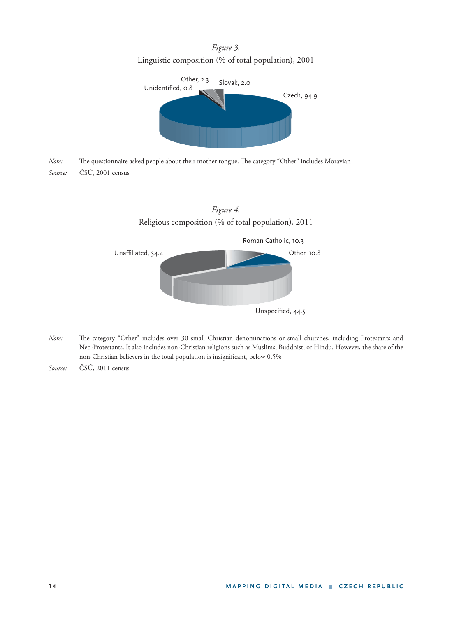*Figure 3.* Linguistic composition (% of total population), 2001



*Note:* The questionnaire asked people about their mother tongue. The category "Other" includes Moravian *Source:* ČSÚ, 2001 census



- *Note:* The category "Other" includes over 30 small Christian denominations or small churches, including Protestants and Neo-Protestants. It also includes non-Christian religions such as Muslims, Buddhist, or Hindu. However, the share of the non-Christian believers in the total population is insignificant, below 0.5%
- *Source:* ČSÚ, 2011 census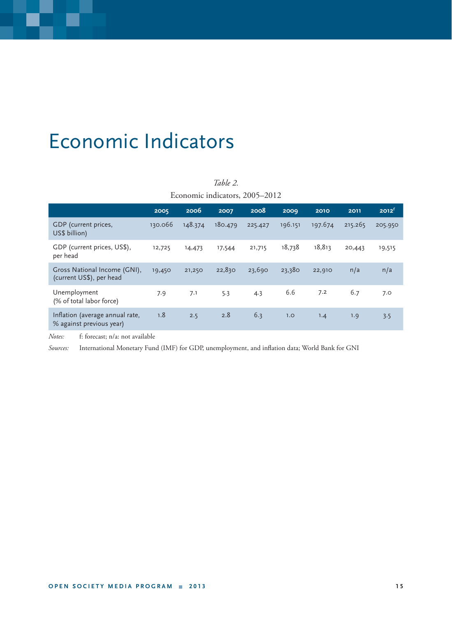### Economic Indicators

| Economic indicators, 2005–2012                              |         |         |         |         |         |         |         |                   |  |
|-------------------------------------------------------------|---------|---------|---------|---------|---------|---------|---------|-------------------|--|
|                                                             | 2005    | 2006    | 2007    | 2008    | 2009    | 2010    | 2011    | 2012 <sup>f</sup> |  |
| GDP (current prices,<br>US\$ billion)                       | 130.066 | 148.374 | 180.479 | 225.427 | 196.151 | 197.674 | 215.265 | 205.950           |  |
| GDP (current prices, US\$),<br>per head                     | 12,725  | 14,473  | 17,544  | 21,715  | 18,738  | 18,813  | 20,443  | 19,515            |  |
| Gross National Income (GNI),<br>(current US\$), per head    | 19,450  | 21,250  | 22,830  | 23,690  | 23,380  | 22,910  | n/a     | n/a               |  |
| Unemployment<br>(% of total labor force)                    | 7.9     | 7.1     | 5.3     | 4.3     | 6.6     | 7.2     | 6.7     | 7.0               |  |
| Inflation (average annual rate,<br>% against previous year) | 1.8     | 2.5     | 2.8     | 6.3     | 1.0     | 1.4     | 1.9     | 3.5               |  |

*Table 2.*

*Notes:* f: forecast; n/a: not available

Sources: International Monetary Fund (IMF) for GDP, unemployment, and inflation data; World Bank for GNI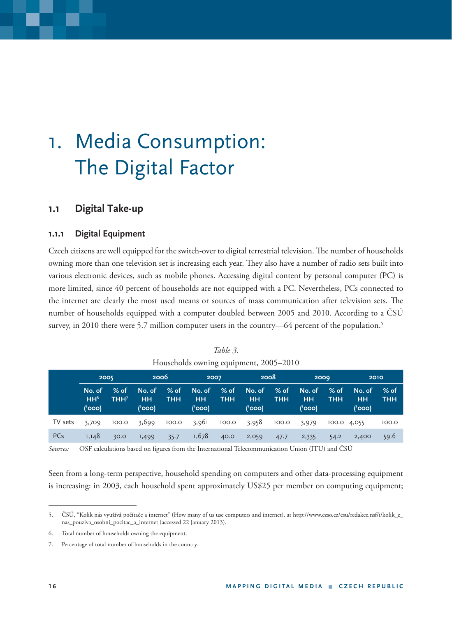## 1. Media Consumption: The Digital Factor

#### **1.1 Digital Take-up**

#### **1.1.1 Digital Equipment**

Czech citizens are well equipped for the switch-over to digital terrestrial television. The number of households owning more than one television set is increasing each year. They also have a number of radio sets built into various electronic devices, such as mobile phones. Accessing digital content by personal computer (PC) is more limited, since 40 percent of households are not equipped with a PC. Nevertheless, PCs connected to the internet are clearly the most used means or sources of mass communication after television sets. The number of households equipped with a computer doubled between 2005 and 2010. According to a ČSÚ survey, in 2010 there were 5.7 million computer users in the country—64 percent of the population.<sup>5</sup>

|         | $110$ ascholas owning equipment, $2007, 2010$ |                          |                               |                      |                               |                          |                               |                      |                               |                    |                               |                      |
|---------|-----------------------------------------------|--------------------------|-------------------------------|----------------------|-------------------------------|--------------------------|-------------------------------|----------------------|-------------------------------|--------------------|-------------------------------|----------------------|
|         | 2005                                          |                          | 2006                          |                      | 2007                          |                          |                               | 2008                 |                               | 2009               | 2010                          |                      |
|         | No. of<br>HH <sup>6</sup><br>('ooo)           | % of<br>THH <sup>7</sup> | No. of<br><b>HH</b><br>('000) | $%$ of<br><b>THH</b> | No. of<br><b>HH</b><br>('000) | $%$ of $-$<br><b>THH</b> | No. of<br><b>HH</b><br>('000) | $%$ of<br><b>THH</b> | No. of<br><b>HH</b><br>('000) | % of<br><b>THH</b> | No. of<br><b>HH</b><br>('ooo) | $%$ of<br><b>THH</b> |
| TV sets | 3,709                                         | 100.0                    | 3,699                         | 100.0                | 3,961                         | 100.0                    | 3,958                         | 100.0                | 3,979                         | 100.0 4,055        |                               | 100.0                |
| PCs     | 1,148                                         | 30.0                     | 1,499                         | 35.7                 | 1,678                         | 40.0                     | 2,059                         | 47.7                 | 2,335                         | 54.2               | 2,400                         | 59.6                 |

*Table 3.* Households owning equipment, 2005–2010

Sources: OSF calculations based on figures from the International Telecommunication Union (ITU) and ČSÚ

Seen from a long-term perspective, household spending on computers and other data-processing equipment is increasing: in 2003, each household spent approximately US\$25 per member on computing equipment;

<sup>5.</sup> ČSÚ, "Kolik nás využívá počítače a internet" (How many of us use computers and internet), at http://www.czso.cz/csu/redakce.nsf/i/kolik\_z\_ nas\_pouziva\_osobni\_pocitac\_a\_internet (accessed 22 January 2013).

<sup>6.</sup> Total number of households owning the equipment.

<sup>7.</sup> Percentage of total number of households in the country.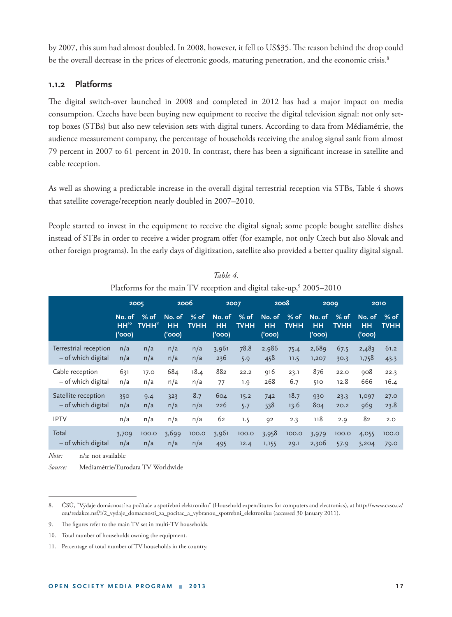by 2007, this sum had almost doubled. In 2008, however, it fell to US\$35. The reason behind the drop could be the overall decrease in the prices of electronic goods, maturing penetration, and the economic crisis.<sup>8</sup>

#### **1.1.2 Platforms**

The digital switch-over launched in 2008 and completed in 2012 has had a major impact on media consumption. Czechs have been buying new equipment to receive the digital television signal: not only settop boxes (STBs) but also new television sets with digital tuners. According to data from Médiamétrie, the audience measurement company, the percentage of households receiving the analog signal sank from almost 79 percent in 2007 to 61 percent in 2010. In contrast, there has been a significant increase in satellite and cable reception.

As well as showing a predictable increase in the overall digital terrestrial reception via STBs, Table 4 shows that satellite coverage/reception nearly doubled in 2007–2010.

People started to invest in the equipment to receive the digital signal; some people bought satellite dishes instead of STBs in order to receive a wider program offer (for example, not only Czech but also Slovak and other foreign programs). In the early days of digitization, satellite also provided a better quality digital signal.

|                       |                                      | 2005            | 2006                          |                     |                               | 2007                | 2008                                  |                       | 2009                   |                       | 2010                          |                       |
|-----------------------|--------------------------------------|-----------------|-------------------------------|---------------------|-------------------------------|---------------------|---------------------------------------|-----------------------|------------------------|-----------------------|-------------------------------|-----------------------|
|                       | No. of<br>HH <sup>10</sup><br>('000) | $%$ of<br>TVHH" | No. of<br><b>HH</b><br>('000) | % of<br><b>TVHH</b> | No. of<br><b>HH</b><br>('000) | % of<br><b>TVHH</b> | No. of<br><b>HH</b><br>$'$ ( $'$ 000) | $%$ of<br><b>TVHH</b> | No. of<br>HН<br>('000) | $%$ of<br><b>TVHH</b> | No. of<br><b>HH</b><br>('000) | $%$ of<br><b>TVHH</b> |
| Terrestrial reception | n/a                                  | n/a             | n/a                           | n/a                 | 3,961                         | 78.8                | 2,986                                 | 75.4                  | 2,689                  | 67.5                  | 2,483                         | 61.2                  |
| - of which digital    | n/a                                  | n/a             | n/a                           | n/a                 | 236                           | 5.9                 | 458                                   | 11.5                  | 1,207                  | 30.3                  | 1,758                         | 43.3                  |
| Cable reception       | 631                                  | 17.0            | 684                           | 18.4                | 882                           | 22.2                | 916                                   | 23.1                  | 876                    | 22.0                  | 908                           | 22.3                  |
| - of which digital    | n/a                                  | n/a             | n/a                           | n/a                 | 77                            | 1.9                 | 268                                   | 6.7                   | 510                    | 12.8                  | 666                           | 16.4                  |
| Satellite reception   | 350                                  | 9.4             | 323                           | 8.7                 | 604                           | 15.2                | 742                                   | 18.7                  | 930                    | 23.3                  | 1,097                         | 27.0                  |
| - of which digital    | n/a                                  | n/a             | n/a                           | n/a                 | 226                           | 5.7                 | 538                                   | 13.6                  | 804                    | 20.2                  | 969                           | 23.8                  |
| <b>IPTV</b>           | n/a                                  | n/a             | n/a                           | n/a                 | 62                            | 1.5                 | 92                                    | 2.3                   | 118                    | 2.9                   | 82                            | 2.0                   |
| Total                 | 3,709                                | 100.0           | 3,699                         | 100.0               | 3,961                         | 100.0               | 3,958                                 | 100.0                 | 3,979                  | 100.0                 | 4,055                         | 100.0                 |
| - of which digital    | n/a                                  | n/a             | n/a                           | n/a                 | 495                           | 12.4                | 1,155                                 | 29.1                  | 2,306                  | 57.9                  | 3,204                         | 79.0                  |

| Table 4.                                                                        |  |
|---------------------------------------------------------------------------------|--|
| Platforms for the main TV reception and digital take-up, <sup>9</sup> 2005–2010 |  |

*Note:* n/a: not available

*Source:* Mediamétrie/Eurodata TV Worldwide

<sup>8.</sup> ČSÚ, "Výdaje domácností za počítače a spotřební elektroniku" (Household expenditures for computers and electronics), at http://www.czso.cz/ csu/redakce.nsf/i/2\_vydaje\_domacnosti\_za\_pocitac\_a\_vybranou\_spotrebni\_elektroniku (accessed 30 January 2011).

<sup>9.</sup> The figures refer to the main TV set in multi-TV households.

<sup>10.</sup> Total number of households owning the equipment.

<sup>11.</sup> Percentage of total number of TV households in the country.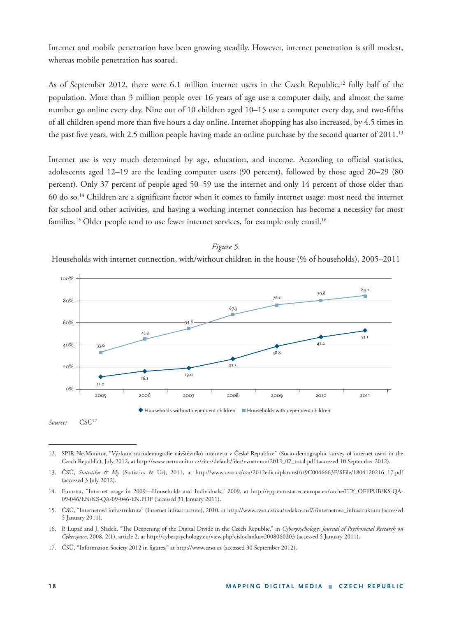Internet and mobile penetration have been growing steadily. However, internet penetration is still modest, whereas mobile penetration has soared.

As of September 2012, there were 6.1 million internet users in the Czech Republic,<sup>12</sup> fully half of the population. More than 3 million people over 16 years of age use a computer daily, and almost the same number go online every day. Nine out of 10 children aged 10–15 use a computer every day, and two-fifths of all children spend more than five hours a day online. Internet shopping has also increased, by 4.5 times in the past five years, with 2.5 million people having made an online purchase by the second quarter of  $2011$ .<sup>13</sup>

Internet use is very much determined by age, education, and income. According to official statistics, adolescents aged 12–19 are the leading computer users (90 percent), followed by those aged 20–29 (80 percent). Only 37 percent of people aged 50–59 use the internet and only 14 percent of those older than 60 do so.<sup>14</sup> Children are a significant factor when it comes to family internet usage: most need the internet for school and other activities, and having a working internet connection has become a necessity for most families.<sup>15</sup> Older people tend to use fewer internet services, for example only email.<sup>16</sup>

#### *Figure 5.*

Households with internet connection, with/without children in the house (% of households), 2005–2011



*Source:* ČSÚ17

<sup>12.</sup> SPIR NetMonitor, "Výzkum sociodemografi e návštěvníků internetu v České Republice" (Socio-demographic survey of internet users in the Czech Republic), July 2012, at http://www.netmonitor.cz/sites/default/files/vvnetmon/2012\_07\_total.pdf (accessed 10 September 2012).

<sup>13.</sup> ČSÚ, *Statistika & My* (Statistics & Us), 2011, at http://www.czso.cz/csu/2012edicniplan.nsf/t/9C0046663F/\$File/1804120216\_17.pdf (accessed 3 July 2012).

<sup>14.</sup> Eurostat, "Internet usage in 2009—Households and Individuals," 2009, at http://epp.eurostat.ec.europa.eu/cache/ITY\_OFFPUB/KS-QA-09-046/EN/KS-QA-09-046-EN.PDF (accessed 31 January 2011).

<sup>15.</sup> ČSÚ, "Internetová infrastruktura" (Internet infrastructure), 2010, at http://www.czso.cz/csu/redakce.nsf/i/internetova\_infrastruktura (accessed 5 January 2011).

<sup>16.</sup> P. Lupač and J. Sládek, "The Deepening of the Digital Divide in the Czech Republic," in *Cyberpsychology: Journal of Psychosocial Research on Cyberspace*, 2008, 2(1), article 2, at http://cyberpsychology.eu/view.php?cisloclanku=2008060203 (accessed 5 January 2011).

<sup>17.</sup> ČSÚ, "Information Society 2012 in figures," at http://www.czso.cz (accessed 30 September 2012).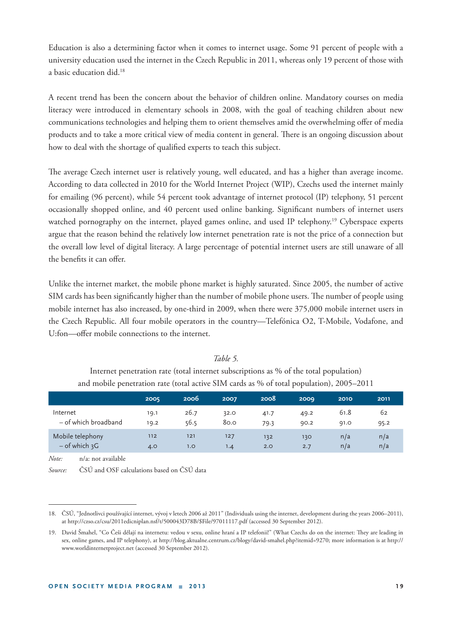Education is also a determining factor when it comes to internet usage. Some 91 percent of people with a university education used the internet in the Czech Republic in 2011, whereas only 19 percent of those with a basic education did.18

A recent trend has been the concern about the behavior of children online. Mandatory courses on media literacy were introduced in elementary schools in 2008, with the goal of teaching children about new communications technologies and helping them to orient themselves amid the overwhelming offer of media products and to take a more critical view of media content in general. There is an ongoing discussion about how to deal with the shortage of qualified experts to teach this subject.

The average Czech internet user is relatively young, well educated, and has a higher than average income. According to data collected in 2010 for the World Internet Project (WIP), Czechs used the internet mainly for emailing (96 percent), while 54 percent took advantage of internet protocol (IP) telephony, 51 percent occasionally shopped online, and 40 percent used online banking. Significant numbers of internet users watched pornography on the internet, played games online, and used IP telephony.<sup>19</sup> Cyberspace experts argue that the reason behind the relatively low internet penetration rate is not the price of a connection but the overall low level of digital literacy. A large percentage of potential internet users are still unaware of all the benefits it can offer.

Unlike the internet market, the mobile phone market is highly saturated. Since 2005, the number of active SIM cards has been significantly higher than the number of mobile phone users. The number of people using mobile internet has also increased, by one-third in 2009, when there were 375,000 mobile internet users in the Czech Republic. All four mobile operators in the country—Telefónica O2, T-Mobile, Vodafone, and U:fon—offer mobile connections to the internet.

|                      | 2005 | 2006 | 2007 | 2008 | 2009 | 2010 | 2011 |
|----------------------|------|------|------|------|------|------|------|
| Internet             | 19.1 | 26.7 | 32.0 | 41.7 | 49.2 | 61.8 | 62   |
| – of which broadband | 19.2 | 56.5 | 80.0 | 79.3 | 90.2 | 91.0 | 95.2 |
| Mobile telephony     | 112  | 121  | 127  | 132  | 130  | n/a  | n/a  |
| $-$ of which $3G$    | 4.0  | 1.0  | 1.4  | 2.0  | 2.7  | n/a  | n/a  |

#### *Table 5.*

Internet penetration rate (total internet subscriptions as % of the total population) and mobile penetration rate (total active SIM cards as % of total population), 2005–2011

*Note:* n/a: not available

*Source:* ČSÚ and OSF calculations based on ČSÚ data

<sup>18.</sup> ČSÚ, "Jednotlivci používající internet, vývoj v letech 2006 až 2011" (Individuals using the internet, development during the years 2006–2011), at http://czso.cz/csu/2011edicniplan.nsf/t/500043D78B/\$File/97011117.pdf (accessed 30 September 2012).

<sup>19.</sup> David Šmahel, "Co Češi dělají na internetu: vedou v sexu, online hraní a IP telefonii!" (What Czechs do on the internet: They are leading in sex, online games, and IP telephony), at http://blog.aktualne.centrum.cz/blogy/david-smahel.php?itemid=9270; more information is at http:// www.worldinternetproject.net (accessed 30 September 2012).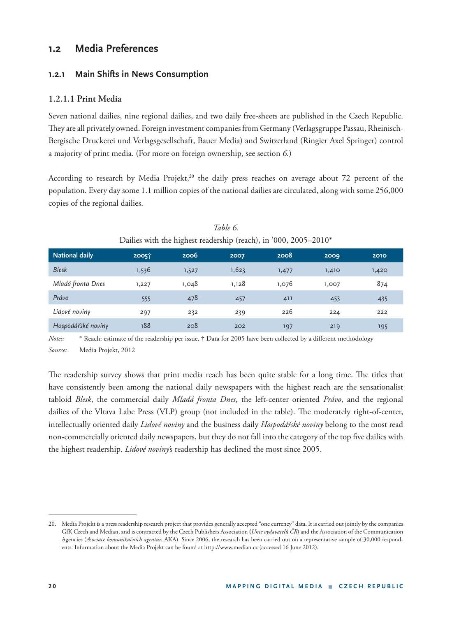#### **1 .2 Media Preferences**

#### **1.2.1 Main Shifts in News Consumption**

#### **1.2.1.1 Print Media**

Seven national dailies, nine regional dailies, and two daily free-sheets are published in the Czech Republic. They are all privately owned. Foreign investment companies from Germany (Verlagsgruppe Passau, Rheinisch-Bergische Druckerei und Verlagsgesellschaft, Bauer Media) and Switzerland (Ringier Axel Springer) control a majority of print media. (For more on foreign ownership, see section *6*.)

According to research by Media Projekt,<sup>20</sup> the daily press reaches on average about 72 percent of the population. Every day some 1.1 million copies of the national dailies are circulated, along with some 256,000 copies of the regional dailies.

|                       |                   | $\tilde{\phantom{a}}$ |       |       |       |       |
|-----------------------|-------------------|-----------------------|-------|-------|-------|-------|
| <b>National daily</b> | 2005 <sup>1</sup> | 2006                  | 2007  | 2008  | 2009  | 2010  |
| <b>Blesk</b>          | 1,536             | 1,527                 | 1,623 | 1,477 | 1,410 | 1,420 |
| Mladá fronta Dnes     | 1,227             | 1,048                 | 1,128 | 1,076 | 1,007 | 874   |
| Právo                 | 555               | 478                   | 457   | 411   | 453   | 435   |
| Lidové noviny         | 297               | 232                   | 239   | 226   | 224   | 222   |
| Hospodářské noviny    | 188               | 208                   | 202   | 197   | 219   | 195   |

*Table 6.* Dailies with the highest readership (reach), in '000, 2005–2010\*

*Notes:* \* Reach: estimate of the readership per issue. † Data for 2005 have been collected by a different methodology *Source:* Media Projekt, 2012

The readership survey shows that print media reach has been quite stable for a long time. The titles that have consistently been among the national daily newspapers with the highest reach are the sensationalist tabloid *Blesk*, the commercial daily *Mladá fronta Dnes*, the left-center oriented *Právo*, and the regional dailies of the Vltava Labe Press (VLP) group (not included in the table). The moderately right-of-center, intellectually oriented daily *Lidové noviny* and the business daily *Hospodářské noviny* belong to the most read non-commercially oriented daily newspapers, but they do not fall into the category of the top five dailies with the highest readership. *Lidové noviny'*s readership has declined the most since 2005.

<sup>20.</sup> Media Projekt is a press readership research project that provides generally accepted "one currency" data. It is carried out jointly by the companies GfK Czech and Median, and is contracted by the Czech Publishers Association **(***Unie vydavatelů ČR*) and the Association of the Communication Agencies (*Asociace komunikačních agentur*, AKA). Since 2006, the research has been carried out on a representative sample of 30,000 respondents. Information about the Media Projekt can be found at http://www.median.cz (accessed 16 June 2012).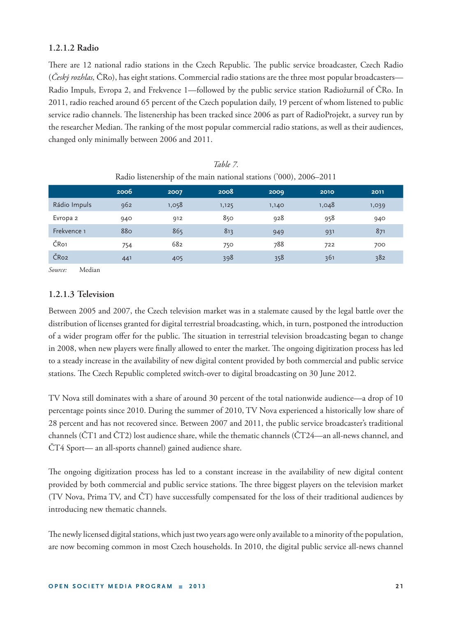#### **1.2.1.2 Radio**

There are 12 national radio stations in the Czech Republic. The public service broadcaster, Czech Radio (*Český rozhlas,* ČRo), has eight stations. Commercial radio stations are the three most popular broadcasters— Radio Impuls, Evropa 2, and Frekvence 1—followed by the public service station Radiožurnál of ČRo. In 2011, radio reached around 65 percent of the Czech population daily, 19 percent of whom listened to public service radio channels. The listenership has been tracked since 2006 as part of RadioProjekt, a survey run by the researcher Median. The ranking of the most popular commercial radio stations, as well as their audiences, changed only minimally between 2006 and 2011.

|                  | Turno hoteneromp of the main national stations ( $000$ ), 2000 2011 |       |       |       |       |       |  |  |
|------------------|---------------------------------------------------------------------|-------|-------|-------|-------|-------|--|--|
|                  | 2006                                                                | 2007  | 2008  | 2009  | 2010  | 2011  |  |  |
| Rádio Impuls     | 962                                                                 | 1,058 | 1,125 | 1,140 | 1,048 | 1,039 |  |  |
| Evropa 2         | 940                                                                 | 912   | 850   | 928   | 958   | 940   |  |  |
| Frekvence 1      | 880                                                                 | 865   | 813   | 949   | 931   | 871   |  |  |
| ČR <sub>o1</sub> | 754                                                                 | 682   | 750   | 788   | 722   | 700   |  |  |
| ČRo <sub>2</sub> | 441                                                                 | 405   | 398   | 358   | 361   | 382   |  |  |

| Table 7.                                                           |  |
|--------------------------------------------------------------------|--|
| Radio listenership of the main national stations ('000), 2006–2011 |  |

*Source:* Median

#### **1.2.1.3 Television**

Between 2005 and 2007, the Czech television market was in a stalemate caused by the legal battle over the distribution of licenses granted for digital terrestrial broadcasting, which, in turn, postponed the introduction of a wider program offer for the public. The situation in terrestrial television broadcasting began to change in 2008, when new players were finally allowed to enter the market. The ongoing digitization process has led to a steady increase in the availability of new digital content provided by both commercial and public service stations. The Czech Republic completed switch-over to digital broadcasting on 30 June 2012.

TV Nova still dominates with a share of around 30 percent of the total nationwide audience—a drop of 10 percentage points since 2010. During the summer of 2010, TV Nova experienced a historically low share of 28 percent and has not recovered since. Between 2007 and 2011, the public service broadcaster's traditional channels (ČT1 and ČT2) lost audience share, while the thematic channels (ČT24—an all-news channel, and ČT4 Sport— an all-sports channel) gained audience share.

The ongoing digitization process has led to a constant increase in the availability of new digital content provided by both commercial and public service stations. The three biggest players on the television market (TV Nova, Prima TV, and ČT) have successfully compensated for the loss of their traditional audiences by introducing new thematic channels.

The newly licensed digital stations, which just two years ago were only available to a minority of the population, are now becoming common in most Czech households. In 2010, the digital public service all-news channel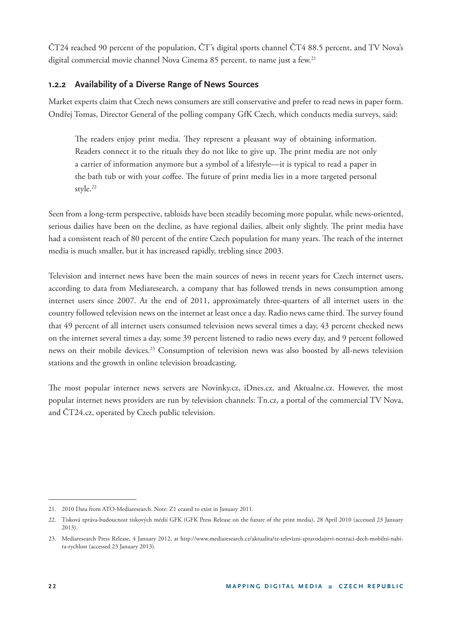ČT24 reached 90 percent of the population, ČT's digital sports channel ČT4 88.5 percent, and TV Nova's digital commercial movie channel Nova Cinema 85 percent, to name just a few.<sup>21</sup>

#### **1.2.2 Availability of a Diverse Range of News Sources**

Market experts claim that Czech news consumers are still conservative and prefer to read news in paper form. Ondřej Tomas, Director General of the polling company GfK Czech, which conducts media surveys, said:

The readers enjoy print media. They represent a pleasant way of obtaining information. Readers connect it to the rituals they do not like to give up. The print media are not only a carrier of information anymore but a symbol of a lifestyle—it is typical to read a paper in the bath tub or with your coffee. The future of print media lies in a more targeted personal style.<sup>22</sup>

Seen from a long-term perspective, tabloids have been steadily becoming more popular, while news-oriented, serious dailies have been on the decline, as have regional dailies, albeit only slightly. The print media have had a consistent reach of 80 percent of the entire Czech population for many years. The reach of the internet media is much smaller, but it has increased rapidly, trebling since 2003.

Television and internet news have been the main sources of news in recent years for Czech internet users, according to data from Mediaresearch, a company that has followed trends in news consumption among internet users since 2007. At the end of 2011, approximately three-quarters of all internet users in the country followed television news on the internet at least once a day. Radio news came third. The survey found that 49 percent of all internet users consumed television news several times a day, 43 percent checked news on the internet several times a day, some 39 percent listened to radio news every day, and 9 percent followed news on their mobile devices.23 Consumption of television news was also boosted by all-news television stations and the growth in online television broadcasting.

The most popular internet news servers are Novinky.cz, iDnes.cz, and Aktualne.cz. However, the most popular internet news providers are run by television channels: Tn.cz, a portal of the commercial TV Nova, and ČT24.cz, operated by Czech public television.

<sup>21. 2010</sup> Data from ATO-Mediaresearch. Note: Z1 ceased to exist in January 2011.

<sup>22.</sup> Tisková zpráva-budoucnost tiskových médií GFK (GFK Press Release on the future of the print media), 28 April 2010 (accessed 23 January 2013).

<sup>23.</sup> Mediaresearch Press Release, 4 January 2012, at http://www.mediaresearch.cz/aktualita/tz-televizni-zpravodajstvi-neztraci-dech-mobilni-nabira-rychlost (accessed 23 January 2013).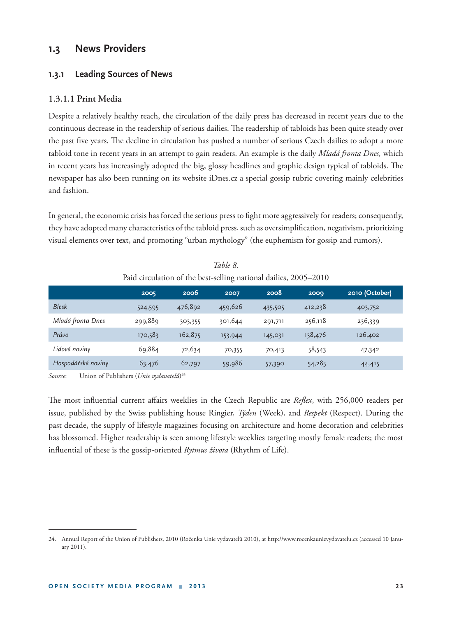#### **1.3 News Providers**

#### **1.3.1 Leading Sources of News**

#### **1.3.1.1 Print Media**

Despite a relatively healthy reach, the circulation of the daily press has decreased in recent years due to the continuous decrease in the readership of serious dailies. The readership of tabloids has been quite steady over the past five years. The decline in circulation has pushed a number of serious Czech dailies to adopt a more tabloid tone in recent years in an attempt to gain readers. An example is the daily *Mladá fronta Dnes,* which in recent years has increasingly adopted the big, glossy headlines and graphic design typical of tabloids. The newspaper has also been running on its website iDnes.cz a special gossip rubric covering mainly celebrities and fashion.

In general, the economic crisis has forced the serious press to fight more aggressively for readers; consequently, they have adopted many characteristics of the tabloid press, such as oversimplification, negativism, prioritizing visual elements over text, and promoting "urban mythology" (the euphemism for gossip and rumors).

|                    | 2005    | 2006    | 2007    | 2008    | 2009    | 2010 (October) |  |
|--------------------|---------|---------|---------|---------|---------|----------------|--|
| <b>Blesk</b>       | 524,595 | 476,892 | 459,626 | 435,505 | 412,238 | 403,752        |  |
| Mladá fronta Dnes  | 299,889 | 303,355 | 301,644 | 291,711 | 256,118 | 236,339        |  |
| Právo              | 170,583 | 162,875 | 153,944 | 145,031 | 138,476 | 126,402        |  |
| Lidové noviny      | 69,884  | 72,634  | 70,355  | 70,413  | 58,543  | 47,342         |  |
| Hospodářské noviny | 63,476  | 62,797  | 59,986  | 57,390  | 54,285  | 44,415         |  |

| Table 8.                                                         |  |
|------------------------------------------------------------------|--|
| Paid circulation of the best-selling national dailies, 2005–2010 |  |

*Source*: Union of Publishers (*Unie vydavatelů*) 24

The most influential current affairs weeklies in the Czech Republic are *Reflex*, with 256,000 readers per issue, published by the Swiss publishing house Ringier, *Týden* (Week), and *Respekt* (Respect). During the past decade, the supply of lifestyle magazines focusing on architecture and home decoration and celebrities has blossomed. Higher readership is seen among lifestyle weeklies targeting mostly female readers; the most influential of these is the gossip-oriented *Rytmus života* (Rhythm of Life).

<sup>24.</sup> Annual Report of the Union of Publishers, 2010 (Ročenka Unie vydavatelů 2010), at http://www.rocenkaunievydavatelu.cz (accessed 10 January 2011).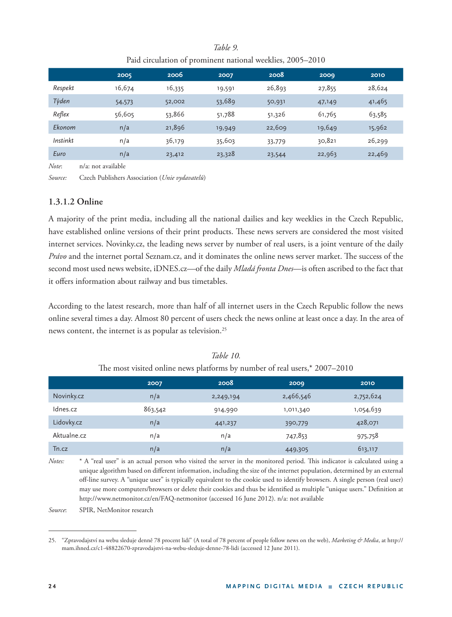#### *Table 9.*

#### Paid circulation of prominent national weeklies, 2005–2010

|          | 2005   | 2006   | 2007   | 2008   | 2009   | 2010   |
|----------|--------|--------|--------|--------|--------|--------|
| Respekt  | 16,674 | 16,335 | 19,591 | 26,893 | 27,855 | 28,624 |
| Týden    | 54,573 | 52,002 | 53,689 | 50,931 | 47,149 | 41,465 |
| Reflex   | 56,605 | 53,866 | 51,788 | 51,326 | 61,765 | 63,585 |
| Ekonom   | n/a    | 21,896 | 19,949 | 22,609 | 19,649 | 15,962 |
| Instinkt | n/a    | 36,179 | 35,603 | 33,779 | 30,821 | 26,299 |
| Euro     | n/a    | 23,412 | 23,328 | 23,544 | 22,963 | 22,469 |

*Note*: n/a: not available

*Source:* Czech Publishers Association (*Unie vydavatelů*)

#### **1.3.1.2 Online**

A majority of the print media, including all the national dailies and key weeklies in the Czech Republic, have established online versions of their print products. These news servers are considered the most visited internet services. Novinky.cz, the leading news server by number of real users, is a joint venture of the daily *Právo* and the internet portal Seznam.cz, and it dominates the online news server market. The success of the second most used news website, iDNES.cz—of the daily *Mladá fronta Dnes*—is often ascribed to the fact that it offers information about railway and bus timetables.

According to the latest research, more than half of all internet users in the Czech Republic follow the news online several times a day. Almost 80 percent of users check the news online at least once a day. In the area of news content, the internet is as popular as television.<sup>25</sup>

|             | 2007    | 2008      | 2009      | 2010      |
|-------------|---------|-----------|-----------|-----------|
| Novinky.cz  | n/a     | 2,249,194 | 2,466,546 | 2,752,624 |
| Idnes.cz    | 863,542 | 914,990   | 1,011,340 | 1,054,639 |
| Lidovky.cz  | n/a     | 441,237   | 390,779   | 428,071   |
| Aktualne.cz | n/a     | n/a       | 747,853   | 975,758   |
| Tn.cz       | n/a     | n/a       | 449,305   | 613,117   |

#### *Table 10.* The most visited online news platforms by number of real users,\*  $2007-2010$

*Notes:* \* A "real user" is an actual person who visited the server in the monitored period. This indicator is calculated using a unique algorithm based on different information, including the size of the internet population, determined by an external off -line survey. A "unique user" is typically equivalent to the cookie used to identify browsers. A single person (real user) may use more computers/browsers or delete their cookies and thus be identified as multiple "unique users." Definition at http://www.netmonitor.cz/en/FAQ-netmonitor (accessed 16 June 2012). n/a: not available

*Source*: SPIR, NetMonitor research

<sup>25. &</sup>quot;Zpravodajství na webu sleduje denně 78 procent lidí" (A total of 78 percent of people follow news on the web), *Marketing & Media*, at http:// mam.ihned.cz/c1-48822670-zpravodajstvi-na-webu-sleduje-denne-78-lidi (accessed 12 June 2011).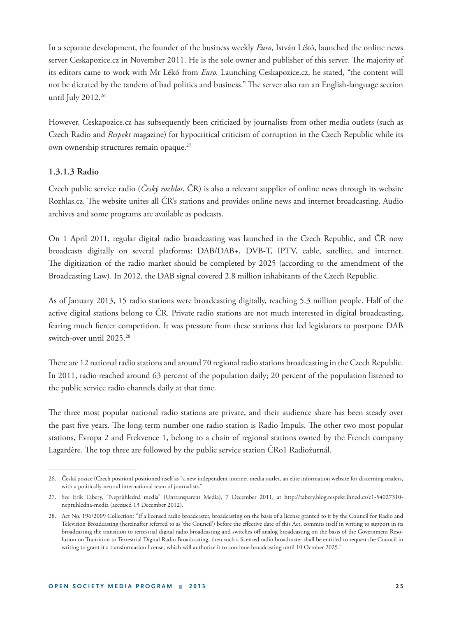In a separate development, the founder of the business weekly *Euro*, István Lékó, launched the online news server Ceskapozice.cz in November 2011. He is the sole owner and publisher of this server. The majority of its editors came to work with Mr Lékó from *Euro.* Launching Ceskapozice.cz, he stated, "the content will not be dictated by the tandem of bad politics and business." The server also ran an English-language section until July 2012.<sup>26</sup>

However, Ceskapozice.cz has subsequently been criticized by journalists from other media outlets (such as Czech Radio and *Respekt* magazine) for hypocritical criticism of corruption in the Czech Republic while its own ownership structures remain opaque.<sup>27</sup>

#### **1.3.1.3 Radio**

Czech public service radio (*Český rozhlas*, ČR) is also a relevant supplier of online news through its website Rozhlas.cz. The website unites all ČR's stations and provides online news and internet broadcasting. Audio archives and some programs are available as podcasts.

On 1 April 2011, regular digital radio broadcasting was launched in the Czech Republic, and ČR now broadcasts digitally on several platforms: DAB/DAB+, DVB-T, IPTV, cable, satellite, and internet. The digitization of the radio market should be completed by 2025 (according to the amendment of the Broadcasting Law). In 2012, the DAB signal covered 2.8 million inhabitants of the Czech Republic.

As of January 2013, 15 radio stations were broadcasting digitally, reaching 5.3 million people. Half of the active digital stations belong to ČR. Private radio stations are not much interested in digital broadcasting, fearing much fiercer competition. It was pressure from these stations that led legislators to postpone DAB switch-over until 2025.28

There are 12 national radio stations and around 70 regional radio stations broadcasting in the Czech Republic. In 2011, radio reached around 63 percent of the population daily; 20 percent of the population listened to the public service radio channels daily at that time.

The three most popular national radio stations are private, and their audience share has been steady over the past five years. The long-term number one radio station is Radio Impuls. The other two most popular stations, Evropa 2 and Frekvence 1, belong to a chain of regional stations owned by the French company Lagardère. The top three are followed by the public service station ČRo1 Radiožurnál.

<sup>26.</sup> Česká pozice (Czech position) positioned itself as "a new independent internet media outlet, an elite information website for discerning readers, with a politically neutral international team of journalists."

<sup>27.</sup> See Erik Tabery, "Neprůhledná media" (Untransparent Media), 7 December 2011, at http://tabery.blog.respekt.ihned.cz/c1-54027310 nepruhledna-media (accessed 13 December 2012).

<sup>28.</sup> Act No. 196/2009 Collection: "If a licensed radio broadcaster, broadcasting on the basis of a license granted to it by the Council for Radio and Television Broadcasting (hereinafter referred to as 'the Council') before the effective date of this Act, commits itself in writing to support in its broadcasting the transition to terrestrial digital radio broadcasting and switches off analog broadcasting on the basis of the Government Resolution on Transition to Terrestrial Digital Radio Broadcasting, then such a licensed radio broadcaster shall be entitled to request the Council in writing to grant it a transformation license, which will authorize it to continue broadcasting until 10 October 2025."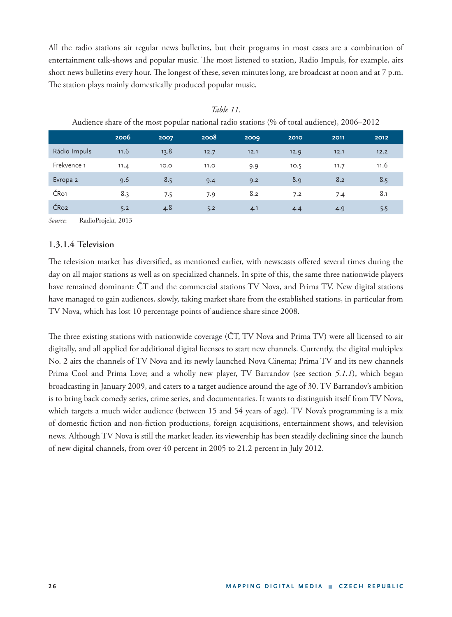All the radio stations air regular news bulletins, but their programs in most cases are a combination of entertainment talk-shows and popular music. The most listened to station, Radio Impuls, for example, airs short news bulletins every hour. The longest of these, seven minutes long, are broadcast at noon and at  $7 p.m.$ The station plays mainly domestically produced popular music.

| Tradictice share of the most popular hational radio stations (70 or total audience), 2000 2012 |      |      |      |      |      |      |      |
|------------------------------------------------------------------------------------------------|------|------|------|------|------|------|------|
|                                                                                                | 2006 | 2007 | 2008 | 2009 | 2010 | 2011 | 2012 |
| Rádio Impuls                                                                                   | 11.6 | 13.8 | 12.7 | 12.1 | 12.9 | 12.1 | 12.2 |
| Frekvence 1                                                                                    | 11.4 | 10.0 | 11.0 | 9.9  | 10.5 | 11.7 | 11.6 |
| Evropa 2                                                                                       | 9.6  | 8.5  | 9.4  | 9.2  | 8.9  | 8.2  | 8.5  |
| ČR <sub>o1</sub>                                                                               | 8.3  | 7.5  | 7.9  | 8.2  | 7.2  | 7.4  | 8.1  |
| ČRo <sub>2</sub>                                                                               | 5.2  | 4.8  | 5.2  | 4.1  | 4.4  | 4.9  | 5.5  |

*Table 11.* Audience share of the most popular national radio stations (% of total audience), 2006–2012

*Source*: RadioProjekt, 2013

#### **1.3.1.4 Television**

The television market has diversified, as mentioned earlier, with newscasts offered several times during the day on all major stations as well as on specialized channels. In spite of this, the same three nationwide players have remained dominant: ČT and the commercial stations TV Nova, and Prima TV. New digital stations have managed to gain audiences, slowly, taking market share from the established stations, in particular from TV Nova, which has lost 10 percentage points of audience share since 2008.

The three existing stations with nationwide coverage (CT, TV Nova and Prima TV) were all licensed to air digitally, and all applied for additional digital licenses to start new channels. Currently, the digital multiplex No. 2 airs the channels of TV Nova and its newly launched Nova Cinema; Prima TV and its new channels Prima Cool and Prima Love; and a wholly new player, TV Barrandov (see section *5.1.1*), which began broadcasting in January 2009, and caters to a target audience around the age of 30. TV Barrandov's ambition is to bring back comedy series, crime series, and documentaries. It wants to distinguish itself from TV Nova, which targets a much wider audience (between 15 and 54 years of age). TV Nova's programming is a mix of domestic fiction and non-fiction productions, foreign acquisitions, entertainment shows, and television news. Although TV Nova is still the market leader, its viewership has been steadily declining since the launch of new digital channels, from over 40 percent in 2005 to 21.2 percent in July 2012.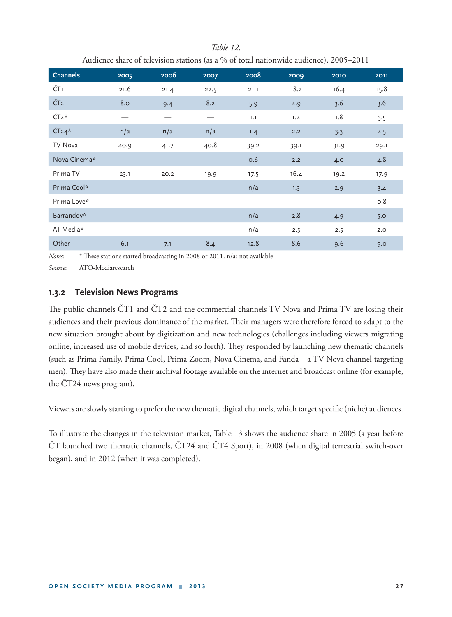| Audience share of television stations (as a % of total nationwide audience), 2005–2011 |      |      |      |      |      |      |      |
|----------------------------------------------------------------------------------------|------|------|------|------|------|------|------|
| <b>Channels</b>                                                                        | 2005 | 2006 | 2007 | 2008 | 2009 | 2010 | 2011 |
| ČT1                                                                                    | 21.6 | 21.4 | 22.5 | 21.1 | 18.2 | 16.4 | 15.8 |
| ČT <sub>2</sub>                                                                        | 8.0  | 9.4  | 8.2  | 5.9  | 4.9  | 3.6  | 3.6  |
| $\check{C}T4*$                                                                         |      |      |      | 1.1  | 1.4  | 1.8  | 3.5  |
| $\check{C}$ T <sub>24</sub> *                                                          | n/a  | n/a  | n/a  | 1.4  | 2.2  | 3.3  | 4.5  |
| TV Nova                                                                                | 40.9 | 41.7 | 40.8 | 39.2 | 39.1 | 31.9 | 29.1 |
| Nova Cinema*                                                                           |      |      |      | 0.6  | 2.2  | 4.0  | 4.8  |
| Prima TV                                                                               | 23.1 | 20.2 | 19.9 | 17.5 | 16.4 | 19.2 | 17.9 |
| Prima Cool*                                                                            |      |      |      | n/a  | 1.3  | 2.9  | 3.4  |
| Prima Love*                                                                            |      |      |      |      |      |      | 0.8  |
| Barrandov*                                                                             |      |      |      | n/a  | 2.8  | 4.9  | 5.0  |
| AT Media*                                                                              |      |      |      | n/a  | 2.5  | 2.5  | 2.0  |
| Other                                                                                  | 6.1  | 7.1  | 8.4  | 12.8 | 8.6  | 9.6  | 9.0  |

### *Table 12.*

*Notes*: \* These stations started broadcasting in 2008 or 2011. n/a: not available

*Source*: ATO-Mediaresearch

#### **1. 3.2 Television News Programs**

The public channels ČT1 and ČT2 and the commercial channels TV Nova and Prima TV are losing their audiences and their previous dominance of the market. Their managers were therefore forced to adapt to the new situation brought about by digitization and new technologies (challenges including viewers migrating online, increased use of mobile devices, and so forth). They responded by launching new thematic channels (such as Prima Family, Prima Cool, Prima Zoom, Nova Cinema, and Fanda—a TV Nova channel targeting men). They have also made their archival footage available on the internet and broadcast online (for example, the ČT24 news program).

Viewers are slowly starting to prefer the new thematic digital channels, which target specific (niche) audiences.

To illustrate the changes in the television market, Table 13 shows the audience share in 2005 (a year before ČT launched two thematic channels, ČT24 and ČT4 Sport), in 2008 (when digital terrestrial switch-over began), and in 2012 (when it was completed).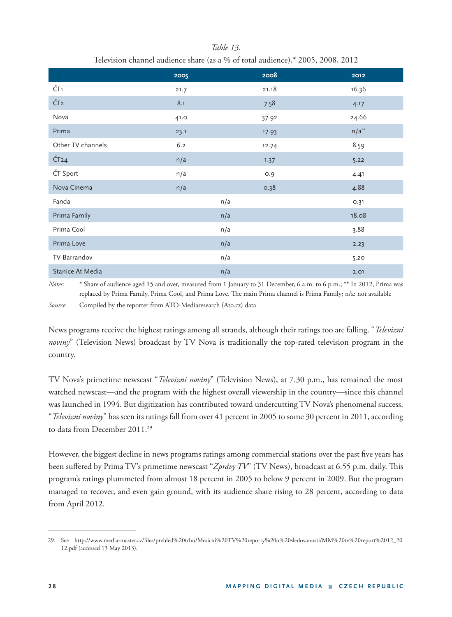|                             | 2005 | 2008  | 2012       |
|-----------------------------|------|-------|------------|
| ČT <sub>1</sub>             | 21.7 | 21.18 | 16.36      |
| ČT <sub>2</sub>             | 8.1  | 7.58  | 4.17       |
| Nova                        | 41.0 | 37.92 | 24.66      |
| Prima                       | 23.1 | 17.93 | $n/a^{**}$ |
| Other TV channels           | 6.2  | 12.74 | 8.59       |
| $\check{C}$ T <sub>24</sub> | n/a  | 1.37  | 5.22       |
| ČT Sport                    | n/a  | O.9   | 4.41       |
| Nova Cinema                 | n/a  | 0.38  | 4.88       |
| Fanda                       |      | n/a   | 0.31       |
| Prima Family                |      | n/a   | 18.08      |
| Prima Cool                  |      | n/a   | 3.88       |
| Prima Love                  |      | n/a   | 2.23       |
| TV Barrandov                |      | n/a   | 5.20       |
| Stanice At Media            |      | n/a   | 2.01       |

*Table 13.* Television channel audience share (as a % of total audience),\* 2005, 2008, 2012

*Notes*: \* Share of audience aged 15 and over, measured from 1 January to 31 December, 6 a.m. to 6 p.m.; \*\* In 2012, Prima was replaced by Prima Family, Prima Cool, and Prima Love. The main Prima channel is Prima Family; n/a: not available

*Source*: Compiled by the reporter from ATO-Mediaresearch (Ato.cz) data

News programs receive the highest ratings among all strands, although their ratings too are falling. "*Televizní noviny*" (Television News) broadcast by TV Nova is traditionally the top-rated television program in the country.

TV Nova's primetime newscast "*Televizní noviny*" (Television News), at 7.30 p.m., has remained the most watched newscast—and the program with the highest overall viewership in the country—since this channel was launched in 1994. But digitization has contributed toward undercutting TV Nova's phenomenal success. "*Televizní noviny*" has seen its ratings fall from over 41 percent in 2005 to some 30 percent in 2011, according to data from December 2011.<sup>29</sup>

However, the biggest decline in news programs ratings among commercial stations over the past five years has been suffered by Prima TV's primetime newscast "Zprávy TV" (TV News), broadcast at 6.55 p.m. daily. This program's ratings plummeted from almost 18 percent in 2005 to below 9 percent in 2009. But the program managed to recover, and even gain ground, with its audience share rising to 28 percent, according to data from April 2012.

<sup>29.</sup> See http://www.media-master.cz/fi les/prehled%20trhu/Mesicni%20TV%20reporty%20o%20sledovanosti/MM%20tv%20report%2012\_20 12.pdf (accessed 13 May 2013).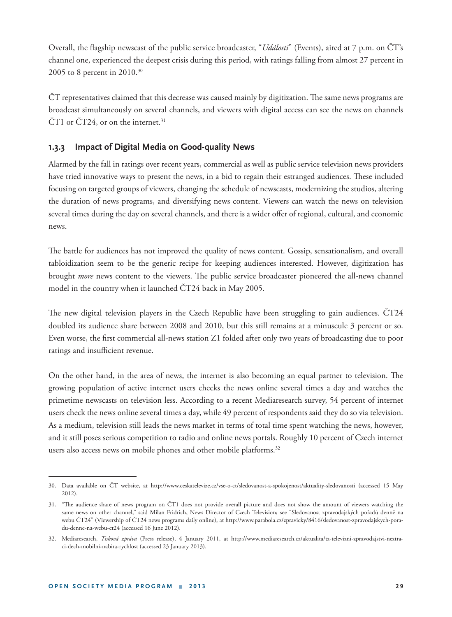Overall, the flagship newscast of the public service broadcaster, "*Události*" (Events), aired at 7 p.m. on ČT's channel one, experienced the deepest crisis during this period, with ratings falling from almost 27 percent in 2005 to 8 percent in 2010.30

ČT representatives claimed that this decrease was caused mainly by digitization. The same news programs are broadcast simultaneously on several channels, and viewers with digital access can see the news on channels  $\text{CT1}$  or  $\text{CT24}$ , or on the internet.<sup>31</sup>

#### **1.3.3 Impact of Digital Media on Good-quality News**

Alarmed by the fall in ratings over recent years, commercial as well as public service television news providers have tried innovative ways to present the news, in a bid to regain their estranged audiences. These included focusing on targeted groups of viewers, changing the schedule of newscasts, modernizing the studios, altering the duration of news programs, and diversifying news content. Viewers can watch the news on television several times during the day on several channels, and there is a wider offer of regional, cultural, and economic news.

The battle for audiences has not improved the quality of news content. Gossip, sensationalism, and overall tabloidization seem to be the generic recipe for keeping audiences interested. However, digitization has brought *more* news content to the viewers. The public service broadcaster pioneered the all-news channel model in the country when it launched ČT24 back in May 2005.

The new digital television players in the Czech Republic have been struggling to gain audiences.  $\text{CT24}$ doubled its audience share between 2008 and 2010, but this still remains at a minuscule 3 percent or so. Even worse, the first commercial all-news station Z1 folded after only two years of broadcasting due to poor ratings and insufficient revenue.

On the other hand, in the area of news, the internet is also becoming an equal partner to television. The growing population of active internet users checks the news online several times a day and watches the primetime newscasts on television less. According to a recent Mediaresearch survey, 54 percent of internet users check the news online several times a day, while 49 percent of respondents said they do so via television. As a medium, television still leads the news market in terms of total time spent watching the news, however, and it still poses serious competition to radio and online news portals. Roughly 10 percent of Czech internet users also access news on mobile phones and other mobile platforms.<sup>32</sup>

<sup>30.</sup> Data available on ČT website, at http://www.ceskatelevize.cz/vse-o-ct/sledovanost-a-spokojenost/aktuality-sledovanosti (accessed 15 May 2012).

<sup>31. &</sup>quot;The audience share of news program on ČT1 does not provide overall picture and does not show the amount of viewers watching the same news on other channel," said Milan Fridrich, News Director of Czech Television; see "Sledovanost zpravodajských pořadů denně na webu ČT24" (Viewership of ČT24 news programs daily online), at http://www.parabola.cz/zpravicky/8416/sledovanost-zpravodajskych-poradu-denne-na-webu-ct24 (accessed 16 June 2012).

<sup>32.</sup> Mediaresearch, *Tisková zpráva* (Press release), 4 January 2011, at http://www.mediaresearch.cz/aktualita/tz-televizni-zpravodajstvi-neztraci-dech-mobilni-nabira-rychlost (accessed 23 January 2013).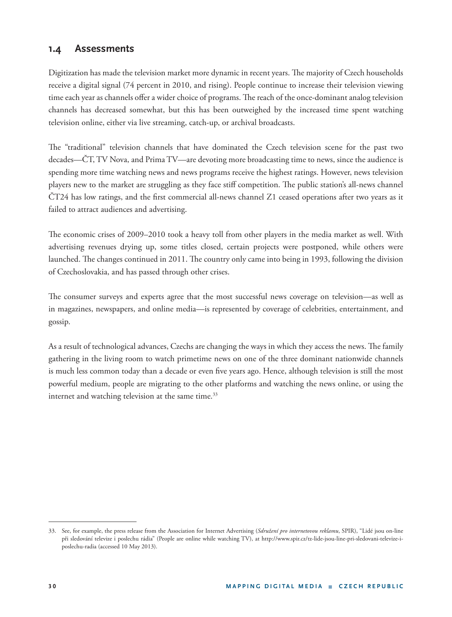#### **1.4 Assessments**

Digitization has made the television market more dynamic in recent years. The majority of Czech households receive a digital signal (74 percent in 2010, and rising). People continue to increase their television viewing time each year as channels offer a wider choice of programs. The reach of the once-dominant analog television channels has decreased somewhat, but this has been outweighed by the increased time spent watching television online, either via live streaming, catch-up, or archival broadcasts.

The "traditional" television channels that have dominated the Czech television scene for the past two decades—ČT, TV Nova, and Prima TV—are devoting more broadcasting time to news, since the audience is spending more time watching news and news programs receive the highest ratings. However, news television players new to the market are struggling as they face stiff competition. The public station's all-news channel  $\text{CT24}$  has low ratings, and the first commercial all-news channel Z1 ceased operations after two years as it failed to attract audiences and advertising.

The economic crises of 2009–2010 took a heavy toll from other players in the media market as well. With advertising revenues drying up, some titles closed, certain projects were postponed, while others were launched. The changes continued in 2011. The country only came into being in 1993, following the division of Czechoslovakia, and has passed through other crises.

The consumer surveys and experts agree that the most successful news coverage on television-as well as in magazines, newspapers, and online media—is represented by coverage of celebrities, entertainment, and gossip.

As a result of technological advances, Czechs are changing the ways in which they access the news. The family gathering in the living room to watch primetime news on one of the three dominant nationwide channels is much less common today than a decade or even five years ago. Hence, although television is still the most powerful medium, people are migrating to the other platforms and watching the news online, or using the internet and watching television at the same time.<sup>33</sup>

<sup>33.</sup> See, for example, the press release from the Association for Internet Advertising (*Sdružení pro internetovou reklamu*, SPIR), "Lidé jsou on-line při sledování televize i poslechu rádia" (People are online while watching TV), at http://www.spir.cz/tz-lide-jsou-line-pri-sledovani-televize-iposlechu-radia (accessed 10 May 2013).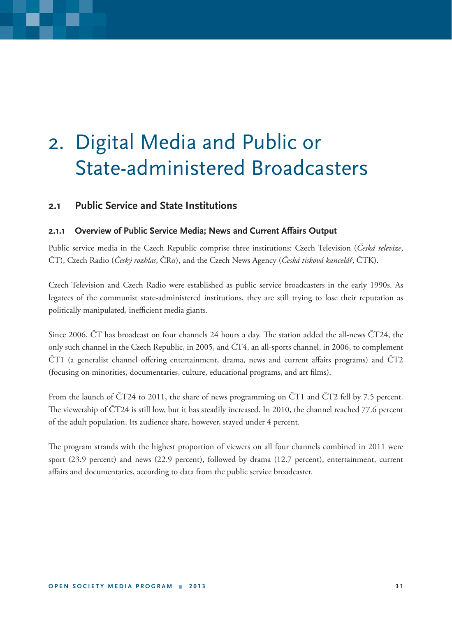### 2. Digital Media and Public or State-administered Broadcasters

#### **2.1 Public Service and State Institutions**

#### **2.1.1 Overview of Public Service Media; News and Current Affairs Output**

Public service media in the Czech Republic comprise three institutions: Czech Television (*Česká televize*, ČT), Czech Radio (*Český rozhlas*, ČRo), and the Czech News Agency (*Česká tisková kancelář*, ČTK).

Czech Television and Czech Radio were established as public service broadcasters in the early 1990s. As legatees of the communist state-administered institutions, they are still trying to lose their reputation as politically manipulated, inefficient media giants.

Since 2006,  $\rm \tilde{C}T$  has broadcast on four channels 24 hours a day. The station added the all-news  $\rm \tilde{C}T24$ , the only such channel in the Czech Republic, in 2005, and ČT4, an all-sports channel, in 2006, to complement  $\text{CT1}$  (a generalist channel offering entertainment, drama, news and current affairs programs) and  $\text{CT2}$ (focusing on minorities, documentaries, culture, educational programs, and art films).

From the launch of ČT24 to 2011, the share of news programming on ČT1 and ČT2 fell by 7.5 percent. The viewership of  $\text{CT24}$  is still low, but it has steadily increased. In 2010, the channel reached 77.6 percent of the adult population. Its audience share, however, stayed under 4 percent.

The program strands with the highest proportion of viewers on all four channels combined in 2011 were sport (23.9 percent) and news (22.9 percent), followed by drama (12.7 percent), entertainment, current affairs and documentaries, according to data from the public service broadcaster.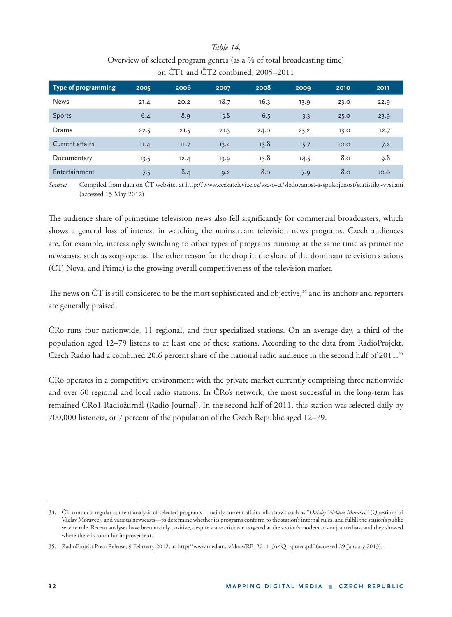#### *Table 14.*

| Overview of selected program genres (as a % of total broadcasting time) |
|-------------------------------------------------------------------------|
| on $\text{CT1}$ and $\text{CT2}$ combined, 2005–2011                    |

| Type of programming | 2005 | 2006 | 2007 | 2008 | 2009 | 2010 | 2011 |
|---------------------|------|------|------|------|------|------|------|
| <b>News</b>         | 21.4 | 20.2 | 18.7 | 16.3 | 13.9 | 23.0 | 22.9 |
| Sports              | 6.4  | 8.9  | 5.8  | 6.5  | 3.3  | 25.0 | 23.9 |
| Drama               | 22.5 | 21.5 | 21.3 | 24.0 | 25.2 | 13.0 | 12.7 |
| Current affairs     | 11.4 | 11.7 | 13.4 | 13.8 | 15.7 | 10.0 | 7.2  |
| Documentary         | 13.5 | 12.4 | 13.9 | 13.8 | 14.5 | 8.0  | 9.8  |
| Entertainment       | 7.5  | 8.4  | 9.2  | 8.0  | 7.9  | 8.0  | 10.0 |

*Source:* Compiled from data on ČT website, at http://www.ceskatelevize.cz/vse-o-ct/sledovanost-a-spokojenost/statistiky-vysilani (accessed 15 May 2012)

The audience share of primetime television news also fell significantly for commercial broadcasters, which shows a general loss of interest in watching the mainstream television news programs. Czech audiences are, for example, increasingly switching to other types of programs running at the same time as primetime newscasts, such as soap operas. The other reason for the drop in the share of the dominant television stations (ČT, Nova, and Prima) is the growing overall competitiveness of the television market.

The news on  $\text{CT}$  is still considered to be the most sophisticated and objective,<sup>34</sup> and its anchors and reporters are generally praised.

ČRo runs four nationwide, 11 regional, and four specialized stations. On an average day, a third of the population aged 12–79 listens to at least one of these stations. According to the data from RadioProjekt, Czech Radio had a combined 20.6 percent share of the national radio audience in the second half of 2011.35

ČRo operates in a competitive environment with the private market currently comprising three nationwide and over 60 regional and local radio stations. In ČRo's network, the most successful in the long-term has remained ČRo1 Radiožurnál **(**Radio Journal). In the second half of 2011, this station was selected daily by 700,000 listeners, or 7 percent of the population of the Czech Republic aged 12–79.

<sup>34.</sup> ČT conducts regular content analysis of selected programs—mainly current affairs talk-shows such as "Otázky Václava Moravce" (Questions of Václav Moravec), and various newscasts—to determine whether its programs conform to the station's internal rules, and fulfill the station's public service role. Recent analyses have been mainly positive, despite some criticism targeted at the station's moderators or journalists, and they showed where there is room for improvement.

<sup>35.</sup> RadioProjekt Press Release, 9 February 2012, at http://www.median.cz/docs/RP\_2011\_3+4Q\_zprava.pdf (accessed 29 January 2013).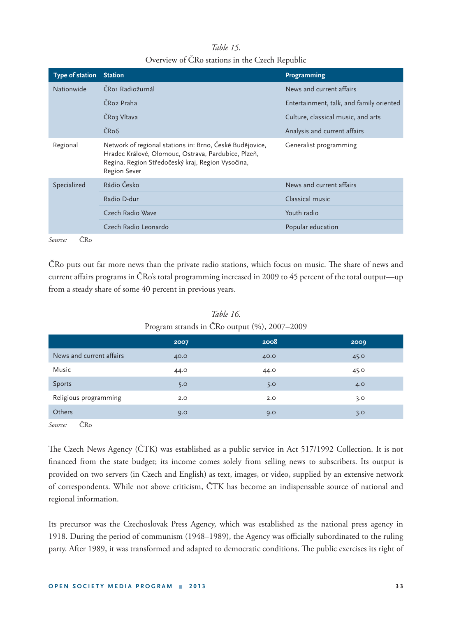#### *Table 15.*

| Overview of CRo stations in the Czech Republic |  |
|------------------------------------------------|--|
|------------------------------------------------|--|

| Type of station | <b>Station</b>                                                                                                                                                                              | Programming                              |
|-----------------|---------------------------------------------------------------------------------------------------------------------------------------------------------------------------------------------|------------------------------------------|
| Nationwide      | ČRoj Radiožurnál                                                                                                                                                                            | News and current affairs                 |
|                 | ČRo2 Praha                                                                                                                                                                                  | Entertainment, talk, and family oriented |
|                 | ČRoz Vltava                                                                                                                                                                                 | Culture, classical music, and arts       |
|                 | ČR <sub>o</sub> <sub>6</sub>                                                                                                                                                                | Analysis and current affairs             |
| Regional        | Network of regional stations in: Brno, České Budějovice,<br>Hradec Králové, Olomouc, Ostrava, Pardubice, Plzeň,<br>Regina, Region Středočeský kraj, Region Vysočina,<br><b>Region Sever</b> | Generalist programming                   |
| Specialized     | Rádio Česko                                                                                                                                                                                 | News and current affairs                 |
|                 | Radio D-dur                                                                                                                                                                                 | Classical music                          |
|                 | Czech Radio Wave                                                                                                                                                                            | Youth radio                              |
|                 | Czech Radio Leonardo                                                                                                                                                                        | Popular education                        |
| in.             |                                                                                                                                                                                             |                                          |

*Source:* ČRo

ČRo puts out far more news than the private radio stations, which focus on music. The share of news and current affairs programs in ČRo's total programming increased in 2009 to 45 percent of the total output—up from a steady share of some 40 percent in previous years.

|                          | 2007 | 2008 | 2009 |
|--------------------------|------|------|------|
| News and current affairs | 40.0 | 40.0 | 45.0 |
| Music                    | 44.0 | 44.0 | 45.0 |
| Sports                   | 5.0  | 5.0  | 4.0  |
| Religious programming    | 2.0  | 2.0  | 3.0  |
| Others                   | 9.0  | 9.0  | 3.0  |

*Table 16.* Program strands in ČRo output (%), 2007–2009

*Source:* ČRo

The Czech News Agency (CTK) was established as a public service in Act 517/1992 Collection. It is not financed from the state budget; its income comes solely from selling news to subscribers. Its output is provided on two servers (in Czech and English) as text, images, or video, supplied by an extensive network of correspondents. While not above criticism, ČTK has become an indispensable source of national and regional information.

Its precursor was the Czechoslovak Press Agency, which was established as the national press agency in 1918. During the period of communism (1948–1989), the Agency was officially subordinated to the ruling party. After 1989, it was transformed and adapted to democratic conditions. The public exercises its right of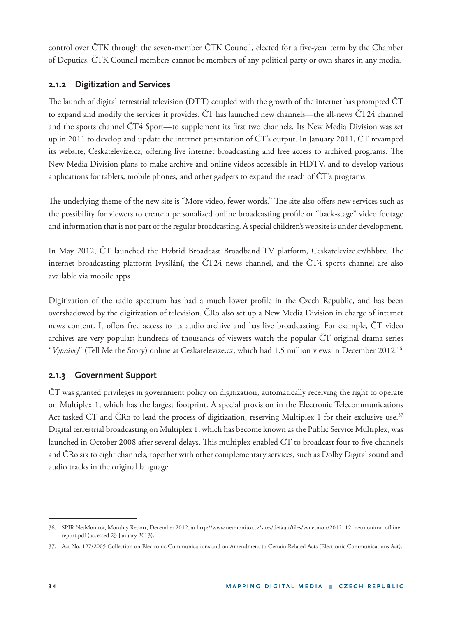control over ČTK through the seven-member ČTK Council, elected for a five-year term by the Chamber of Deputies. ČTK Council members cannot be members of any political party or own shares in any media.

#### **2.1.2 Digitization and Services**

The launch of digital terrestrial television (DTT) coupled with the growth of the internet has prompted  $\text{CT}$ to expand and modify the services it provides. ČT has launched new channels—the all-news ČT24 channel and the sports channel ČT4 Sport—to supplement its first two channels. Its New Media Division was set up in 2011 to develop and update the internet presentation of ČT's output. In January 2011, ČT revamped its website, Ceskatelevize.cz, offering live internet broadcasting and free access to archived programs. The New Media Division plans to make archive and online videos accessible in HDTV, and to develop various applications for tablets, mobile phones, and other gadgets to expand the reach of ČT's programs.

The underlying theme of the new site is "More video, fewer words." The site also offers new services such as the possibility for viewers to create a personalized online broadcasting profile or "back-stage" video footage and information that is not part of the regular broadcasting. A special children's website is under development.

In May 2012, CT launched the Hybrid Broadcast Broadband TV platform, Ceskatelevize.cz/hbbtv. The internet broadcasting platform Ivysílání, the ČT24 news channel, and the ČT4 sports channel are also available via mobile apps.

Digitization of the radio spectrum has had a much lower profile in the Czech Republic, and has been overshadowed by the digitization of television. ČRo also set up a New Media Division in charge of internet news content. It offers free access to its audio archive and has live broadcasting. For example,  $\text{CT}$  video archives are very popular; hundreds of thousands of viewers watch the popular ČT original drama series "*Vyprávěj*" (Tell Me the Story) online at Ceskatelevize.cz, which had 1.5 million views in December 2012.36

#### **2.1.3 Government Support**

ČT was granted privileges in government policy on digitization, automatically receiving the right to operate on Multiplex 1, which has the largest footprint. A special provision in the Electronic Telecommunications Act tasked CT and CRo to lead the process of digitization, reserving Multiplex 1 for their exclusive use.<sup>37</sup> Digital terrestrial broadcasting on Multiplex 1, which has become known as the Public Service Multiplex, was launched in October 2008 after several delays. This multiplex enabled ČT to broadcast four to five channels and ČRo six to eight channels, together with other complementary services, such as Dolby Digital sound and audio tracks in the original language.

<sup>36.</sup> SPIR NetMonitor, Monthly Report, December 2012, at http://www.netmonitor.cz/sites/default/files/vvnetmon/2012\_12\_netmonitor\_offline\_ report.pdf (accessed 23 January 2013).

<sup>37.</sup> Act No. 127/2005 Collection on Electronic Communications and on Amendment to Certain Related Acts (Electronic Communications Act).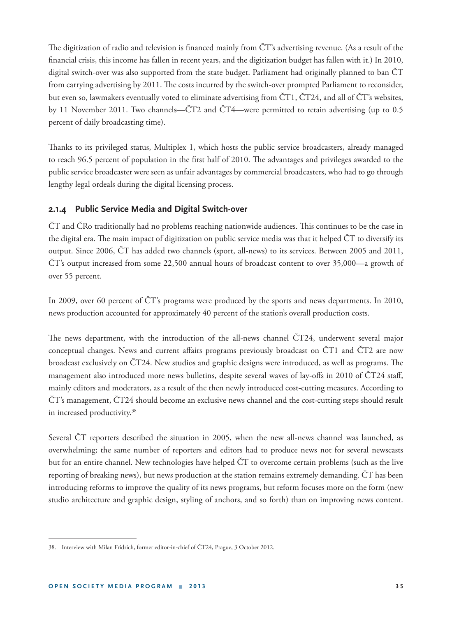The digitization of radio and television is financed mainly from ČT's advertising revenue. (As a result of the financial crisis, this income has fallen in recent years, and the digitization budget has fallen with it.) In 2010, digital switch-over was also supported from the state budget. Parliament had originally planned to ban ČT from carrying advertising by 2011. The costs incurred by the switch-over prompted Parliament to reconsider, but even so, lawmakers eventually voted to eliminate advertising from ČT1, ČT24, and all of ČT's websites, by 11 November 2011. Two channels—ČT2 and ČT4—were permitted to retain advertising (up to 0.5 percent of daily broadcasting time).

Thanks to its privileged status, Multiplex 1, which hosts the public service broadcasters, already managed to reach 96.5 percent of population in the first half of 2010. The advantages and privileges awarded to the public service broadcaster were seen as unfair advantages by commercial broadcasters, who had to go through lengthy legal ordeals during the digital licensing process.

#### **2.1.4 Public Service Media and Digital Switch-over**

CT and CRo traditionally had no problems reaching nationwide audiences. This continues to be the case in the digital era. The main impact of digitization on public service media was that it helped CT to diversify its output. Since 2006, ČT has added two channels (sport, all-news) to its services. Between 2005 and 2011, ČT's output increased from some 22,500 annual hours of broadcast content to over 35,000—a growth of over 55 percent.

In 2009, over 60 percent of ČT's programs were produced by the sports and news departments. In 2010, news production accounted for approximately 40 percent of the station's overall production costs.

The news department, with the introduction of the all-news channel CT24, underwent several major conceptual changes. News and current affairs programs previously broadcast on  $\text{CT1}$  and  $\text{CT2}$  are now broadcast exclusively on CT24. New studios and graphic designs were introduced, as well as programs. The management also introduced more news bulletins, despite several waves of lay-offs in 2010 of  $\text{CT24}$  staff, mainly editors and moderators, as a result of the then newly introduced cost-cutting measures. According to ČT's management, ČT24 should become an exclusive news channel and the cost-cutting steps should result in increased productivity.38

Several ČT reporters described the situation in 2005, when the new all-news channel was launched, as overwhelming; the same number of reporters and editors had to produce news not for several newscasts but for an entire channel. New technologies have helped ČT to overcome certain problems (such as the live reporting of breaking news), but news production at the station remains extremely demanding. ČT has been introducing reforms to improve the quality of its news programs, but reform focuses more on the form (new studio architecture and graphic design, styling of anchors, and so forth) than on improving news content.

<sup>38.</sup> Interview with Milan Fridrich, former editor-in-chief of ČT24, Prague, 3 October 2012.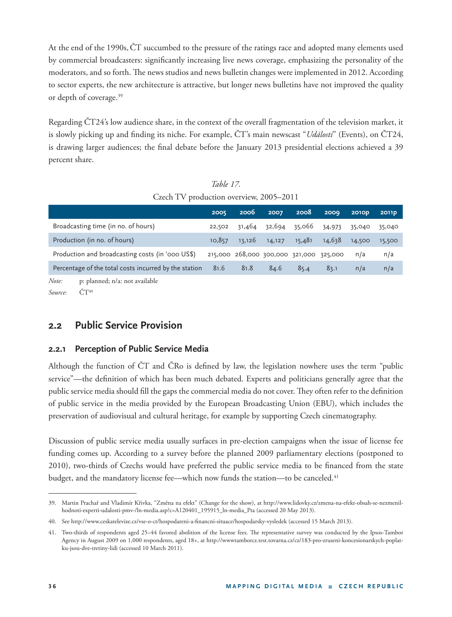At the end of the 1990s,ČT succumbed to the pressure of the ratings race and adopted many elements used by commercial broadcasters: significantly increasing live news coverage, emphasizing the personality of the moderators, and so forth. The news studios and news bulletin changes were implemented in 2012. According to sector experts, the new architecture is attractive, but longer news bulletins have not improved the quality or depth of coverage.<sup>39</sup>

Regarding ČT24's low audience share, in the context of the overall fragmentation of the television market, it is slowly picking up and finding its niche. For example, ČT's main newscast "*Události*" (Events), on ČT24, is drawing larger audiences; the final debate before the January 2013 presidential elections achieved a 39 percent share.

| $C_{\ell}$ CLCII I V production overview, $200$ $2011$ |                                                       |      |                                         |        |        |        |              |        |
|--------------------------------------------------------|-------------------------------------------------------|------|-----------------------------------------|--------|--------|--------|--------------|--------|
|                                                        |                                                       | 2005 | 2006                                    | 2007   | 2008   | 2009   | <b>2010D</b> | 2011p  |
| Broadcasting time (in no. of hours)                    |                                                       |      | 31,464                                  | 32,694 | 35,066 | 34,973 | 35,040       | 35,040 |
| Production (in no. of hours)                           |                                                       |      | 13,126                                  | 14,127 | 15,481 | 14,638 | 14,500       | 15,500 |
| Production and broadcasting costs (in '000 US\$)       |                                                       |      | 215,000 268,000 300,000 321,000 325,000 |        |        | n/a    | n/a          |        |
|                                                        | Percentage of the total costs incurred by the station | 81.6 | 81.8                                    | 84.6   | 85.4   | 83.1   | n/a          | n/a    |
| Note:                                                  | p: planned; n/a: not available<br>$\check{C}T^{40}$   |      |                                         |        |        |        |              |        |
| Source:                                                |                                                       |      |                                         |        |        |        |              |        |

*Table 17.* Czech TV production overview, 2005–2011

# **2.2 Public Service Provision**

### **2.2.1 Perception of Public Service Media**

Although the function of  $\text{CT}$  and  $\text{CRo}$  is defined by law, the legislation nowhere uses the term "public service"—the definition of which has been much debated. Experts and politicians generally agree that the public service media should fill the gaps the commercial media do not cover. They often refer to the definition of public service in the media provided by the European Broadcasting Union (EBU), which includes the preservation of audiovisual and cultural heritage, for example by supporting Czech cinematography.

Discussion of public service media usually surfaces in pre-election campaigns when the issue of license fee funding comes up. According to a survey before the planned 2009 parliamentary elections (postponed to 2010), two-thirds of Czechs would have preferred the public service media to be financed from the state budget, and the mandatory license fee—which now funds the station—to be canceled.<sup>41</sup>

<sup>39.</sup> Martin Prachař and Vladimír Křivka, "Změna na efekt" (Change for the show), at http://www.lidovky.cz/zmena-na-efekt-obsah-se-nezmenilhodnoti-experti-udalosti-pmv-/ln-media.asp?c=A120401\_195915\_ln-media\_Pta (accessed 20 May 2013).

<sup>40.</sup> See http://www.ceskatelevize.cz/vse-o-ct/hospodareni-a-financni-situace/hospodarsky-vysledek (accessed 15 March 2013).

<sup>41.</sup> Two-thirds of respondents aged 25-44 favored abolition of the license fees. The representative survey was conducted by the Ipsos-Tambor Agency in August 2009 on 1,000 respondents, aged 18+, at http://wwwtamborcz.test.tovarna.cz/cz/183-pro-zruseni-koncesionarskych-poplatku-jsou-dve-tretiny-lidi (accessed 10 March 2011).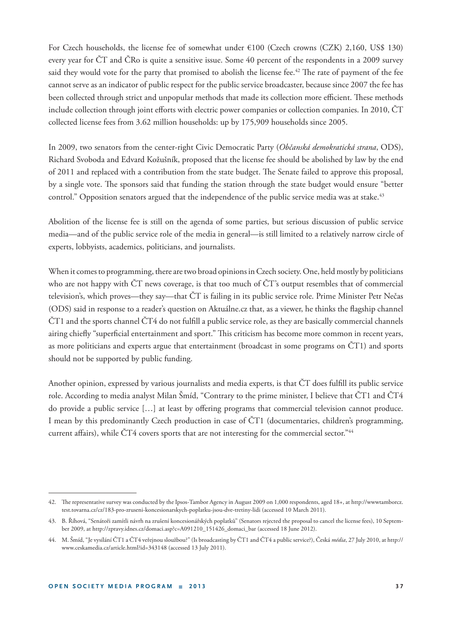For Czech households, the license fee of somewhat under €100 (Czech crowns (CZK) 2,160, US\$ 130) every year for ČT and ČRo is quite a sensitive issue. Some 40 percent of the respondents in a 2009 survey said they would vote for the party that promised to abolish the license fee.<sup>42</sup> The rate of payment of the fee cannot serve as an indicator of public respect for the public service broadcaster, because since 2007 the fee has been collected through strict and unpopular methods that made its collection more efficient. These methods include collection through joint efforts with electric power companies or collection companies. In 2010, ČT collected license fees from 3.62 million households: up by 175,909 households since 2005.

In 2009, two senators from the center-right Civic Democratic Party (*Občanská demokratická strana*, ODS), Richard Svoboda and Edvard Kožušník, proposed that the license fee should be abolished by law by the end of 2011 and replaced with a contribution from the state budget. The Senate failed to approve this proposal, by a single vote. The sponsors said that funding the station through the state budget would ensure "better control." Opposition senators argued that the independence of the public service media was at stake.<sup>43</sup>

Abolition of the license fee is still on the agenda of some parties, but serious discussion of public service media—and of the public service role of the media in general—is still limited to a relatively narrow circle of experts, lobbyists, academics, politicians, and journalists.

When it comes to programming, there are two broad opinions in Czech society. One, held mostly by politicians who are not happy with ČT news coverage, is that too much of ČT's output resembles that of commercial television's, which proves—they say—that ČT is failing in its public service role. Prime Minister Petr Nečas (ODS) said in response to a reader's question on Aktuálne.cz that, as a viewer, he thinks the flagship channel  $\text{CT1}$  and the sports channel  $\text{CT4}$  do not fulfill a public service role, as they are basically commercial channels airing chiefly "superficial entertainment and sport." This criticism has become more common in recent years, as more politicians and experts argue that entertainment (broadcast in some programs on ČT1) and sports should not be supported by public funding.

Another opinion, expressed by various journalists and media experts, is that CT does fulfill its public service role. According to media analyst Milan Šmíd, "Contrary to the prime minister, I believe that ČT1 and ČT4 do provide a public service  $[\dots]$  at least by offering programs that commercial television cannot produce. I mean by this predominantly Czech production in case of ČT1 (documentaries, children's programming, current affairs), while CT4 covers sports that are not interesting for the commercial sector."44

<sup>42.</sup> The representative survey was conducted by the Ipsos-Tambor Agency in August 2009 on 1,000 respondents, aged 18+, at http://wwwtamborcz. test.tovarna.cz/cz/183-pro-zruseni-koncesionarskych-poplatku-jsou-dve-tretiny-lidi (accessed 10 March 2011).

<sup>43.</sup> B. Říhová, "Senátoři zamítli návrh na zrušení koncesionářských poplatků" (Senators rejected the proposal to cancel the license fees), 10 September 2009, at http://zpravy.idnes.cz/domaci.asp?c=A091210\_151426\_domaci\_bar (accessed 18 June 2012).

<sup>44.</sup> M. Šmíd, "Je vysílání ČT1 a ČT4 veřejnou sloužbou?" (Is broadcasting by ČT1 and ČT4 a public service?), Česká *média*, 27 July 2010, at http:// www.ceskamedia.cz/article.html?id=343148 (accessed 13 July 2011).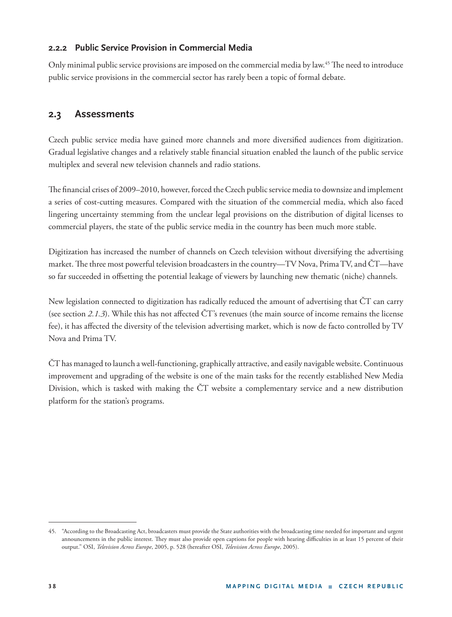### **2.2.2 Public Service Provision in Commercial Media**

Only minimal public service provisions are imposed on the commercial media by law.<sup>45</sup> The need to introduce public service provisions in the commercial sector has rarely been a topic of formal debate.

## **2.3 Assessments**

Czech public service media have gained more channels and more diversified audiences from digitization. Gradual legislative changes and a relatively stable financial situation enabled the launch of the public service multiplex and several new television channels and radio stations.

The financial crises of 2009–2010, however, forced the Czech public service media to downsize and implement a series of cost-cutting measures. Compared with the situation of the commercial media, which also faced lingering uncertainty stemming from the unclear legal provisions on the distribution of digital licenses to commercial players, the state of the public service media in the country has been much more stable.

Digitization has increased the number of channels on Czech television without diversifying the advertising market. The three most powerful television broadcasters in the country—TV Nova, Prima TV, and CT—have so far succeeded in offsetting the potential leakage of viewers by launching new thematic (niche) channels.

New legislation connected to digitization has radically reduced the amount of advertising that ČT can carry (see section 2.1.3). While this has not affected  $\text{CT's}$  revenues (the main source of income remains the license fee), it has aff ected the diversity of the television advertising market, which is now de facto controlled by TV Nova and Prima TV.

ČT has managed to launch a well-functioning, graphically attractive, and easily navigable website. Continuous improvement and upgrading of the website is one of the main tasks for the recently established New Media Division, which is tasked with making the ČT website a complementary service and a new distribution platform for the station's programs.

<sup>45. &</sup>quot;According to the Broadcasting Act, broadcasters must provide the State authorities with the broadcasting time needed for important and urgent announcements in the public interest. They must also provide open captions for people with hearing difficulties in at least 15 percent of their output." OSI, *Television Across Europe*, 2005, p. 528 (hereafter OSI, *Television Across Europe*, 2005).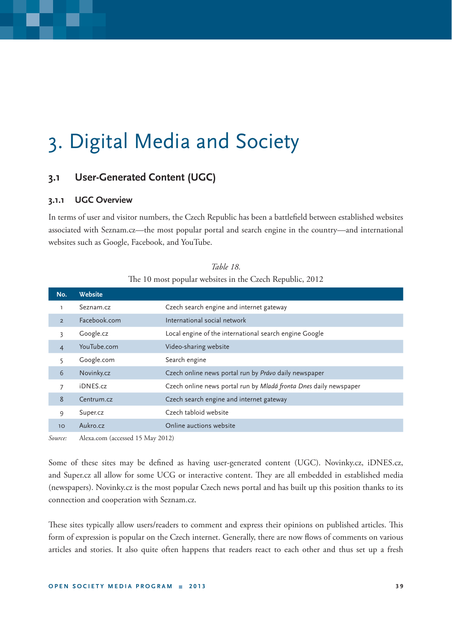# 3. Digital Media and Society

# **3.1 User-Generated Content (UGC)**

### **3.1.1 UGC Overview**

In terms of user and visitor numbers, the Czech Republic has been a battlefield between established websites associated with Seznam.cz—the most popular portal and search engine in the country—and international websites such as Google, Facebook, and YouTube.

| No.            | Website      |                                                                   |
|----------------|--------------|-------------------------------------------------------------------|
| ı              | Seznam.cz    | Czech search engine and internet gateway                          |
| $\overline{2}$ | Facebook.com | International social network                                      |
| 3              | Google.cz    | Local engine of the international search engine Google            |
| $\overline{4}$ | YouTube.com  | Video-sharing website                                             |
|                | Google.com   | Search engine                                                     |
| 6              | Novinky.cz   | Czech online news portal run by Právo daily newspaper             |
| 7              | iDNES.cz     | Czech online news portal run by Mladá fronta Dnes daily newspaper |
| 8              | Centrum.cz   | Czech search engine and internet gateway                          |
| 9              | Super.cz     | Czech tabloid website                                             |
| 10             | Aukro.cz     | Online auctions website                                           |
|                |              |                                                                   |

*Table 18.* The 10 most popular websites in the Czech Republic, 2012

*Source:* Alexa.com (accessed 15 May 2012)

Some of these sites may be defined as having user-generated content (UGC). Novinky.cz, iDNES.cz, and Super.cz all allow for some UCG or interactive content. They are all embedded in established media (newspapers). Novinky.cz is the most popular Czech news portal and has built up this position thanks to its connection and cooperation with Seznam.cz.

These sites typically allow users/readers to comment and express their opinions on published articles. This form of expression is popular on the Czech internet. Generally, there are now flows of comments on various articles and stories. It also quite often happens that readers react to each other and thus set up a fresh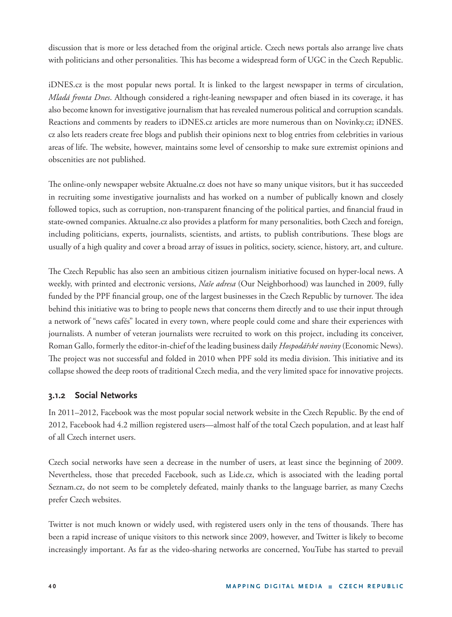discussion that is more or less detached from the original article. Czech news portals also arrange live chats with politicians and other personalities. This has become a widespread form of UGC in the Czech Republic.

iDNES.cz is the most popular news portal. It is linked to the largest newspaper in terms of circulation, *Mladá fronta Dnes*. Although considered a right-leaning newspaper and often biased in its coverage, it has also become known for investigative journalism that has revealed numerous political and corruption scandals. Reactions and comments by readers to iDNES.cz articles are more numerous than on Novinky.cz; iDNES. cz also lets readers create free blogs and publish their opinions next to blog entries from celebrities in various areas of life. The website, however, maintains some level of censorship to make sure extremist opinions and obscenities are not published.

The online-only newspaper website Aktualne.cz does not have so many unique visitors, but it has succeeded in recruiting some investigative journalists and has worked on a number of publically known and closely followed topics, such as corruption, non-transparent financing of the political parties, and financial fraud in state-owned companies. Aktualne.cz also provides a platform for many personalities, both Czech and foreign, including politicians, experts, journalists, scientists, and artists, to publish contributions. These blogs are usually of a high quality and cover a broad array of issues in politics, society, science, history, art, and culture.

The Czech Republic has also seen an ambitious citizen journalism initiative focused on hyper-local news. A weekly, with printed and electronic versions, *Naše adresa* (Our Neighborhood) was launched in 2009, fully funded by the PPF financial group, one of the largest businesses in the Czech Republic by turnover. The idea behind this initiative was to bring to people news that concerns them directly and to use their input through a network of "news cafés" located in every town, where people could come and share their experiences with journalists. A number of veteran journalists were recruited to work on this project, including its conceiver, Roman Gallo, formerly the editor-in-chief of the leading business daily *Hospodářské noviny* (Economic News). The project was not successful and folded in 2010 when PPF sold its media division. This initiative and its collapse showed the deep roots of traditional Czech media, and the very limited space for innovative projects.

### **3.1.2 Social Networks**

In 2011–2012, Facebook was the most popular social network website in the Czech Republic. By the end of 2012, Facebook had 4.2 million registered users—almost half of the total Czech population, and at least half of all Czech internet users.

Czech social networks have seen a decrease in the number of users, at least since the beginning of 2009. Nevertheless, those that preceded Facebook, such as Lide.cz, which is associated with the leading portal Seznam.cz, do not seem to be completely defeated, mainly thanks to the language barrier, as many Czechs prefer Czech websites.

Twitter is not much known or widely used, with registered users only in the tens of thousands. There has been a rapid increase of unique visitors to this network since 2009, however, and Twitter is likely to become increasingly important. As far as the video-sharing networks are concerned, YouTube has started to prevail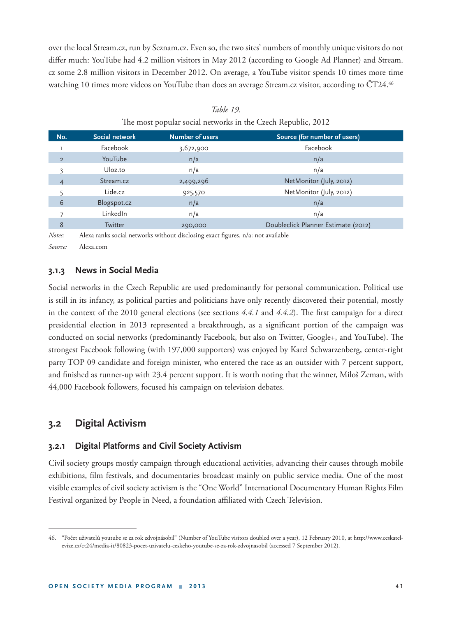over the local Stream.cz, run by Seznam.cz. Even so, the two sites' numbers of monthly unique visitors do not differ much: YouTube had 4.2 million visitors in May 2012 (according to Google Ad Planner) and Stream. cz some 2.8 million visitors in December 2012. On average, a YouTube visitor spends 10 times more time watching 10 times more videos on YouTube than does an average Stream.cz visitor, according to ČT24.<sup>46</sup>

| No.            | Social network  | <b>Number of users</b> | Source (for number of users)        |
|----------------|-----------------|------------------------|-------------------------------------|
|                | Facebook        | 3,672,900              | Facebook                            |
| $\overline{2}$ | YouTube         | n/a                    | n/a                                 |
| 3              | Uloz.to         | n/a                    | n/a                                 |
| 4              | Stream.cz       | 2,499,296              | NetMonitor (July, 2012)             |
|                | Lide.cz         | 925,570                | NetMonitor (July, 2012)             |
| 6              | Blogspot.cz     | n/a                    | n/a                                 |
|                | LinkedIn        | n/a                    | n/a                                 |
| 8              | <b>Twitter</b>  | 290,000                | Doubleclick Planner Estimate (2012) |
|                | $\cdot$ $\cdot$ | $\cdots$               | $\sim$                              |

| Table 19.                                                    |  |
|--------------------------------------------------------------|--|
| The most popular social networks in the Czech Republic, 2012 |  |

*Notes:* Alexa ranks social networks without disclosing exact figures. n/a: not available

*Source:* Alexa.com

### **3.1.3 News in Social Media**

Social networks in the Czech Republic are used predominantly for personal communication. Political use is still in its infancy, as political parties and politicians have only recently discovered their potential, mostly in the context of the 2010 general elections (see sections  $4.4.1$  and  $4.4.2$ ). The first campaign for a direct presidential election in 2013 represented a breakthrough, as a significant portion of the campaign was conducted on social networks (predominantly Facebook, but also on Twitter, Google+, and YouTube). The strongest Facebook following (with 197,000 supporters) was enjoyed by Karel Schwarzenberg, center-right party TOP 09 candidate and foreign minister, who entered the race as an outsider with 7 percent support, and finished as runner-up with 23.4 percent support. It is worth noting that the winner, Miloš Zeman, with 44,000 Facebook followers, focused his campaign on television debates.

## **3.2 Digital Activism**

### **3.2.1 Digital Platforms and Civil Society Activism**

Civil society groups mostly campaign through educational activities, advancing their causes through mobile exhibitions, film festivals, and documentaries broadcast mainly on public service media. One of the most visible examples of civil society activism is the "One World" International Documentary Human Rights Film Festival organized by People in Need, a foundation affiliated with Czech Television.

<sup>46. &</sup>quot;Počet uživatelů youtube se za rok zdvojnásobil" (Number of YouTube visitors doubled over a year), 12 February 2010, at http://www.ceskatelevize.cz/ct24/media-it/80823-pocet-uzivatelu-ceskeho-youtube-se-za-rok-zdvojnasobil (accessed 7 September 2012).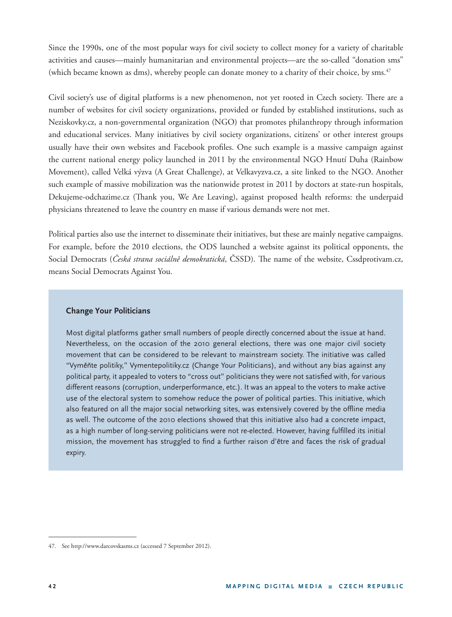Since the 1990s, one of the most popular ways for civil society to collect money for a variety of charitable activities and causes—mainly humanitarian and environmental projects—are the so-called "donation sms" (which became known as dms), whereby people can donate money to a charity of their choice, by sms.<sup>47</sup>

Civil society's use of digital platforms is a new phenomenon, not yet rooted in Czech society. There are a number of websites for civil society organizations, provided or funded by established institutions, such as Neziskovky.cz, a non-governmental organization (NGO) that promotes philanthropy through information and educational services. Many initiatives by civil society organizations, citizens' or other interest groups usually have their own websites and Facebook profiles. One such example is a massive campaign against the current national energy policy launched in 2011 by the environmental NGO Hnutí Duha (Rainbow Movement), called Velká výzva (A Great Challenge), at Velkavyzva.cz, a site linked to the NGO. Another such example of massive mobilization was the nationwide protest in 2011 by doctors at state-run hospitals, Dekujeme-odchazime.cz (Thank you, We Are Leaving), against proposed health reforms: the underpaid physicians threatened to leave the country en masse if various demands were not met.

Political parties also use the internet to disseminate their initiatives, but these are mainly negative campaigns. For example, before the 2010 elections, the ODS launched a website against its political opponents, the Social Democrats (*Česká strana sociálně demokratická*, ČSSD). The name of the website, Cssdprotivam.cz, means Social Democrats Against You.

#### **Change Your Politicians**

Most digital platforms gather small numbers of people directly concerned about the issue at hand. Nevertheless, on the occasion of the 2010 general elections, there was one major civil society movement that can be considered to be relevant to mainstream society. The initiative was called "Vyměňte politiky," Vymentepolitiky.cz (Change Your Politicians), and without any bias against any political party, it appealed to voters to "cross out" politicians they were not satisfied with, for various different reasons (corruption, underperformance, etc.). It was an appeal to the voters to make active use of the electoral system to somehow reduce the power of political parties. This initiative, which also featured on all the major social networking sites, was extensively covered by the offline media as well. The outcome of the 2010 elections showed that this initiative also had a concrete impact, as a high number of long-serving politicians were not re-elected. However, having fulfilled its initial mission, the movement has struggled to find a further raison d'être and faces the risk of gradual expiry.

<sup>47.</sup> See http://www.darcovskasms.cz (accessed 7 September 2012).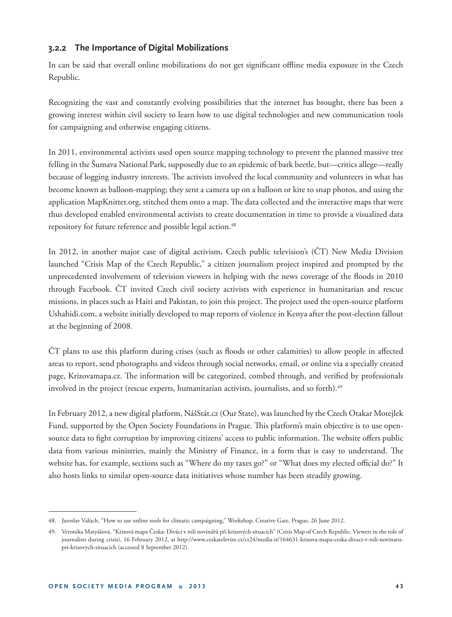### **3.2.2 The Importance of Digital Mobilizations**

In can be said that overall online mobilizations do not get significant offline media exposure in the Czech Republic.

Recognizing the vast and constantly evolving possibilities that the internet has brought, there has been a growing interest within civil society to learn how to use digital technologies and new communication tools for campaigning and otherwise engaging citizens.

In 2011, environmental activists used open source mapping technology to prevent the planned massive tree felling in the Šumava National Park, supposedly due to an epidemic of bark beetle, but—critics allege—really because of logging industry interests. The activists involved the local community and volunteers in what has become known as balloon-mapping; they sent a camera up on a balloon or kite to snap photos, and using the application MapKnitter.org, stitched them onto a map. The data collected and the interactive maps that were thus developed enabled environmental activists to create documentation in time to provide a visualized data repository for future reference and possible legal action.<sup>48</sup>

In 2012, in another major case of digital activism, Czech public television's (ČT) New Media Division launched "Crisis Map of the Czech Republic," a citizen journalism project inspired and prompted by the unprecedented involvement of television viewers in helping with the news coverage of the floods in 2010 through Facebook. ČT invited Czech civil society activists with experience in humanitarian and rescue missions, in places such as Haiti and Pakistan, to join this project. The project used the open-source platform Ushahidi.com, a website initially developed to map reports of violence in Kenya after the post-election fallout at the beginning of 2008.

 $\overline{C}T$  plans to use this platform during crises (such as floods or other calamities) to allow people in affected areas to report, send photographs and videos through social networks, email, or online via a specially created page, Krizovamapa.cz. The information will be categorized, combed through, and verified by professionals involved in the project (rescue experts, humanitarian activists, journalists, and so forth).<sup>49</sup>

In February 2012, a new digital platform, NášStát.cz (Our State), was launched by the Czech Otakar Motejlek Fund, supported by the Open Society Foundations in Prague. This platform's main objective is to use opensource data to fight corruption by improving citizens' access to public information. The website offers public data from various ministries, mainly the Ministry of Finance, in a form that is easy to understand. The website has, for example, sections such as "Where do my taxes go?" or "What does my elected official do?" It also hosts links to similar open-source data initiatives whose number has been steadily growing.

<sup>48.</sup> Jaroslav Valůch, "How to use online tools for climatic campaigning," Workshop, Creative Gate, Prague, 26 June 2012.

<sup>49.</sup> Veronika Matyášová, "Krizová mapa Česka: Diváci v roli novinářů při krizových situacích" (Crisis Map of Czech Republic: Viewers in the role of journalists during crisis), 16 February 2012, at http://www.ceskatelevize.cz/ct24/media-it/164631-krizova-mapa-ceska-divaci-v-roli-novinarupri-krizovych-situacich (accessed 8 September 2012).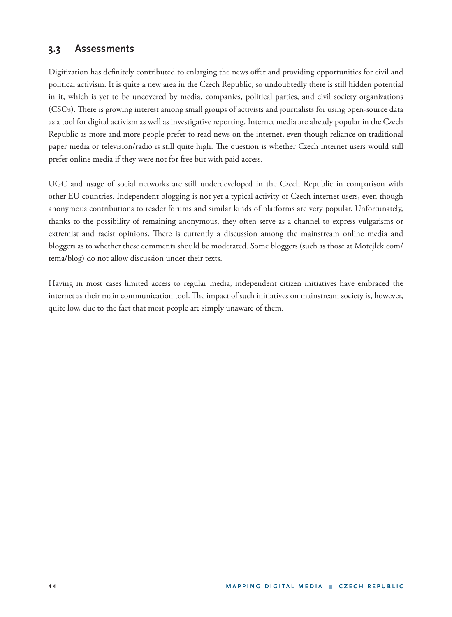# **3.3 Assessments**

Digitization has definitely contributed to enlarging the news offer and providing opportunities for civil and political activism. It is quite a new area in the Czech Republic, so undoubtedly there is still hidden potential in it, which is yet to be uncovered by media, companies, political parties, and civil society organizations (CSOs). There is growing interest among small groups of activists and journalists for using open-source data as a tool for digital activism as well as investigative reporting. Internet media are already popular in the Czech Republic as more and more people prefer to read news on the internet, even though reliance on traditional paper media or television/radio is still quite high. The question is whether Czech internet users would still prefer online media if they were not for free but with paid access.

UGC and usage of social networks are still underdeveloped in the Czech Republic in comparison with other EU countries. Independent blogging is not yet a typical activity of Czech internet users, even though anonymous contributions to reader forums and similar kinds of platforms are very popular. Unfortunately, thanks to the possibility of remaining anonymous, they often serve as a channel to express vulgarisms or extremist and racist opinions. There is currently a discussion among the mainstream online media and bloggers as to whether these comments should be moderated. Some bloggers (such as those at Motejlek.com/ tema/blog) do not allow discussion under their texts.

Having in most cases limited access to regular media, independent citizen initiatives have embraced the internet as their main communication tool. The impact of such initiatives on mainstream society is, however, quite low, due to the fact that most people are simply unaware of them.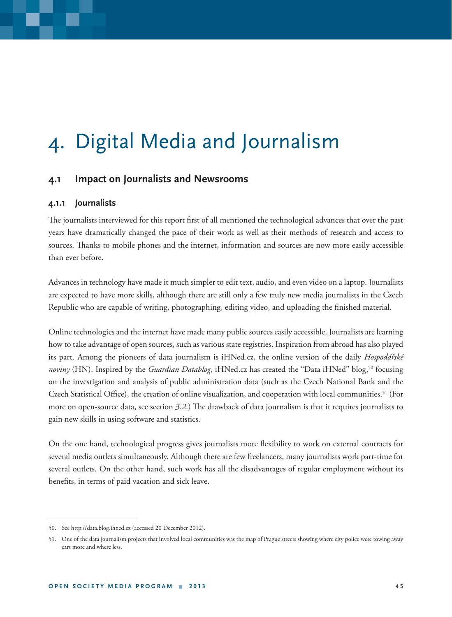# 4. Digital Media and Journalism

## **4.1 Impact on Journalists and Newsrooms**

### **4.1.1 Journalists**

The journalists interviewed for this report first of all mentioned the technological advances that over the past years have dramatically changed the pace of their work as well as their methods of research and access to sources. Thanks to mobile phones and the internet, information and sources are now more easily accessible than ever before.

Advances in technology have made it much simpler to edit text, audio, and even video on a laptop. Journalists are expected to have more skills, although there are still only a few truly new media journalists in the Czech Republic who are capable of writing, photographing, editing video, and uploading the finished material.

Online technologies and the internet have made many public sources easily accessible. Journalists are learning how to take advantage of open sources, such as various state registries. Inspiration from abroad has also played its part. Among the pioneers of data journalism is iHNed.cz, the online version of the daily *Hospodářské noviny* (HN). Inspired by the *Guardian Datablog*, iHNed.cz has created the "Data iHNed" blog,<sup>50</sup> focusing on the investigation and analysis of public administration data (such as the Czech National Bank and the Czech Statistical Office), the creation of online visualization, and cooperation with local communities.<sup>51</sup> (For more on open-source data, see section *3.2*.) The drawback of data journalism is that it requires journalists to gain new skills in using software and statistics.

On the one hand, technological progress gives journalists more flexibility to work on external contracts for several media outlets simultaneously. Although there are few freelancers, many journalists work part-time for several outlets. On the other hand, such work has all the disadvantages of regular employment without its benefits, in terms of paid vacation and sick leave.

<sup>50.</sup> See http://data.blog.ihned.cz (accessed 20 December 2012).

<sup>51.</sup> One of the data journalism projects that involved local communities was the map of Prague streets showing where city police were towing away cars more and where less.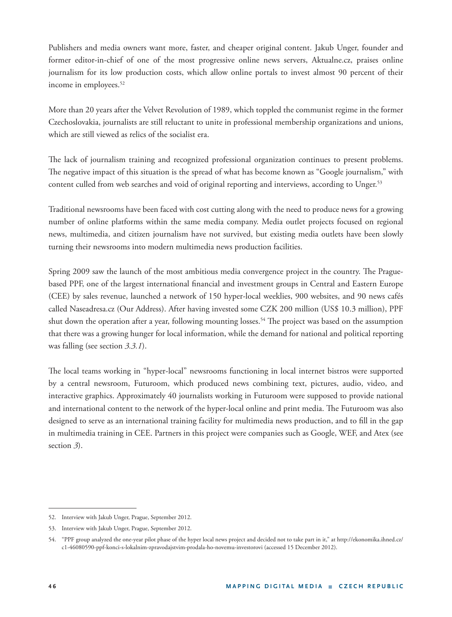Publishers and media owners want more, faster, and cheaper original content. Jakub Unger, founder and former editor-in-chief of one of the most progressive online news servers, Aktualne.cz, praises online journalism for its low production costs, which allow online portals to invest almost 90 percent of their income in employees.<sup>52</sup>

More than 20 years after the Velvet Revolution of 1989, which toppled the communist regime in the former Czechoslovakia, journalists are still reluctant to unite in professional membership organizations and unions, which are still viewed as relics of the socialist era.

The lack of journalism training and recognized professional organization continues to present problems. The negative impact of this situation is the spread of what has become known as "Google journalism," with content culled from web searches and void of original reporting and interviews, according to Unger.<sup>53</sup>

Traditional newsrooms have been faced with cost cutting along with the need to produce news for a growing number of online platforms within the same media company. Media outlet projects focused on regional news, multimedia, and citizen journalism have not survived, but existing media outlets have been slowly turning their newsrooms into modern multimedia news production facilities.

Spring 2009 saw the launch of the most ambitious media convergence project in the country. The Praguebased PPF, one of the largest international financial and investment groups in Central and Eastern Europe (CEE) by sales revenue, launched a network of 150 hyper-local weeklies, 900 websites, and 90 news cafés called Naseadresa.cz (Our Address). After having invested some CZK 200 million (US\$ 10.3 million), PPF shut down the operation after a year, following mounting losses.<sup>54</sup> The project was based on the assumption that there was a growing hunger for local information, while the demand for national and political reporting was falling (see section *3.3.1*).

The local teams working in "hyper-local" newsrooms functioning in local internet bistros were supported by a central newsroom, Futuroom, which produced news combining text, pictures, audio, video, and interactive graphics. Approximately 40 journalists working in Futuroom were supposed to provide national and international content to the network of the hyper-local online and print media. The Futuroom was also designed to serve as an international training facility for multimedia news production, and to fill in the gap in multimedia training in CEE. Partners in this project were companies such as Google, WEF, and Atex (see section *3*).

<sup>52.</sup> Interview with Jakub Unger, Prague, September 2012.

<sup>53.</sup> Interview with Jakub Unger, Prague, September 2012.

<sup>54. &</sup>quot;PPF group analyzed the one-year pilot phase of the hyper local news project and decided not to take part in it," at http://ekonomika.ihned.cz/ c1-46080590-ppf-konci-s-lokalnim-zpravodajstvim-prodala-ho-novemu-investorovi (accessed 15 December 2012).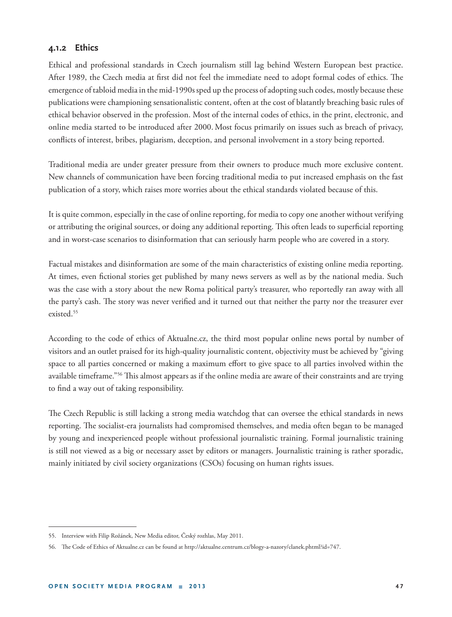### **4.1.2 Ethics**

Ethical and professional standards in Czech journalism still lag behind Western European best practice. After 1989, the Czech media at first did not feel the immediate need to adopt formal codes of ethics. The emergence of tabloid media in the mid-1990s sped up the process of adopting such codes, mostly because these publications were championing sensationalistic content, often at the cost of blatantly breaching basic rules of ethical behavior observed in the profession. Most of the internal codes of ethics, in the print, electronic, and online media started to be introduced after 2000. Most focus primarily on issues such as breach of privacy, conflicts of interest, bribes, plagiarism, deception, and personal involvement in a story being reported.

Traditional media are under greater pressure from their owners to produce much more exclusive content. New channels of communication have been forcing traditional media to put increased emphasis on the fast publication of a story, which raises more worries about the ethical standards violated because of this.

It is quite common, especially in the case of online reporting, for media to copy one another without verifying or attributing the original sources, or doing any additional reporting. This often leads to superficial reporting and in worst-case scenarios to disinformation that can seriously harm people who are covered in a story.

Factual mistakes and disinformation are some of the main characteristics of existing online media reporting. At times, even fictional stories get published by many news servers as well as by the national media. Such was the case with a story about the new Roma political party's treasurer, who reportedly ran away with all the party's cash. The story was never verified and it turned out that neither the party nor the treasurer ever existed<sup>55</sup>

According to the code of ethics of Aktualne.cz, the third most popular online news portal by number of visitors and an outlet praised for its high-quality journalistic content, objectivity must be achieved by "giving space to all parties concerned or making a maximum effort to give space to all parties involved within the available timeframe."<sup>56</sup> This almost appears as if the online media are aware of their constraints and are trying to find a way out of taking responsibility.

The Czech Republic is still lacking a strong media watchdog that can oversee the ethical standards in news reporting. The socialist-era journalists had compromised themselves, and media often began to be managed by young and inexperienced people without professional journalistic training. Formal journalistic training is still not viewed as a big or necessary asset by editors or managers. Journalistic training is rather sporadic, mainly initiated by civil society organizations (CSOs) focusing on human rights issues.

<sup>55.</sup> Interview with Filip Rožánek, New Media editor, Český rozhlas, May 2011.

<sup>56.</sup> The Code of Ethics of Aktualne.cz can be found at http://aktualne.centrum.cz/blogy-a-nazory/clanek.phtml?id=747.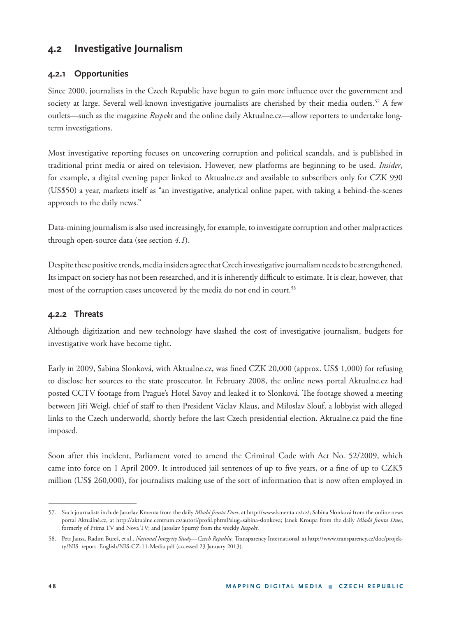# **4.2 Investigative Journalism**

### **4.2.1 Opportunities**

Since 2000, journalists in the Czech Republic have begun to gain more influence over the government and society at large. Several well-known investigative journalists are cherished by their media outlets.<sup>57</sup> A few outlets—such as the magazine *Respekt* and the online daily Aktualne.cz*—*allow reporters to undertake longterm investigations.

Most investigative reporting focuses on uncovering corruption and political scandals, and is published in traditional print media or aired on television. However, new platforms are beginning to be used. *Insider*, for example, a digital evening paper linked to Aktualne.cz and available to subscribers only for CZK 990 (US\$50) a year, markets itself as "an investigative, analytical online paper, with taking a behind-the-scenes approach to the daily news."

Data-mining journalism is also used increasingly, for example, to investigate corruption and other malpractices through open-source data (see section *4.1*).

Despite these positive trends, media insiders agree that Czech investigative journalism needs to be strengthened. Its impact on society has not been researched, and it is inherently difficult to estimate. It is clear, however, that most of the corruption cases uncovered by the media do not end in court.<sup>58</sup>

### **4.2.2 Threats**

Although digitization and new technology have slashed the cost of investigative journalism, budgets for investigative work have become tight.

Early in 2009, Sabina Slonková, with Aktualne.cz, was fined CZK 20,000 (approx. US\$ 1,000) for refusing to disclose her sources to the state prosecutor. In February 2008, the online news portal Aktualne.cz had posted CCTV footage from Prague's Hotel Savoy and leaked it to Slonková. The footage showed a meeting between Jiří Weigl, chief of staff to then President Václav Klaus, and Miloslav Slouf, a lobbyist with alleged links to the Czech underworld, shortly before the last Czech presidential election. Aktualne.cz paid the fine imposed.

Soon after this incident, Parliament voted to amend the Criminal Code with Act No. 52/2009, which came into force on 1 April 2009. It introduced jail sentences of up to five years, or a fine of up to CZK5 million (US\$ 260,000), for journalists making use of the sort of information that is now often employed in

<sup>57.</sup> Such journalists include Jaroslav Kmenta from the daily *Mladá fronta Dnes*, at http://www.kmenta.cz/cz/; Sabina Slonková from the online news portal Aktuálně.cz, at http://aktualne.centrum.cz/autori/profil.phtml?slug=sabina-slonkova; Janek Kroupa from the daily *Mladá fronta Dnes*, formerly of Prima TV and Nova TV; and Jaroslav Spurný from the weekly *Respekt*.

<sup>58.</sup> Petr Jansa, Radim Bureš, et al., *National Integrity Study*—*Czech Republic*, Transparency International, at http://www.transparency.cz/doc/projekty/NIS\_report\_English/NIS-CZ-11-Media.pdf (accessed 23 January 2013).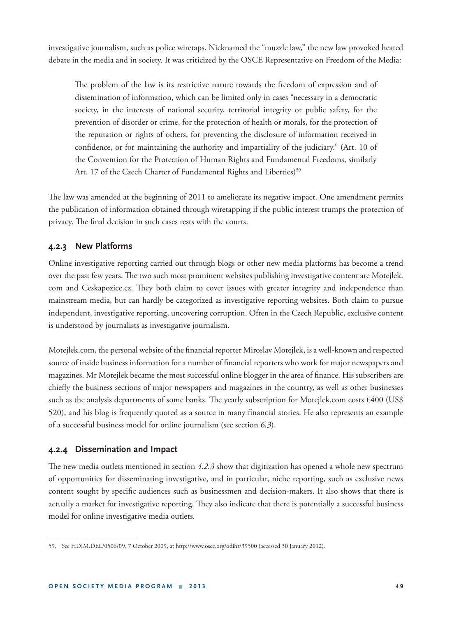investigative journalism, such as police wiretaps. Nicknamed the "muzzle law," the new law provoked heated debate in the media and in society. It was criticized by the OSCE Representative on Freedom of the Media:

The problem of the law is its restrictive nature towards the freedom of expression and of dissemination of information, which can be limited only in cases "necessary in a democratic society, in the interests of national security, territorial integrity or public safety, for the prevention of disorder or crime, for the protection of health or morals, for the protection of the reputation or rights of others, for preventing the disclosure of information received in confidence, or for maintaining the authority and impartiality of the judiciary." (Art. 10 of the Convention for the Protection of Human Rights and Fundamental Freedoms, similarly Art. 17 of the Czech Charter of Fundamental Rights and Liberties)<sup>59</sup>

The law was amended at the beginning of 2011 to ameliorate its negative impact. One amendment permits the publication of information obtained through wiretapping if the public interest trumps the protection of privacy. The final decision in such cases rests with the courts.

### **4.2.3 New Platforms**

Online investigative reporting carried out through blogs or other new media platforms has become a trend over the past few years. The two such most prominent websites publishing investigative content are Motejlek. com and Ceskapozice.cz. They both claim to cover issues with greater integrity and independence than mainstream media, but can hardly be categorized as investigative reporting websites. Both claim to pursue independent, investigative reporting, uncovering corruption. Often in the Czech Republic, exclusive content is understood by journalists as investigative journalism.

Motejlek.com, the personal website of the financial reporter Miroslav Motejlek, is a well-known and respected source of inside business information for a number of financial reporters who work for major newspapers and magazines. Mr Motejlek became the most successful online blogger in the area of finance. His subscribers are chiefly the business sections of major newspapers and magazines in the country, as well as other businesses such as the analysis departments of some banks. The yearly subscription for Motejlek.com costs  $\epsilon$ 400 (US\$) 520), and his blog is frequently quoted as a source in many financial stories. He also represents an example of a successful business model for online journalism (see section *6.3*).

### **4.2.4 Dissemination and Impact**

The new media outlets mentioned in section 4.2.3 show that digitization has opened a whole new spectrum of opportunities for disseminating investigative, and in particular, niche reporting, such as exclusive news content sought by specific audiences such as businessmen and decision-makers. It also shows that there is actually a market for investigative reporting. They also indicate that there is potentially a successful business model for online investigative media outlets.

<sup>59.</sup> See HDIM.DEL/0506/09, 7 October 2009, at http://www.osce.org/odihr/39500 (accessed 30 January 2012).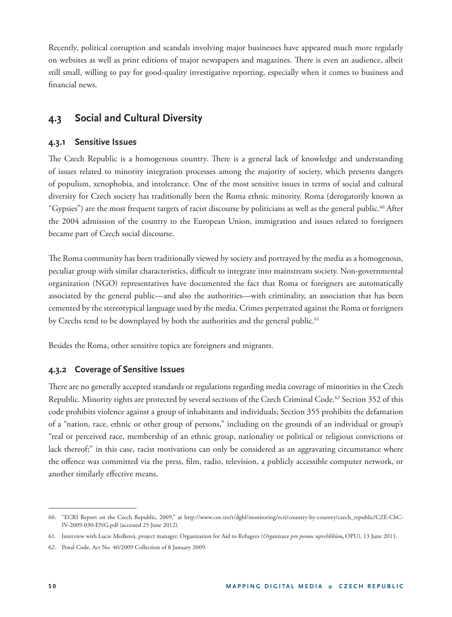Recently, political corruption and scandals involving major businesses have appeared much more regularly on websites as well as print editions of major newspapers and magazines. There is even an audience, albeit still small, willing to pay for good-quality investigative reporting, especially when it comes to business and financial news

# **4.3 Social and Cultural Diversity**

### **4.3.1 Sensitive Issues**

The Czech Republic is a homogenous country. There is a general lack of knowledge and understanding of issues related to minority integration processes among the majority of society, which presents dangers of populism, xenophobia, and intolerance. One of the most sensitive issues in terms of social and cultural diversity for Czech society has traditionally been the Roma ethnic minority. Roma (derogatorily known as "Gypsies") are the most frequent targets of racist discourse by politicians as well as the general public.<sup>60</sup> After the 2004 admission of the country to the European Union, immigration and issues related to foreigners became part of Czech social discourse.

The Roma community has been traditionally viewed by society and portrayed by the media as a homogenous, peculiar group with similar characteristics, difficult to integrate into mainstream society. Non-governmental organization (NGO) representatives have documented the fact that Roma or foreigners are automatically associated by the general public—and also the authorities—with criminality, an association that has been cemented by the stereotypical language used by the media. Crimes perpetrated against the Roma or foreigners by Czechs tend to be downplayed by both the authorities and the general public.<sup>61</sup>

Besides the Roma, other sensitive topics are foreigners and migrants.

## **4.3.2 Coverage of Sensitive Issues**

There are no generally accepted standards or regulations regarding media coverage of minorities in the Czech Republic. Minority rights are protected by several sections of the Czech Criminal Code.<sup>62</sup> Section 352 of this code prohibits violence against a group of inhabitants and individuals; Section 355 prohibits the defamation of a "nation, race, ethnic or other group of persons," including on the grounds of an individual or group's "real or perceived race, membership of an ethnic group, nationality or political or religious convictions or lack thereof;" in this case, racist motivations can only be considered as an aggravating circumstance where the offence was committed via the press, film, radio, television, a publicly accessible computer network, or another similarly effective means.

<sup>60. &</sup>quot;ECRI Report on the Czech Republic, 2009," at http://www.coe.int/t/dghl/monitoring/ecri/country-by-country/czech\_republic/CZE-CbC-IV-2009-030-ENG.pdf (accessed 25 June 2012).

<sup>61.</sup> Interview with Lucie Medková, project manager, Organization for Aid to Refugees (*Organizace pro pomoc uprchlíkům***,** OPU), 13 June 2011.

<sup>62.</sup> Penal Code, Act No. 40/2009 Collection of 8 January 2009.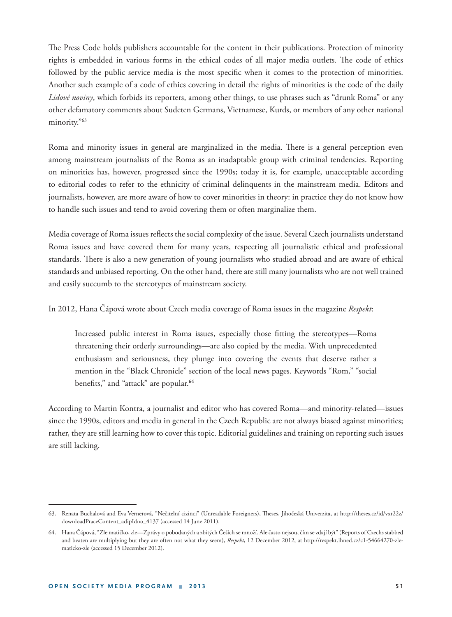The Press Code holds publishers accountable for the content in their publications. Protection of minority rights is embedded in various forms in the ethical codes of all major media outlets. The code of ethics followed by the public service media is the most specific when it comes to the protection of minorities. Another such example of a code of ethics covering in detail the rights of minorities is the code of the daily *Lidové noviny*, which forbids its reporters, among other things, to use phrases such as "drunk Roma" or any other defamatory comments about Sudeten Germans, Vietnamese, Kurds, or members of any other national minority."63

Roma and minority issues in general are marginalized in the media. There is a general perception even among mainstream journalists of the Roma as an inadaptable group with criminal tendencies. Reporting on minorities has, however, progressed since the 1990s; today it is, for example, unacceptable according to editorial codes to refer to the ethnicity of criminal delinquents in the mainstream media. Editors and journalists, however, are more aware of how to cover minorities in theory: in practice they do not know how to handle such issues and tend to avoid covering them or often marginalize them.

Media coverage of Roma issues reflects the social complexity of the issue. Several Czech journalists understand Roma issues and have covered them for many years, respecting all journalistic ethical and professional standards. There is also a new generation of young journalists who studied abroad and are aware of ethical standards and unbiased reporting. On the other hand, there are still many journalists who are not well trained and easily succumb to the stereotypes of mainstream society.

In 2012, Hana Čápová wrote about Czech media coverage of Roma issues in the magazine *Respekt*:

Increased public interest in Roma issues, especially those fitting the stereotypes—Roma threatening their orderly surroundings—are also copied by the media. With unprecedented enthusiasm and seriousness, they plunge into covering the events that deserve rather a mention in the "Black Chronicle" section of the local news pages. Keywords "Rom," "social benefits," and "attack" are popular.<sup>64</sup>

According to Martin Kontra, a journalist and editor who has covered Roma—and minority-related—issues since the 1990s, editors and media in general in the Czech Republic are not always biased against minorities; rather, they are still learning how to cover this topic. Editorial guidelines and training on reporting such issues are still lacking.

<sup>63.</sup> Renata Buchalová and Eva Vernerová, "Nečitelní cizinci" (Unreadable Foreigners), Theses, Jihočeská Univerzita, at http://theses.cz/id/vxr22z/ downloadPraceContent\_adipIdno\_4137 (accessed 14 June 2011).

<sup>64.</sup> Hana Čápová, "Zle matičko, zle—Zprávy o pobodaných a zbitých Češích se množí. Ale často nejsou, čím se zdají být" (Reports of Czechs stabbed and beaten are multiplying but they are often not what they seem), *Respekt*, 12 December 2012, at http://respekt.ihned.cz/c1-54664270-zlematicko-zle (accessed 15 December 2012).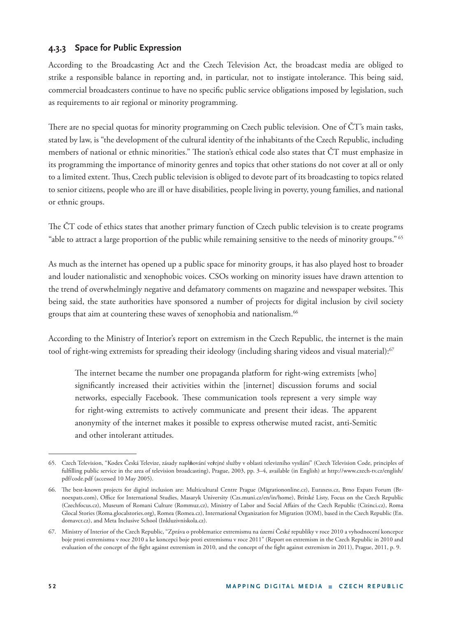## **4.3.3 Space for Public Expression**

According to the Broadcasting Act and the Czech Television Act, the broadcast media are obliged to strike a responsible balance in reporting and, in particular, not to instigate intolerance. This being said, commercial broadcasters continue to have no specific public service obligations imposed by legislation, such as requirements to air regional or minority programming.

There are no special quotas for minority programming on Czech public television. One of CT's main tasks, stated by law, is "the development of the cultural identity of the inhabitants of the Czech Republic, including members of national or ethnic minorities." The station's ethical code also states that  $\text{CT}$  must emphasize in its programming the importance of minority genres and topics that other stations do not cover at all or only to a limited extent. Thus, Czech public television is obliged to devote part of its broadcasting to topics related to senior citizens, people who are ill or have disabilities, people living in poverty, young families, and national or ethnic groups.

The ČT code of ethics states that another primary function of Czech public television is to create programs "able to attract a large proportion of the public while remaining sensitive to the needs of minority groups." 65

As much as the internet has opened up a public space for minority groups, it has also played host to broader and louder nationalistic and xenophobic voices. CSOs working on minority issues have drawn attention to the trend of overwhelmingly negative and defamatory comments on magazine and newspaper websites. This being said, the state authorities have sponsored a number of projects for digital inclusion by civil society groups that aim at countering these waves of xenophobia and nationalism.<sup>66</sup>

According to the Ministry of Interior's report on extremism in the Czech Republic, the internet is the main tool of right-wing extremists for spreading their ideology (including sharing videos and visual material):<sup>67</sup>

The internet became the number one propaganda platform for right-wing extremists [who] significantly increased their activities within the [internet] discussion forums and social networks, especially Facebook. These communication tools represent a very simple way for right-wing extremists to actively communicate and present their ideas. The apparent anonymity of the internet makes it possible to express otherwise muted racist, anti-Semitic and other intolerant attitudes.

<sup>65.</sup> Czech Television, "Kodex Česká Televize, zásady napl**ň**ování ve**ř**ejné služby v oblasti televizního vysílání" (Czech Television Code, principles of fulfilling public service in the area of television broadcasting), Prague, 2003, pp. 3-4, available (in English) at http://www.czech-tv.cz/english/ pdf/code.pdf (accessed 10 May 2005).

<sup>66.</sup> The best-known projects for digital inclusion are: Multicultural Centre Prague (Migrationonline.cz), Euraxess.cz, Brno Expats Forum (Brnoexpats.com), Office for International Studies, Masaryk University (Czs.muni.cz/en/in/home), Britské Listy, Focus on the Czech Republic (Czechfocus.cz), Museum of Romani Culture (Rommuz.cz), Ministry of Labor and Social Affairs of the Czech Republic (Cizinci.cz), Roma Glocal Stories (Roma.glocalstories.org), Romea (Romea.cz), International Organization for Migration (IOM), based in the Czech Republic (En. domavcr.cz), and Meta Inclusive School (Inkluzivniskola.cz).

<sup>67.</sup> Ministry of Interior of the Czech Republic, "Zpráva o problematice extremismu na území České republiky v roce 2010 a vyhodnocení koncepce boje proti extremismu v roce 2010 a ke koncepci boje proti extremismu v roce 2011" (Report on extremism in the Czech Republic in 2010 and evaluation of the concept of the fight against extremism in 2010, and the concept of the fight against extremism in 2011), Prague, 2011, p. 9.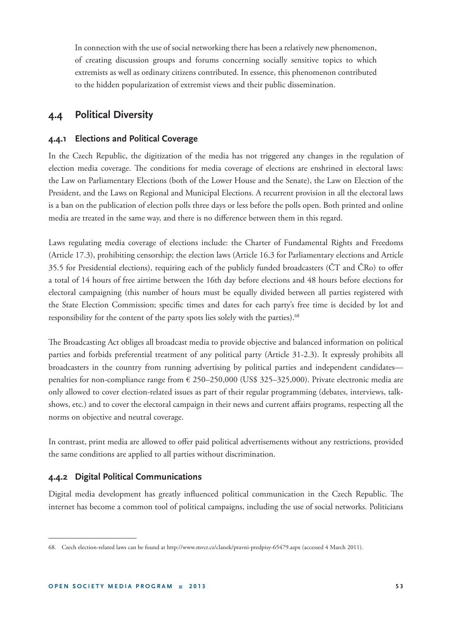In connection with the use of social networking there has been a relatively new phenomenon, of creating discussion groups and forums concerning socially sensitive topics to which extremists as well as ordinary citizens contributed. In essence, this phenomenon contributed to the hidden popularization of extremist views and their public dissemination.

# **4.4 Political Diversity**

### **4.4.1 Elections and Political Coverage**

In the Czech Republic, the digitization of the media has not triggered any changes in the regulation of election media coverage. The conditions for media coverage of elections are enshrined in electoral laws: the Law on Parliamentary Elections (both of the Lower House and the Senate), the Law on Election of the President, and the Laws on Regional and Municipal Elections. A recurrent provision in all the electoral laws is a ban on the publication of election polls three days or less before the polls open. Both printed and online media are treated in the same way, and there is no difference between them in this regard.

Laws regulating media coverage of elections include: the Charter of Fundamental Rights and Freedoms (Article 17.3), prohibiting censorship; the election laws (Article 16.3 for Parliamentary elections and Article 35.5 for Presidential elections), requiring each of the publicly funded broadcasters (CT and CRo) to offer a total of 14 hours of free airtime between the 16th day before elections and 48 hours before elections for electoral campaigning (this number of hours must be equally divided between all parties registered with the State Election Commission; specific times and dates for each party's free time is decided by lot and responsibility for the content of the party spots lies solely with the parties).<sup>68</sup>

The Broadcasting Act obliges all broadcast media to provide objective and balanced information on political parties and forbids preferential treatment of any political party (Article 31-2.3). It expressly prohibits all broadcasters in the country from running advertising by political parties and independent candidates penalties for non-compliance range from € 250–250,000 (US\$ 325–325,000). Private electronic media are only allowed to cover election-related issues as part of their regular programming (debates, interviews, talkshows, etc.) and to cover the electoral campaign in their news and current affairs programs, respecting all the norms on objective and neutral coverage.

In contrast, print media are allowed to offer paid political advertisements without any restrictions, provided the same conditions are applied to all parties without discrimination.

### **4.4.2 Digital Political Communications**

Digital media development has greatly influenced political communication in the Czech Republic. The internet has become a common tool of political campaigns, including the use of social networks. Politicians

<sup>68.</sup> Czech election-related laws can be found at http://www.mvcr.cz/clanek/pravni-predpisy-65479.aspx (accessed 4 March 2011).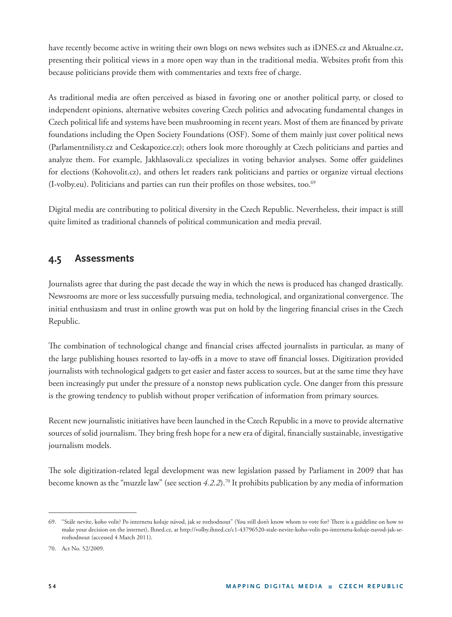have recently become active in writing their own blogs on news websites such as iDNES.cz and Aktualne.cz, presenting their political views in a more open way than in the traditional media. Websites profit from this because politicians provide them with commentaries and texts free of charge.

As traditional media are often perceived as biased in favoring one or another political party, or closed to independent opinions, alternative websites covering Czech politics and advocating fundamental changes in Czech political life and systems have been mushrooming in recent years. Most of them are financed by private foundations including the Open Society Foundations (OSF). Some of them mainly just cover political news (Parlamentnilisty.cz and Ceskapozice.cz); others look more thoroughly at Czech politicians and parties and analyze them. For example, Jakhlasovali.cz specializes in voting behavior analyses. Some offer guidelines for elections (Kohovolit.cz), and others let readers rank politicians and parties or organize virtual elections (I-volby.eu). Politicians and parties can run their profiles on those websites, too. $69$ 

Digital media are contributing to political diversity in the Czech Republic. Nevertheless, their impact is still quite limited as traditional channels of political communication and media prevail.

# **4.5 Assessments**

Journalists agree that during the past decade the way in which the news is produced has changed drastically. Newsrooms are more or less successfully pursuing media, technological, and organizational convergence. The initial enthusiasm and trust in online growth was put on hold by the lingering financial crises in the Czech Republic.

The combination of technological change and financial crises affected journalists in particular, as many of the large publishing houses resorted to lay-offs in a move to stave off financial losses. Digitization provided journalists with technological gadgets to get easier and faster access to sources, but at the same time they have been increasingly put under the pressure of a nonstop news publication cycle. One danger from this pressure is the growing tendency to publish without proper verification of information from primary sources.

Recent new journalistic initiatives have been launched in the Czech Republic in a move to provide alternative sources of solid journalism. They bring fresh hope for a new era of digital, financially sustainable, investigative journalism models.

The sole digitization-related legal development was new legislation passed by Parliament in 2009 that has become known as the "muzzle law" (see section *4.2.2*).70 It prohibits publication by any media of information

<sup>69. &</sup>quot;Stále nevíte, koho volit? Po internetu koluje návod, jak se rozhodnout" (You still don't know whom to vote for? There is a guideline on how to make your decision on the internet), Ihned.cz, at http://volby.ihned.cz/c1-43796520-stale-nevite-koho-volit-po-internetu-koluje-navod-jak-serozhodnout (accessed 4 March 2011).

<sup>70.</sup> Act No. 52/2009.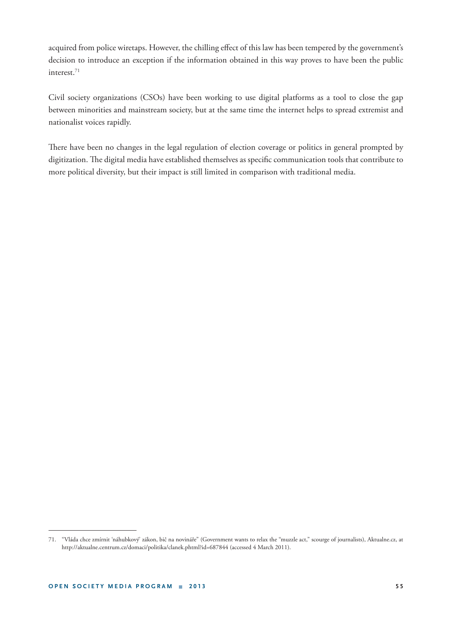acquired from police wiretaps. However, the chilling effect of this law has been tempered by the government's decision to introduce an exception if the information obtained in this way proves to have been the public interest.71

Civil society organizations (CSOs) have been working to use digital platforms as a tool to close the gap between minorities and mainstream society, but at the same time the internet helps to spread extremist and nationalist voices rapidly.

There have been no changes in the legal regulation of election coverage or politics in general prompted by digitization. The digital media have established themselves as specific communication tools that contribute to more political diversity, but their impact is still limited in comparison with traditional media.

<sup>71. &</sup>quot;Vláda chce zmírnit 'náhubkový' zákon, bič na novináře" (Government wants to relax the "muzzle act," scourge of journalists), Aktualne.cz, at http://aktualne.centrum.cz/domaci/politika/clanek.phtml?id=687844 (accessed 4 March 2011).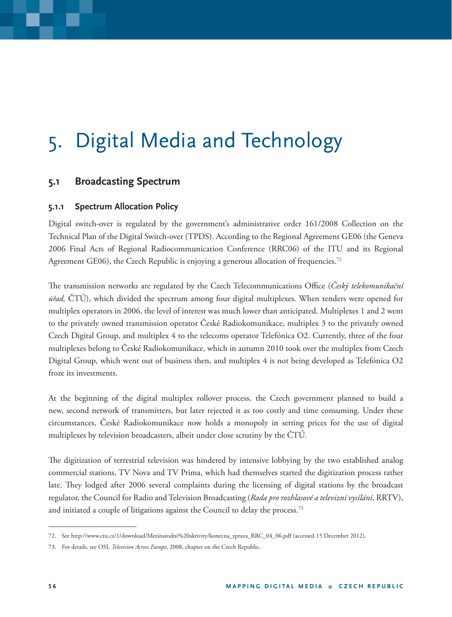# 5. Digital Media and Technology

# **5.1 Broadcasting Spectrum**

### **5.1.1 Spectrum Allocation Policy**

Digital switch-over is regulated by the government's administrative order 161/2008 Collection on the Technical Plan of the Digital Switch-over (TPDS). According to the Regional Agreement GE06 (the Geneva 2006 Final Acts of Regional Radiocommunication Conference (RRC06) of the ITU and its Regional Agreement GE06), the Czech Republic is enjoying a generous allocation of frequencies.<sup>72</sup>

The transmission networks are regulated by the Czech Telecommunications Office (*Český telekomunikační úřad,* ČTÚ), which divided the spectrum among four digital multiplexes. When tenders were opened for multiplex operators in 2006, the level of interest was much lower than anticipated. Multiplexes 1 and 2 went to the privately owned transmission operator České Radiokomunikace, multiplex 3 to the privately owned Czech Digital Group, and multiplex 4 to the telecoms operator Telefónica O2. Currently, three of the four multiplexes belong to České Radiokomunikace, which in autumn 2010 took over the multiplex from Czech Digital Group, which went out of business then, and multiplex 4 is not being developed as Telefónica O2 froze its investments.

At the beginning of the digital multiplex rollover process, the Czech government planned to build a new, second network of transmitters, but later rejected it as too costly and time consuming. Under these circumstances, České Radiokomunikace now holds a monopoly in setting prices for the use of digital multiplexes by television broadcasters, albeit under close scrutiny by the ČTÚ*.*

The digitization of terrestrial television was hindered by intensive lobbying by the two established analog commercial stations, TV Nova and TV Prima, which had themselves started the digitization process rather late. They lodged after 2006 several complaints during the licensing of digital stations by the broadcast regulator, the Council for Radio and Television Broadcasting (*Rada pro rozhlasové a televizní vysílání*, RRTV), and initiated a couple of litigations against the Council to delay the process.<sup>73</sup>

<sup>72.</sup> See http://www.ctu.cz/1/download/Mezinarodni%20aktivity/konecna\_zprava\_RRC\_04\_06.pdf (accessed 15 December 2012).

<sup>73.</sup> For details, see OSI, *Television Across Europe*, 2008, chapter on the Czech Republic.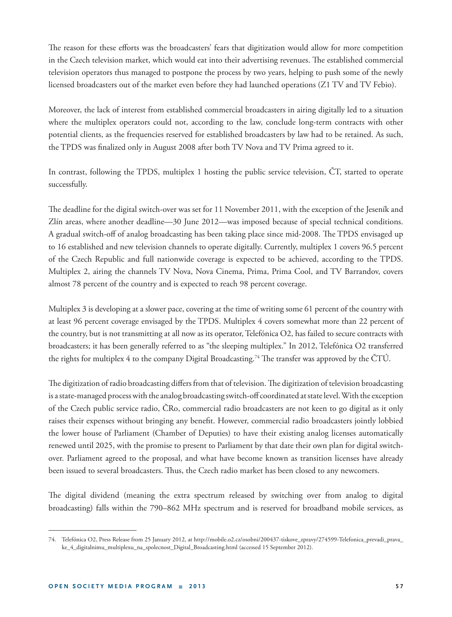The reason for these efforts was the broadcasters' fears that digitization would allow for more competition in the Czech television market, which would eat into their advertising revenues. The established commercial television operators thus managed to postpone the process by two years, helping to push some of the newly licensed broadcasters out of the market even before they had launched operations (Z1 TV and TV Febio).

Moreover, the lack of interest from established commercial broadcasters in airing digitally led to a situation where the multiplex operators could not, according to the law, conclude long-term contracts with other potential clients, as the frequencies reserved for established broadcasters by law had to be retained. As such, the TPDS was finalized only in August 2008 after both TV Nova and TV Prima agreed to it.

In contrast, following the TPDS, multiplex 1 hosting the public service television, ČT, started to operate successfully.

The deadline for the digital switch-over was set for 11 November 2011, with the exception of the Jeseník and Zlín areas, where another deadline—30 June 2012—was imposed because of special technical conditions. A gradual switch-off of analog broadcasting has been taking place since mid-2008. The TPDS envisaged up to 16 established and new television channels to operate digitally. Currently, multiplex 1 covers 96.5 percent of the Czech Republic and full nationwide coverage is expected to be achieved, according to the TPDS. Multiplex 2, airing the channels TV Nova, Nova Cinema, Prima, Prima Cool, and TV Barrandov, covers almost 78 percent of the country and is expected to reach 98 percent coverage.

Multiplex 3 is developing at a slower pace, covering at the time of writing some 61 percent of the country with at least 96 percent coverage envisaged by the TPDS. Multiplex 4 covers somewhat more than 22 percent of the country, but is not transmitting at all now as its operator, Telefónica O2, has failed to secure contracts with broadcasters; it has been generally referred to as "the sleeping multiplex." In 2012, Telefónica O2 transferred the rights for multiplex 4 to the company Digital Broadcasting.<sup>74</sup> The transfer was approved by the ČTÚ.

The digitization of radio broadcasting differs from that of television. The digitization of television broadcasting is a state-managed process with the analog broadcasting switch-off coordinated at state level. With the exception of the Czech public service radio, ČRo, commercial radio broadcasters are not keen to go digital as it only raises their expenses without bringing any benefit. However, commercial radio broadcasters jointly lobbied the lower house of Parliament (Chamber of Deputies) to have their existing analog licenses automatically renewed until 2025, with the promise to present to Parliament by that date their own plan for digital switchover. Parliament agreed to the proposal, and what have become known as transition licenses have already been issued to several broadcasters. Thus, the Czech radio market has been closed to any newcomers.

The digital dividend (meaning the extra spectrum released by switching over from analog to digital broadcasting) falls within the 790–862 MHz spectrum and is reserved for broadband mobile services, as

<sup>74.</sup> Telefónica O2, Press Release from 25 January 2012, at http://mobile.o2.cz/osobni/200437-tiskove\_zpravy/274599-Telefonica\_prevadi\_prava\_ ke\_4\_digitalnimu\_multiplexu\_na\_spolecnost\_Digital\_Broadcasting.html (accessed 15 September 2012).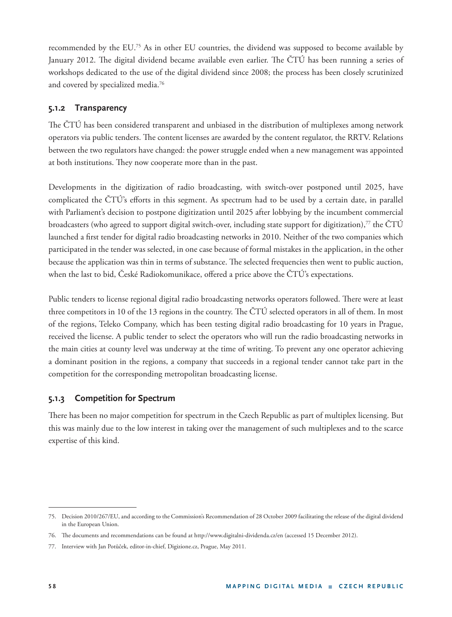recommended by the EU.75 As in other EU countries, the dividend was supposed to become available by January 2012. The digital dividend became available even earlier. The ČTÚ has been running a series of workshops dedicated to the use of the digital dividend since 2008; the process has been closely scrutinized and covered by specialized media.76

### **5.1.2 Transparency**

The ČTÚ has been considered transparent and unbiased in the distribution of multiplexes among network operators via public tenders. The content licenses are awarded by the content regulator, the RRTV. Relations between the two regulators have changed: the power struggle ended when a new management was appointed at both institutions. They now cooperate more than in the past.

Developments in the digitization of radio broadcasting, with switch-over postponed until 2025, have complicated the ČTÚ's efforts in this segment. As spectrum had to be used by a certain date, in parallel with Parliament's decision to postpone digitization until 2025 after lobbying by the incumbent commercial broadcasters (who agreed to support digital switch-over, including state support for digitization),<sup>77</sup> the  $\text{CT}(\hat{U})$ launched a first tender for digital radio broadcasting networks in 2010. Neither of the two companies which participated in the tender was selected, in one case because of formal mistakes in the application, in the other because the application was thin in terms of substance. The selected frequencies then went to public auction, when the last to bid, České Radiokomunikace, offered a price above the ČTÚ's expectations.

Public tenders to license regional digital radio broadcasting networks operators followed. There were at least three competitors in 10 of the 13 regions in the country. The ČTÚ selected operators in all of them. In most of the regions, Teleko Company, which has been testing digital radio broadcasting for 10 years in Prague, received the license. A public tender to select the operators who will run the radio broadcasting networks in the main cities at county level was underway at the time of writing. To prevent any one operator achieving a dominant position in the regions, a company that succeeds in a regional tender cannot take part in the competition for the corresponding metropolitan broadcasting license.

## **5.1.3 Competition for Spectrum**

There has been no major competition for spectrum in the Czech Republic as part of multiplex licensing. But this was mainly due to the low interest in taking over the management of such multiplexes and to the scarce expertise of this kind.

<sup>75.</sup> Decision 2010/267/EU, and according to the Commission's Recommendation of 28 October 2009 facilitating the release of the digital dividend in the European Union.

<sup>76.</sup> The documents and recommendations can be found at http://www.digitalni-dividenda.cz/en (accessed 15 December 2012).

<sup>77.</sup> Interview with Jan Potůček, editor-in-chief, Digizione.cz, Prague, May 2011.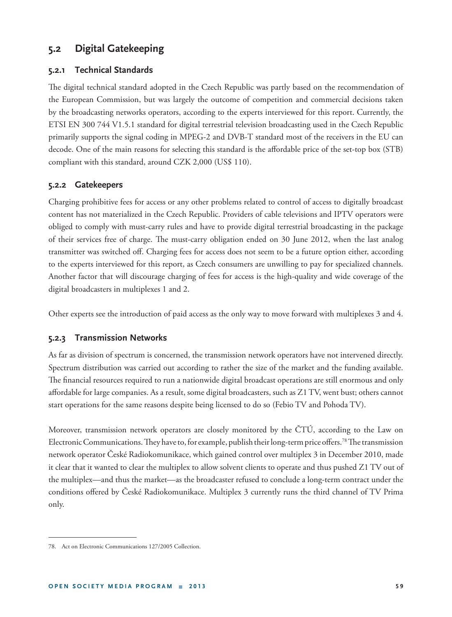# **5.2 Digital Gatekeeping**

### **5.2.1 Technical Standards**

The digital technical standard adopted in the Czech Republic was partly based on the recommendation of the European Commission, but was largely the outcome of competition and commercial decisions taken by the broadcasting networks operators, according to the experts interviewed for this report. Currently, the ETSI EN 300 744 V1.5.1 standard for digital terrestrial television broadcasting used in the Czech Republic primarily supports the signal coding in MPEG-2 and DVB-T standard most of the receivers in the EU can decode. One of the main reasons for selecting this standard is the affordable price of the set-top box (STB) compliant with this standard, around CZK 2,000 (US\$ 110).

#### **5.2.2 Gatekeepers**

Charging prohibitive fees for access or any other problems related to control of access to digitally broadcast content has not materialized in the Czech Republic. Providers of cable televisions and IPTV operators were obliged to comply with must-carry rules and have to provide digital terrestrial broadcasting in the package of their services free of charge. The must-carry obligation ended on 30 June 2012, when the last analog transmitter was switched off . Charging fees for access does not seem to be a future option either, according to the experts interviewed for this report, as Czech consumers are unwilling to pay for specialized channels. Another factor that will discourage charging of fees for access is the high-quality and wide coverage of the digital broadcasters in multiplexes 1 and 2.

Other experts see the introduction of paid access as the only way to move forward with multiplexes 3 and 4.

#### **5.2.3 Transmission Networks**

As far as division of spectrum is concerned, the transmission network operators have not intervened directly. Spectrum distribution was carried out according to rather the size of the market and the funding available. The financial resources required to run a nationwide digital broadcast operations are still enormous and only affordable for large companies. As a result, some digital broadcasters, such as Z1 TV, went bust; others cannot start operations for the same reasons despite being licensed to do so (Febio TV and Pohoda TV).

Moreover, transmission network operators are closely monitored by the ČTÚ, according to the Law on Electronic Communications. They have to, for example, publish their long-term price offers.<sup>78</sup> The transmission network operator České Radiokomunikace, which gained control over multiplex 3 in December 2010, made it clear that it wanted to clear the multiplex to allow solvent clients to operate and thus pushed Z1 TV out of the multiplex—and thus the market—as the broadcaster refused to conclude a long-term contract under the conditions offered by České Radiokomunikace. Multiplex 3 currently runs the third channel of TV Prima only.

<sup>78.</sup> Act on Electronic Communications 127/2005 Collection.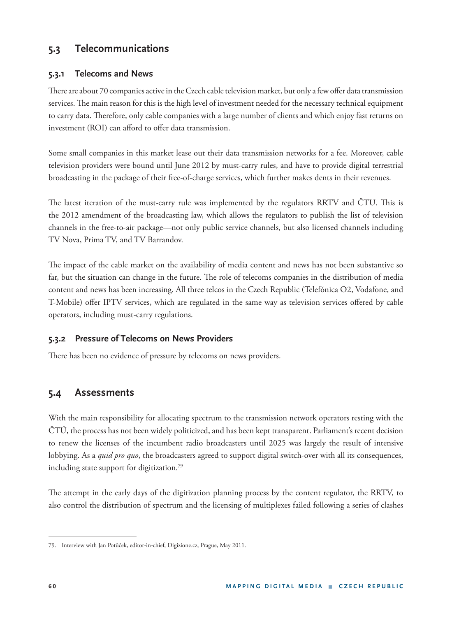# **5.3 Telecommunications**

### **5.3.1 Telecoms and News**

There are about 70 companies active in the Czech cable television market, but only a few offer data transmission services. The main reason for this is the high level of investment needed for the necessary technical equipment to carry data. Therefore, only cable companies with a large number of clients and which enjoy fast returns on investment (ROI) can afford to offer data transmission.

Some small companies in this market lease out their data transmission networks for a fee. Moreover, cable television providers were bound until June 2012 by must-carry rules, and have to provide digital terrestrial broadcasting in the package of their free-of-charge services, which further makes dents in their revenues.

The latest iteration of the must-carry rule was implemented by the regulators RRTV and ČTU. This is the 2012 amendment of the broadcasting law, which allows the regulators to publish the list of television channels in the free-to-air package—not only public service channels, but also licensed channels including TV Nova, Prima TV, and TV Barrandov.

The impact of the cable market on the availability of media content and news has not been substantive so far, but the situation can change in the future. The role of telecoms companies in the distribution of media content and news has been increasing. All three telcos in the Czech Republic (Telefónica O2, Vodafone, and T-Mobile) offer IPTV services, which are regulated in the same way as television services offered by cable operators, including must-carry regulations.

### **5.3.2 Pressure of Telecoms on News Providers**

There has been no evidence of pressure by telecoms on news providers.

# **5.4 Assessments**

With the main responsibility for allocating spectrum to the transmission network operators resting with the ČTÚ, the process has not been widely politicized, and has been kept transparent. Parliament's recent decision to renew the licenses of the incumbent radio broadcasters until 2025 was largely the result of intensive lobbying. As a *quid pro quo*, the broadcasters agreed to support digital switch-over with all its consequences, including state support for digitization.<sup>79</sup>

The attempt in the early days of the digitization planning process by the content regulator, the RRTV, to also control the distribution of spectrum and the licensing of multiplexes failed following a series of clashes

<sup>79.</sup> Interview with Jan Potůček, editor-in-chief, Digizione.cz, Prague, May 2011.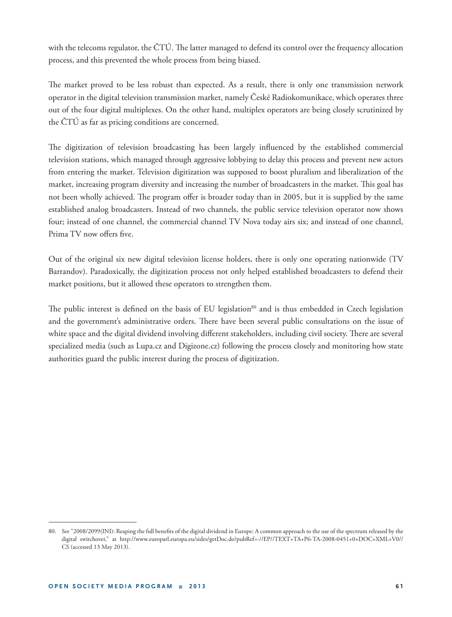with the telecoms regulator, the  $\text{CTU}$ . The latter managed to defend its control over the frequency allocation process, and this prevented the whole process from being biased.

The market proved to be less robust than expected. As a result, there is only one transmission network operator in the digital television transmission market, namely České Radiokomunikace, which operates three out of the four digital multiplexes. On the other hand, multiplex operators are being closely scrutinized by the ČTÚ as far as pricing conditions are concerned.

The digitization of television broadcasting has been largely influenced by the established commercial television stations, which managed through aggressive lobbying to delay this process and prevent new actors from entering the market. Television digitization was supposed to boost pluralism and liberalization of the market, increasing program diversity and increasing the number of broadcasters in the market. This goal has not been wholly achieved. The program offer is broader today than in 2005, but it is supplied by the same established analog broadcasters. Instead of two channels, the public service television operator now shows four; instead of one channel, the commercial channel TV Nova today airs six; and instead of one channel, Prima TV now offers five.

Out of the original six new digital television license holders, there is only one operating nationwide (TV Barrandov). Paradoxically, the digitization process not only helped established broadcasters to defend their market positions, but it allowed these operators to strengthen them.

The public interest is defined on the basis of EU legislation<sup>80</sup> and is thus embedded in Czech legislation and the government's administrative orders. There have been several public consultations on the issue of white space and the digital dividend involving different stakeholders, including civil society. There are several specialized media (such as Lupa.cz and Digizone.cz) following the process closely and monitoring how state authorities guard the public interest during the process of digitization.

<sup>80.</sup> See "2008/2099(INI): Reaping the full benefits of the digital dividend in Europe: A common approach to the use of the spectrum released by the digital switchover," at http://www.europarl.europa.eu/sides/getDoc.do?pubRef=-//EP//TEXT+TA+P6-TA-2008-0451+0+DOC+XML+V0// CS (accessed 13 May 2013).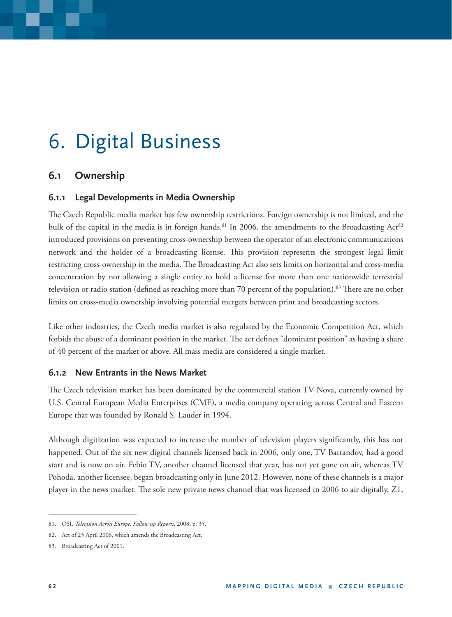# 6. Digital Business

# **6.1 Ownership**

## **6.1.1 Legal Developments in Media Ownership**

The Czech Republic media market has few ownership restrictions. Foreign ownership is not limited, and the bulk of the capital in the media is in foreign hands.<sup>81</sup> In 2006, the amendments to the Broadcasting Act<sup>82</sup> introduced provisions on preventing cross-ownership between the operator of an electronic communications network and the holder of a broadcasting license. This provision represents the strongest legal limit restricting cross-ownership in the media. The Broadcasting Act also sets limits on horizontal and cross-media concentration by not allowing a single entity to hold a license for more than one nationwide terrestrial television or radio station (defined as reaching more than 70 percent of the population).<sup>83</sup> There are no other limits on cross-media ownership involving potential mergers between print and broadcasting sectors.

Like other industries, the Czech media market is also regulated by the Economic Competition Act, which forbids the abuse of a dominant position in the market. The act defines "dominant position" as having a share of 40 percent of the market or above. All mass media are considered a single market.

## **6.1.2 New Entrants in the News Market**

The Czech television market has been dominated by the commercial station TV Nova, currently owned by U.S. Central European Media Enterprises (CME), a media company operating across Central and Eastern Europe that was founded by Ronald S. Lauder in 1994.

Although digitization was expected to increase the number of television players significantly, this has not happened. Out of the six new digital channels licensed back in 2006, only one, TV Barrandov, had a good start and is now on air. Febio TV, another channel licensed that year, has not yet gone on air, whereas TV Pohoda, another licensee, began broadcasting only in June 2012. However, none of these channels is a major player in the news market. The sole new private news channel that was licensed in 2006 to air digitally, Z1,

<sup>81.</sup> OSI, *Television Across Europe: Follow up Reports*, 2008, p. 35.

<sup>82.</sup> Act of 25 April 2006, which amends the Broadcasting Act.

<sup>83.</sup> Broadcasting Act of 2001.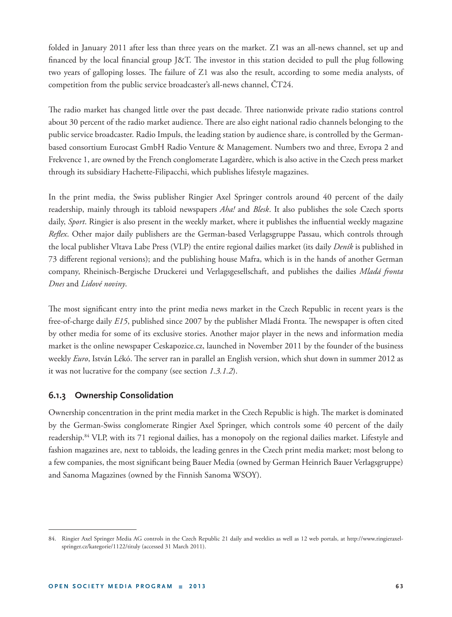folded in January 2011 after less than three years on the market. Z1 was an all-news channel, set up and financed by the local financial group J&T. The investor in this station decided to pull the plug following two years of galloping losses. The failure of Z1 was also the result, according to some media analysts, of competition from the public service broadcaster's all-news channel, ČT24.

The radio market has changed little over the past decade. Three nationwide private radio stations control about 30 percent of the radio market audience. There are also eight national radio channels belonging to the public service broadcaster. Radio Impuls, the leading station by audience share, is controlled by the Germanbased consortium Eurocast GmbH Radio Venture & Management. Numbers two and three, Evropa 2 and Frekvence 1, are owned by the French conglomerate Lagardère, which is also active in the Czech press market through its subsidiary Hachette-Filipacchi, which publishes lifestyle magazines.

In the print media, the Swiss publisher Ringier Axel Springer controls around 40 percent of the daily readership, mainly through its tabloid newspapers *Aha!* and *Blesk*. It also publishes the sole Czech sports daily, *Sport*. Ringier is also present in the weekly market, where it publishes the influential weekly magazine *Reflex*. Other major daily publishers are the German-based Verlagsgruppe Passau, which controls through the local publisher Vltava Labe Press (VLP) the entire regional dailies market (its daily *Deník* is published in 73 diff erent regional versions); and the publishing house Mafra, which is in the hands of another German company, Rheinisch-Bergische Druckerei und Verlagsgesellschaft, and publishes the dailies *Mladá fronta Dnes* and *Lidové noviny*.

The most significant entry into the print media news market in the Czech Republic in recent years is the free-of-charge daily *E15*, published since 2007 by the publisher Mladá Fronta. The newspaper is often cited by other media for some of its exclusive stories. Another major player in the news and information media market is the online newspaper Ceskapozice.cz, launched in November 2011 by the founder of the business weekly *Euro*, István Lékó. The server ran in parallel an English version, which shut down in summer 2012 as it was not lucrative for the company (see section *1.3.1.2*).

### **6.1.3 Ownership Consolidation**

Ownership concentration in the print media market in the Czech Republic is high. The market is dominated by the German-Swiss conglomerate Ringier Axel Springer, which controls some 40 percent of the daily readership.84 VLP, with its 71 regional dailies, has a monopoly on the regional dailies market. Lifestyle and fashion magazines are, next to tabloids, the leading genres in the Czech print media market; most belong to a few companies, the most significant being Bauer Media (owned by German Heinrich Bauer Verlagsgruppe) and Sanoma Magazines (owned by the Finnish Sanoma WSOY).

<sup>84.</sup> Ringier Axel Springer Media AG controls in the Czech Republic 21 daily and weeklies as well as 12 web portals, at http://www.ringieraxelspringer.cz/kategorie/1122/tituly (accessed 31 March 2011).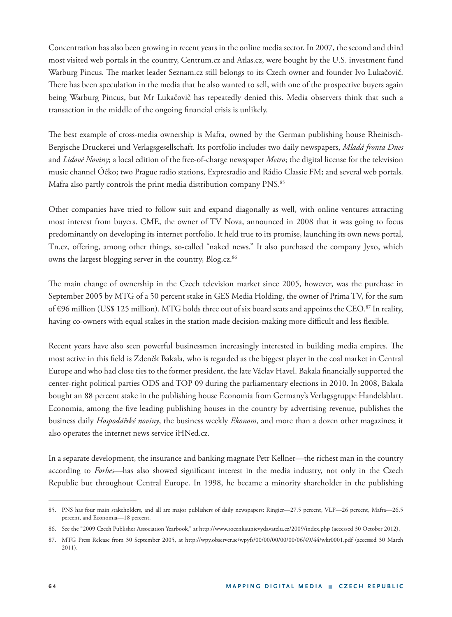Concentration has also been growing in recent years in the online media sector. In 2007, the second and third most visited web portals in the country, Centrum.cz and Atlas.cz, were bought by the U.S. investment fund Warburg Pincus. The market leader Seznam.cz still belongs to its Czech owner and founder Ivo Lukačovič. There has been speculation in the media that he also wanted to sell, with one of the prospective buyers again being Warburg Pincus, but Mr Lukačovič has repeatedly denied this. Media observers think that such a transaction in the middle of the ongoing financial crisis is unlikely.

The best example of cross-media ownership is Mafra, owned by the German publishing house Rheinisch-Bergische Druckerei und Verlagsgesellschaft. Its portfolio includes two daily newspapers, *Mladá fronta Dnes* and *Lidové Noviny*; a local edition of the free-of-charge newspaper *Metro*; the digital license for the television music channel Óčko; two Prague radio stations, Expresradio and Rádio Classic FM; and several web portals. Mafra also partly controls the print media distribution company PNS.<sup>85</sup>

Other companies have tried to follow suit and expand diagonally as well, with online ventures attracting most interest from buyers. CME, the owner of TV Nova, announced in 2008 that it was going to focus predominantly on developing its internet portfolio. It held true to its promise, launching its own news portal, Tn.cz, offering, among other things, so-called "naked news." It also purchased the company Jyxo, which owns the largest blogging server in the country, Blog.cz.<sup>86</sup>

The main change of ownership in the Czech television market since 2005, however, was the purchase in September 2005 by MTG of a 50 percent stake in GES Media Holding, the owner of Prima TV, for the sum of €96 million (US\$ 125 million). MTG holds three out of six board seats and appoints the CEO.<sup>87</sup> In reality, having co-owners with equal stakes in the station made decision-making more difficult and less flexible.

Recent years have also seen powerful businessmen increasingly interested in building media empires. The most active in this field is Zdeněk Bakala, who is regarded as the biggest player in the coal market in Central Europe and who had close ties to the former president, the late Václav Havel. Bakala financially supported the center-right political parties ODS and TOP 09 during the parliamentary elections in 2010. In 2008, Bakala bought an 88 percent stake in the publishing house Economia from Germany's Verlagsgruppe Handelsblatt. Economia, among the five leading publishing houses in the country by advertising revenue, publishes the business daily *Hospodářské noviny*, the business weekly *Ekonom,* and more than a dozen other magazines; it also operates the internet news service iHNed.cz.

In a separate development, the insurance and banking magnate Petr Kellner—the richest man in the country according to *Forbes*—has also showed significant interest in the media industry, not only in the Czech Republic but throughout Central Europe. In 1998, he became a minority shareholder in the publishing

<sup>85.</sup> PNS has four main stakeholders, and all are major publishers of daily newspapers: Ringier—27.5 percent, VLP—26 percent, Mafra—26.5 percent, and Economia—18 percent.

<sup>86.</sup> See the "2009 Czech Publisher Association Yearbook," at http://www.rocenkaunievydavatelu.cz/2009/index.php (accessed 30 October 2012).

<sup>87.</sup> MTG Press Release from 30 September 2005, at http://wpy.observer.se/wpyfs/00/00/00/00/00/06/49/44/wkr0001.pdf (accessed 30 March 2011).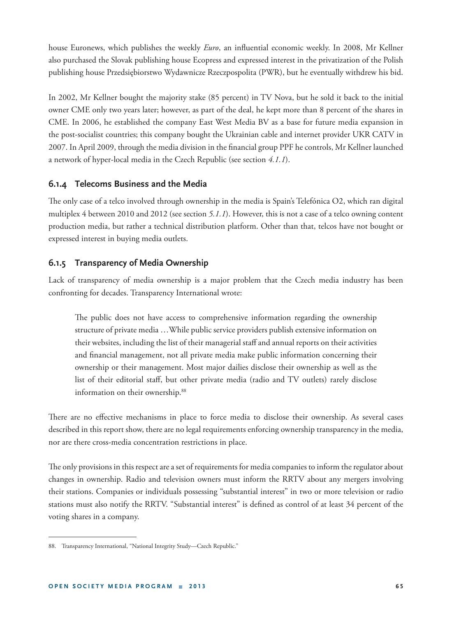house Euronews, which publishes the weekly *Euro*, an influential economic weekly. In 2008, Mr Kellner also purchased the Slovak publishing house Ecopress and expressed interest in the privatization of the Polish publishing house Przedsiębiorstwo Wydawnicze Rzeczpospolita (PWR), but he eventually withdrew his bid.

In 2002, Mr Kellner bought the majority stake (85 percent) in TV Nova, but he sold it back to the initial owner CME only two years later; however, as part of the deal, he kept more than 8 percent of the shares in CME. In 2006, he established the company East West Media BV as a base for future media expansion in the post-socialist countries; this company bought the Ukrainian cable and internet provider UKR CATV in 2007. In April 2009, through the media division in the financial group PPF he controls, Mr Kellner launched a network of hyper-local media in the Czech Republic (see section *4.1.1*).

### **6.1.4 Telecoms Business and the Media**

The only case of a telco involved through ownership in the media is Spain's Telefónica O2, which ran digital multiplex 4 between 2010 and 2012 (see section *5.1.1*). However, this is not a case of a telco owning content production media, but rather a technical distribution platform. Other than that, telcos have not bought or expressed interest in buying media outlets.

### **6.1.5 Transparency of Media Ownership**

Lack of transparency of media ownership is a major problem that the Czech media industry has been confronting for decades. Transparency International wrote:

The public does not have access to comprehensive information regarding the ownership structure of private media …While public service providers publish extensive information on their websites, including the list of their managerial staff and annual reports on their activities and financial management, not all private media make public information concerning their ownership or their management. Most major dailies disclose their ownership as well as the list of their editorial staff, but other private media (radio and TV outlets) rarely disclose information on their ownership.<sup>88</sup>

There are no effective mechanisms in place to force media to disclose their ownership. As several cases described in this report show, there are no legal requirements enforcing ownership transparency in the media, nor are there cross-media concentration restrictions in place.

The only provisions in this respect are a set of requirements for media companies to inform the regulator about changes in ownership. Radio and television owners must inform the RRTV about any mergers involving their stations. Companies or individuals possessing "substantial interest" in two or more television or radio stations must also notify the RRTV. "Substantial interest" is defined as control of at least 34 percent of the voting shares in a company.

<sup>88.</sup> Transparency International, "National Integrity Study—Czech Republic."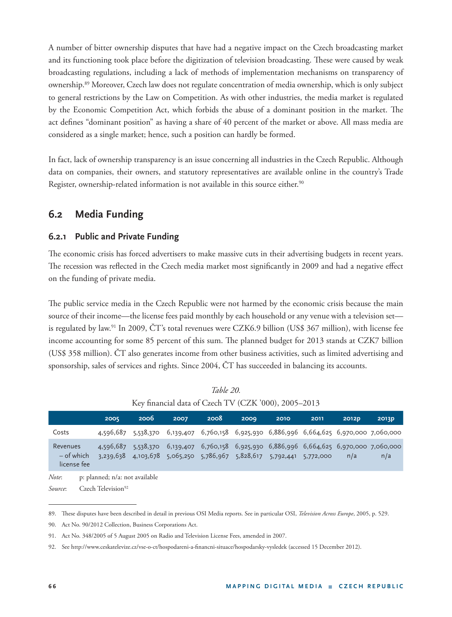A number of bitter ownership disputes that have had a negative impact on the Czech broadcasting market and its functioning took place before the digitization of television broadcasting. These were caused by weak broadcasting regulations, including a lack of methods of implementation mechanisms on transparency of ownership.89 Moreover, Czech law does not regulate concentration of media ownership, which is only subject to general restrictions by the Law on Competition. As with other industries, the media market is regulated by the Economic Competition Act, which forbids the abuse of a dominant position in the market. The act defines "dominant position" as having a share of 40 percent of the market or above. All mass media are considered as a single market; hence, such a position can hardly be formed.

In fact, lack of ownership transparency is an issue concerning all industries in the Czech Republic. Although data on companies, their owners, and statutory representatives are available online in the country's Trade Register, ownership-related information is not available in this source either.<sup>90</sup>

# **6.2 Media Funding**

### **6.2.1 Public and Private Funding**

The economic crisis has forced advertisers to make massive cuts in their advertising budgets in recent years. The recession was reflected in the Czech media market most significantly in 2009 and had a negative effect on the funding of private media.

The public service media in the Czech Republic were not harmed by the economic crisis because the main source of their income—the license fees paid monthly by each household or any venue with a television set is regulated by law.<sup>91</sup> In 2009, ČT's total revenues were CZK6.9 billion (US\$ 367 million), with license fee income accounting for some 85 percent of this sum. The planned budget for 2013 stands at CZK7 billion (US\$ 358 million). ČT also generates income from other business activities, such as limited advertising and sponsorship, sales of services and rights. Since 2004, ČT has succeeded in balancing its accounts.

|                                         | $\Delta v$ intancial data of Czech TV (CZR 000), 2007–2017 |                                                                  |      |      |      |      |                                                   |           |       |                                                                                           |
|-----------------------------------------|------------------------------------------------------------|------------------------------------------------------------------|------|------|------|------|---------------------------------------------------|-----------|-------|-------------------------------------------------------------------------------------------|
|                                         |                                                            | 2005                                                             | 2006 | 2007 | 2008 | 2009 | 2010                                              | 2011      | 2012p | 2013p                                                                                     |
| Costs                                   |                                                            |                                                                  |      |      |      |      |                                                   |           |       | 4,596,687 5,538,370 6,139,407 6,760,158 6,925,930 6,886,996 6,664,625 6,970,000 7,060,000 |
| Revenues<br>$-$ of which<br>license fee |                                                            | 4,596,687<br>3,239,638                                           |      |      |      |      | 4,103,678 5,065,250 5,786,967 5,828,617 5,792,441 | 5,772,000 | n/a   | 5,538,370 6,139,407 6,760,158 6,925,930 6,886,996 6,664,625 6,970,000 7,060,000<br>n/a    |
| Note:<br><i>Source</i> :                |                                                            | p: planned; n/a: not available<br>Czech Television <sup>92</sup> |      |      |      |      |                                                   |           |       |                                                                                           |

| Table 20.                                            |  |
|------------------------------------------------------|--|
| Key financial data of Czech TV (CZK '000), 2005-2013 |  |

<sup>89.</sup> These disputes have been described in detail in previous OSI Media reports. See in particular OSI, *Television Across Europe*, 2005, p. 529.

<sup>90.</sup> Act No. 90/2012 Collection, Business Corporations Act.

<sup>91.</sup> Act No. 348/2005 of 5 August 2005 on Radio and Television License Fees, amended in 2007.

<sup>92.</sup> See http://www.ceskatelevize.cz/vse-o-ct/hospodareni-a-financni-situace/hospodarsky-vysledek (accessed 15 December 2012).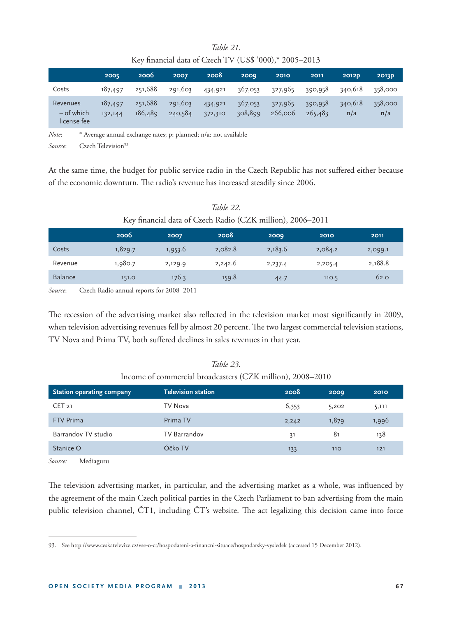|                                         | Key financial data of Czech TV (US\$ '000),* 2005–2013 |                    |                    |                    |                    |                    |                    |                |                |  |
|-----------------------------------------|--------------------------------------------------------|--------------------|--------------------|--------------------|--------------------|--------------------|--------------------|----------------|----------------|--|
|                                         | 2005                                                   | 2006               | 2007               | 2008               | 2009               | 2010               | 2011               | <b>2012D</b>   | 2013p          |  |
| Costs                                   | 187,497                                                | 251,688            | 291,603            | 434,921            | 367,053            | 327,965            | 390,958            | 340,618        | 358,000        |  |
| Revenues<br>$-$ of which<br>license fee | 187,497<br>132,144                                     | 251,688<br>186,489 | 291,603<br>240,584 | 434,921<br>372,310 | 367,053<br>308,899 | 327,965<br>266,006 | 390,958<br>265,483 | 340,618<br>n/a | 358,000<br>n/a |  |

## *Table 21.* Key financial data of Czech TV (US\$ '000),\* 2005–2013

*Note*: \* Average annual exchange rates; p: planned; n/a: not available

*Source*: Czech Television<sup>93</sup>

At the same time, the budget for public service radio in the Czech Republic has not suffered either because of the economic downturn. The radio's revenue has increased steadily since 2006.

| Rey imancial data of Czech Radio (CZR million), 2000–2011 |         |         |         |         |         |         |  |  |  |
|-----------------------------------------------------------|---------|---------|---------|---------|---------|---------|--|--|--|
|                                                           | 2006    | 2007    | 2008    | 2009    | 2010    | 2011    |  |  |  |
| Costs                                                     | 1,829.7 | 1,953.6 | 2,082.8 | 2,183.6 | 2,084.2 | 2,099.1 |  |  |  |
| Revenue                                                   | 1,980.7 | 2,129.9 | 2,242.6 | 2,237.4 | 2,205.4 | 2,188.8 |  |  |  |
| <b>Balance</b>                                            | 151.0   | 176.3   | 159.8   | 44.7    | 110.5   | 62.0    |  |  |  |

# *Table 22.* Key financial data of Czech Radio (CZK million), 2006, 2011

*Source*: Czech Radio annual reports for 2008–2011

The recession of the advertising market also reflected in the television market most significantly in 2009, when television advertising revenues fell by almost 20 percent. The two largest commercial television stations, TV Nova and Prima TV, both suffered declines in sales revenues in that year.

| Station operating company | <b>Television station</b> | 2008  | 2009  | 2010  |  |  |  |
|---------------------------|---------------------------|-------|-------|-------|--|--|--|
| CET <sub>21</sub>         | TV Nova                   | 6,353 | 5,202 | 5,111 |  |  |  |
| <b>FTV Prima</b>          | Prima TV                  | 2,242 | 1,879 | 1,996 |  |  |  |
| Barrandov TV studio       | <b>TV Barrandov</b>       | 31    | 81    | 138   |  |  |  |
| Stanice O                 | Óčko TV                   | 133   | 110   | 121   |  |  |  |

*Table 23.* Income of commercial broadcasters (CZK million), 2008–2010

*Source:* Mediaguru

The television advertising market, in particular, and the advertising market as a whole, was influenced by the agreement of the main Czech political parties in the Czech Parliament to ban advertising from the main public television channel, CT1, including CT's website. The act legalizing this decision came into force

<sup>93.</sup> See http://www.ceskatelevize.cz/vse-o-ct/hospodareni-a-financni-situace/hospodarsky-vysledek (accessed 15 December 2012).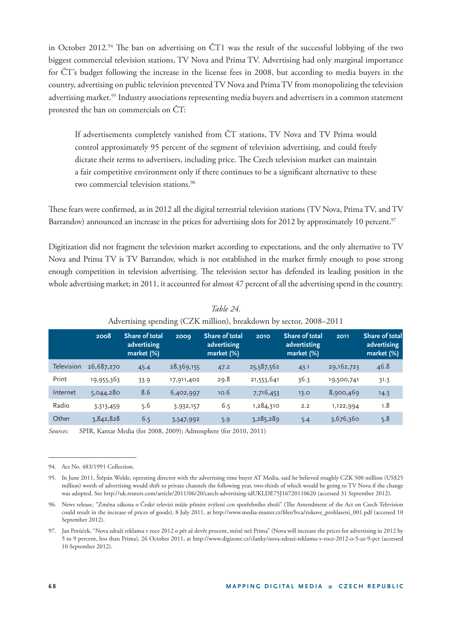in October 2012.<sup>94</sup> The ban on advertising on  $\text{CT1}$  was the result of the successful lobbying of the two biggest commercial television stations, TV Nova and Prima TV. Advertising had only marginal importance for ČT's budget following the increase in the license fees in 2008, but according to media buyers in the country, advertising on public television prevented TV Nova and Prima TV from monopolizing the television advertising market.<sup>95</sup> Industry associations representing media buyers and advertisers in a common statement protested the ban on commercials on ČT:

If advertisements completely vanished from ČT stations, TV Nova and TV Prima would control approximately 95 percent of the segment of television advertising, and could freely dictate their terms to advertisers, including price. The Czech television market can maintain a fair competitive environment only if there continues to be a significant alternative to these two commercial television stations.<sup>96</sup>

These fears were confirmed, as in 2012 all the digital terrestrial television stations (TV Nova, Prima TV, and TV Barrandov) announced an increase in the prices for advertising slots for 2012 by approximately 10 percent.<sup>97</sup>

Digitization did not fragment the television market according to expectations, and the only alternative to TV Nova and Prima TV is TV Barrandov, which is not established in the market firmly enough to pose strong enough competition in television advertising. The television sector has defended its leading position in the whole advertising market; in 2011, it accounted for almost 47 percent of all the advertising spend in the country.

|            | 2008       | <b>Share of total</b><br>advertising<br>market $(\%)$ | 2009       | Share of total<br>advertising<br>market (%) | 2010       | <b>Share of total</b><br>advertisting<br>market $(\%)$ | 2011       | <b>Share of total</b><br>advertising<br>market (%) |
|------------|------------|-------------------------------------------------------|------------|---------------------------------------------|------------|--------------------------------------------------------|------------|----------------------------------------------------|
| Television | 26,687,270 | 45.4                                                  | 28,369,155 | 47.2                                        | 25,587,562 | 43.1                                                   | 29,162,723 | 46.8                                               |
| Print      | 19,955,363 | 33.9                                                  | 17,911,402 | 29.8                                        | 21,553,641 | 36.3                                                   | 19,500,741 | 31.3                                               |
| Internet   | 5,044,280  | 8.6                                                   | 6,402,997  | 10.6                                        | 7,716,453  | 13.0                                                   | 8,900,469  | 14.3                                               |
| Radio      | 3,313,459  | 5.6                                                   | 3,932,157  | 6.5                                         | 1,284,310  | 2.2                                                    | 1,122,994  | 1.8                                                |
| Other      | 3,842,828  | 6.5                                                   | 3,547,992  | 5.9                                         | 3,285,289  | 5.4                                                    | 3,676,360  | 5.8                                                |

*Table 24.* Advertising spending (CZK million), breakdown by sector, 2008–2011

*Sources:* SPIR, Kantar Media (for 2008, 2009); Admosphere (for 2010, 2011)

<sup>94.</sup> Act No. 483/1991 Collection.

<sup>95.</sup> In June 2011, Štěpán Wolde, operating director with the advertising time buyer AT Media, said he believed roughly CZK 500 million (US\$25 million) worth of advertising would shift to private channels the following year, two-thirds of which would be going to TV Nova if the change was adopted. See http://uk.reuters.com/article/2011/06/20/czech-advertising-idUKLDE75J16720110620 (accessed 31 September 2012).

<sup>96.</sup> News release, "Změna zákona o České televizi může přinést zvýšení cen spotřebního zboží" (The Amendment of the Act on Czech Television could result in the increase of prices of goods), 8 July 2011, at http://www.media-master.cz/files/Ivca/tiskove\_prohlaseni\_001.pdf (accessed 10 September 2012).

<sup>97.</sup> Jan Potůček, "Nova zdraží reklamu v roce 2012 o pět až devět procent, méně než Prima" (Nova will increase the prices for advertising in 2012 by 5 to 9 percent, less than Prima), 26 October 2011, at http://www.digizone.cz/clanky/nova-zdrazi-reklamu-v-roce-2012-o-5-az-9-pct (accessed 10 September 2012).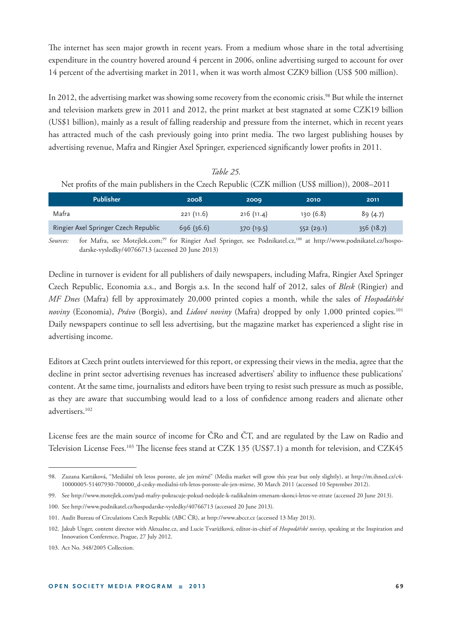The internet has seen major growth in recent years. From a medium whose share in the total advertising expenditure in the country hovered around 4 percent in 2006, online advertising surged to account for over 14 percent of the advertising market in 2011, when it was worth almost CZK9 billion (US\$ 500 million).

In 2012, the advertising market was showing some recovery from the economic crisis.<sup>98</sup> But while the internet and television markets grew in 2011 and 2012, the print market at best stagnated at some CZK19 billion (US\$1 billion), mainly as a result of falling readership and pressure from the internet, which in recent years has attracted much of the cash previously going into print media. The two largest publishing houses by advertising revenue, Mafra and Ringier Axel Springer, experienced significantly lower profits in 2011.

*Table 25.* Net profits of the main publishers in the Czech Republic (CZK million (US\$ million)), 2008–2011

| <b>Publisher</b>                     | 2008      | 2009      | 2010      | 2011      |
|--------------------------------------|-----------|-----------|-----------|-----------|
| Mafra                                | 221(11.6) | 216(11.4) | 130(6.8)  | 89(4.7)   |
| Ringier Axel Springer Czech Republic | 696(36.6) | 370(19.5) | 552(29.1) | 356(18.7) |

*Sources:* for Mafra, see Motejlek.com;99 for Ringier Axel Springer, see Podnikatel.cz,100 at http://www.podnikatel.cz/hospodarske-vysledky/40766713 (accessed 20 June 2013)

Decline in turnover is evident for all publishers of daily newspapers, including Mafra, Ringier Axel Springer Czech Republic, Economia a.s., and Borgis a.s. In the second half of 2012, sales of *Blesk* (Ringier) and *MF Dnes* (Mafra) fell by approximately 20,000 printed copies a month, while the sales of *Hospodářské noviny* (Economia), *Právo* (Borgis), and *Lidové noviny* (Mafra) dropped by only 1,000 printed copies.101 Daily newspapers continue to sell less advertising, but the magazine market has experienced a slight rise in advertising income.

Editors at Czech print outlets interviewed for this report, or expressing their views in the media, agree that the decline in print sector advertising revenues has increased advertisers' ability to influence these publications' content. At the same time, journalists and editors have been trying to resist such pressure as much as possible, as they are aware that succumbing would lead to a loss of confidence among readers and alienate other advertisers.102

License fees are the main source of income for ČRo and ČT, and are regulated by the Law on Radio and Television License Fees.<sup>103</sup> The license fees stand at CZK 135 (US\$7.1) a month for television, and CZK45

<sup>98.</sup> Zuzana Kartáková, "Mediální trh letos poroste, ale jen mírně" (Media market will grow this year but only slightly), at http://m.ihned.cz/c4- 10000005-51407930-700000\_d-cesky-medialni-trh-letos-poroste-ale-jen-mirne, 30 March 2011 (accessed 10 September 2012).

<sup>99.</sup> See http://www.motejlek.com/pad-mafry-pokracuje-pokud-nedojde-k-radikalnim-zmenam-skonci-letos-ve-ztrate (accessed 20 June 2013).

<sup>100.</sup> See http://www.podnikatel.cz/hospodarske-vysledky/40766713 (accessed 20 June 2013).

<sup>101.</sup> Audit Bureau of Circulations Czech Republic (ABC ČR), at http://www.abccr.cz (accessed 13 May 2013).

<sup>102.</sup> Jakub Unger, content director with Aktualne.cz, and Lucie Tvarůžková, editor-in-chief of *Hospodářské noviny*, speaking at the Inspiration and Innovation Conference, Prague, 27 July 2012.

<sup>103.</sup> Act No. 348/2005 Collection.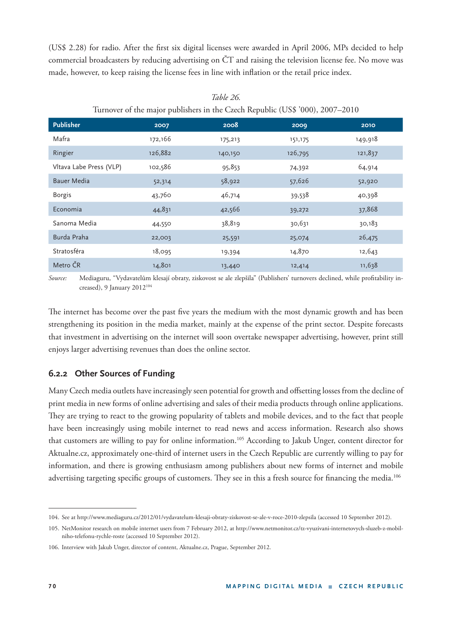(US\$ 2.28) for radio. After the first six digital licenses were awarded in April 2006, MPs decided to help commercial broadcasters by reducing advertising on ČT and raising the television license fee. No move was made, however, to keep raising the license fees in line with inflation or the retail price index.

| <b>Publisher</b>        | 2007    | 2008    | 2009    | 2010    |
|-------------------------|---------|---------|---------|---------|
| Mafra                   | 172,166 | 175,213 | 151,175 | 149,918 |
| Ringier                 | 126,882 | 140,150 | 126,795 | 121,837 |
| Vltava Labe Press (VLP) | 102,586 | 95,853  | 74,392  | 64,914  |
| <b>Bauer Media</b>      | 52,314  | 58,922  | 57,626  | 52,920  |
| <b>Borgis</b>           | 43,760  | 46,714  | 39,538  | 40,398  |
| Economia                | 44,831  | 42,566  | 39,272  | 37,868  |
| Sanoma Media            | 44,550  | 38,819  | 30,631  | 30,183  |
| Burda Praha             | 22,003  | 25,591  | 25,074  | 26,475  |
| Stratosféra             | 18,095  | 19,394  | 14,870  | 12,643  |
| Metro ČR                | 14,801  | 13,440  | 12,414  | 11,638  |

*Table 26.* Turnover of the major publishers in the Czech Republic (US\$ '000), 2007–2010

Source: Mediaguru, "Vydavatelům klesají obraty, ziskovost se ale zlepšila" (Publishers' turnovers declined, while profitability increased), 9 January 2012104

The internet has become over the past five years the medium with the most dynamic growth and has been strengthening its position in the media market, mainly at the expense of the print sector. Despite forecasts that investment in advertising on the internet will soon overtake newspaper advertising, however, print still enjoys larger advertising revenues than does the online sector.

### **6.2.2 Other Sources of Funding**

Many Czech media outlets have increasingly seen potential for growth and offsetting losses from the decline of print media in new forms of online advertising and sales of their media products through online applications. They are trying to react to the growing popularity of tablets and mobile devices, and to the fact that people have been increasingly using mobile internet to read news and access information. Research also shows that customers are willing to pay for online information.<sup>105</sup> According to Jakub Unger, content director for Aktualne.cz, approximately one-third of internet users in the Czech Republic are currently willing to pay for information, and there is growing enthusiasm among publishers about new forms of internet and mobile advertising targeting specific groups of customers. They see in this a fresh source for financing the media.<sup>106</sup>

<sup>104.</sup> See at http://www.mediaguru.cz/2012/01/vydavatelum-klesaji-obraty-ziskovost-se-ale-v-roce-2010-zlepsila (accessed 10 September 2012).

<sup>105.</sup> NetMonitor research on mobile internet users from 7 February 2012, at http://www.netmonitor.cz/tz-vyuzivani-internetovych-sluzeb-z-mobilniho-telefonu-rychle-roste (accessed 10 September 2012).

<sup>106.</sup> Interview with Jakub Unger, director of content, Aktualne.cz, Prague, September 2012.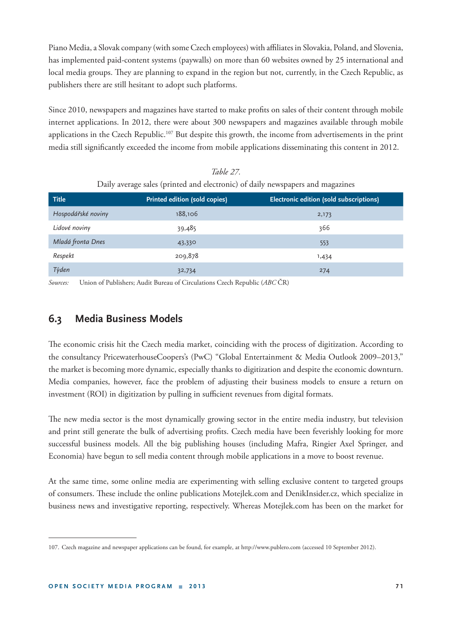Piano Media, a Slovak company (with some Czech employees) with affiliates in Slovakia, Poland, and Slovenia, has implemented paid-content systems (paywalls) on more than 60 websites owned by 25 international and local media groups. They are planning to expand in the region but not, currently, in the Czech Republic, as publishers there are still hesitant to adopt such platforms.

Since 2010, newspapers and magazines have started to make profits on sales of their content through mobile internet applications. In 2012, there were about 300 newspapers and magazines available through mobile applications in the Czech Republic.<sup>107</sup> But despite this growth, the income from advertisements in the print media still significantly exceeded the income from mobile applications disseminating this content in 2012.

| <b>Title</b>       | Printed edition (sold copies) | Electronic edition (sold subscriptions) |
|--------------------|-------------------------------|-----------------------------------------|
| Hospodářské noviny | 188,106                       | 2,173                                   |
| Lidové noviny      | 39,485                        | 366                                     |
| Mladá fronta Dnes  | 43,330                        | 553                                     |
| Respekt            | 209,878                       | 1,434                                   |
| Týden              | 32,734                        | 274                                     |

*Table 27.* Daily average sales (printed and electronic) of daily newspapers and magazines

*Sources:* Union of Publishers; Audit Bureau of Circulations Czech Republic (*ABC* ČR)

# **6.3 Media Business Models**

The economic crisis hit the Czech media market, coinciding with the process of digitization. According to the consultancy PricewaterhouseCoopers's (PwC) "Global Entertainment & Media Outlook 2009–2013," the market is becoming more dynamic, especially thanks to digitization and despite the economic downturn. Media companies, however, face the problem of adjusting their business models to ensure a return on investment (ROI) in digitization by pulling in sufficient revenues from digital formats.

The new media sector is the most dynamically growing sector in the entire media industry, but television and print still generate the bulk of advertising profits. Czech media have been feverishly looking for more successful business models. All the big publishing houses (including Mafra, Ringier Axel Springer, and Economia) have begun to sell media content through mobile applications in a move to boost revenue.

At the same time, some online media are experimenting with selling exclusive content to targeted groups of consumers. These include the online publications Motejlek.com and DenikInsider.cz, which specialize in business news and investigative reporting, respectively. Whereas Motejlek.com has been on the market for

<sup>107.</sup> Czech magazine and newspaper applications can be found, for example, at http://www.publero.com (accessed 10 September 2012).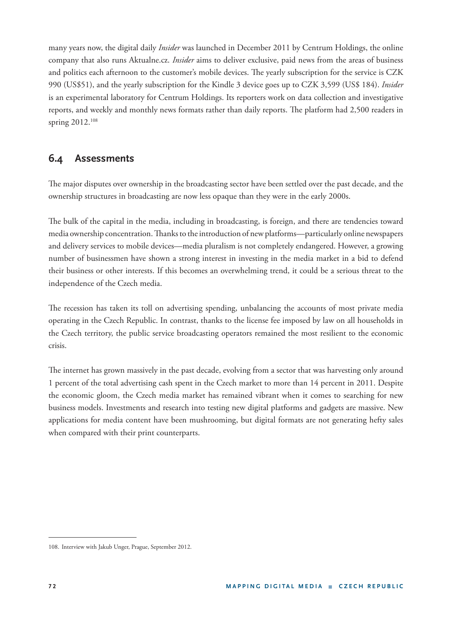many years now, the digital daily *Insider* was launched in December 2011 by Centrum Holdings, the online company that also runs Aktualne.cz. *Insider* aims to deliver exclusive, paid news from the areas of business and politics each afternoon to the customer's mobile devices. The yearly subscription for the service is CZK 990 (US\$51), and the yearly subscription for the Kindle 3 device goes up to CZK 3,599 (US\$ 184). *Insider* is an experimental laboratory for Centrum Holdings. Its reporters work on data collection and investigative reports, and weekly and monthly news formats rather than daily reports. The platform had 2,500 readers in spring 2012.108

## **6.4 Assessments**

The major disputes over ownership in the broadcasting sector have been settled over the past decade, and the ownership structures in broadcasting are now less opaque than they were in the early 2000s.

The bulk of the capital in the media, including in broadcasting, is foreign, and there are tendencies toward media ownership concentration. Thanks to the introduction of new platforms—particularly online newspapers and delivery services to mobile devices—media pluralism is not completely endangered. However, a growing number of businessmen have shown a strong interest in investing in the media market in a bid to defend their business or other interests. If this becomes an overwhelming trend, it could be a serious threat to the independence of the Czech media.

The recession has taken its toll on advertising spending, unbalancing the accounts of most private media operating in the Czech Republic. In contrast, thanks to the license fee imposed by law on all households in the Czech territory, the public service broadcasting operators remained the most resilient to the economic crisis.

The internet has grown massively in the past decade, evolving from a sector that was harvesting only around 1 percent of the total advertising cash spent in the Czech market to more than 14 percent in 2011. Despite the economic gloom, the Czech media market has remained vibrant when it comes to searching for new business models. Investments and research into testing new digital platforms and gadgets are massive. New applications for media content have been mushrooming, but digital formats are not generating hefty sales when compared with their print counterparts.

<sup>108.</sup> Interview with Jakub Unger, Prague, September 2012.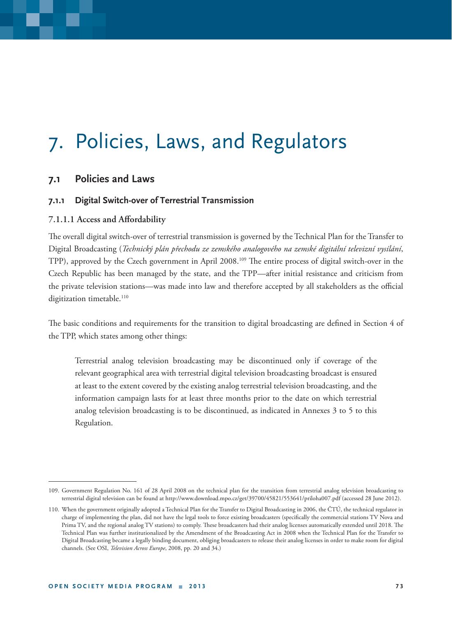# 7. Policies, Laws, and Regulators

#### **7.1 Policies and Laws**

#### **7.1.1 Digital Switch-over of Terrestrial Transmission**

#### 7.1.1.1 Access and Affordability

The overall digital switch-over of terrestrial transmission is governed by the Technical Plan for the Transfer to Digital Broadcasting (*Technický plán přechodu ze zemského analogového na zemské digitální televizní vysílání*, TPP), approved by the Czech government in April 2008.<sup>109</sup> The entire process of digital switch-over in the Czech Republic has been managed by the state, and the TPP—after initial resistance and criticism from the private television stations—was made into law and therefore accepted by all stakeholders as the official digitization timetable.<sup>110</sup>

The basic conditions and requirements for the transition to digital broadcasting are defined in Section 4 of the TPP, which states among other things:

Terrestrial analog television broadcasting may be discontinued only if coverage of the relevant geographical area with terrestrial digital television broadcasting broadcast is ensured at least to the extent covered by the existing analog terrestrial television broadcasting, and the information campaign lasts for at least three months prior to the date on which terrestrial analog television broadcasting is to be discontinued, as indicated in Annexes 3 to 5 to this Regulation.

<sup>109.</sup> Government Regulation No. 161 of 28 April 2008 on the technical plan for the transition from terrestrial analog television broadcasting to terrestrial digital television can be found at http://www.download.mpo.cz/get/39700/45821/553641/priloha007.pdf (accessed 28 June 2012).

<sup>110.</sup> When the government originally adopted a Technical Plan for the Transfer to Digital Broadcasting in 2006, the ČTÚ, the technical regulator in charge of implementing the plan, did not have the legal tools to force existing broadcasters (specifically the commercial stations TV Nova and Prima TV, and the regional analog TV stations) to comply. These broadcasters had their analog licenses automatically extended until 2018. The Technical Plan was further institutionalized by the Amendment of the Broadcasting Act in 2008 when the Technical Plan for the Transfer to Digital Broadcasting became a legally binding document, obliging broadcasters to release their analog licenses in order to make room for digital channels. (See OSI, *Television Across Europe*, 2008, pp. 20 and 34.)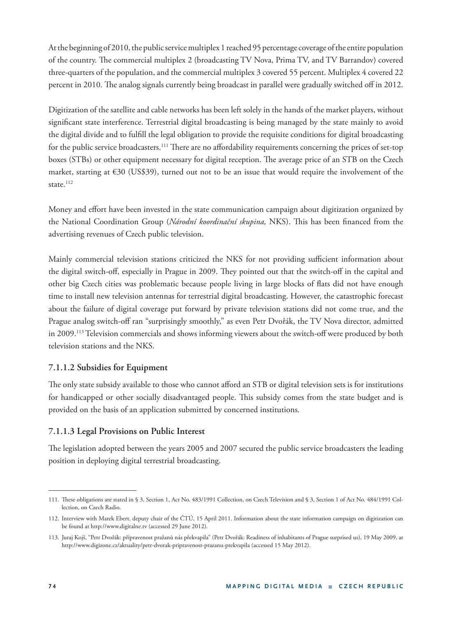At the beginning of 2010, the public service multiplex 1 reached 95 percentage coverage of the entire population of the country. The commercial multiplex 2 (broadcasting TV Nova, Prima TV, and TV Barrandov) covered three-quarters of the population, and the commercial multiplex 3 covered 55 percent. Multiplex 4 covered 22 percent in 2010. The analog signals currently being broadcast in parallel were gradually switched off in 2012.

Digitization of the satellite and cable networks has been left solely in the hands of the market players, without significant state interference. Terrestrial digital broadcasting is being managed by the state mainly to avoid the digital divide and to fulfill the legal obligation to provide the requisite conditions for digital broadcasting for the public service broadcasters.<sup>111</sup> There are no affordability requirements concerning the prices of set-top boxes (STBs) or other equipment necessary for digital reception. The average price of an STB on the Czech market, starting at €30 (US\$39), turned out not to be an issue that would require the involvement of the state.<sup>112</sup>

Money and effort have been invested in the state communication campaign about digitization organized by the National Coordination Group (*Národní koordinační skupina*, NKS). This has been financed from the advertising revenues of Czech public television.

Mainly commercial television stations criticized the NKS for not providing sufficient information about the digital switch-off, especially in Prague in 2009. They pointed out that the switch-off in the capital and other big Czech cities was problematic because people living in large blocks of flats did not have enough time to install new television antennas for terrestrial digital broadcasting. However, the catastrophic forecast about the failure of digital coverage put forward by private television stations did not come true, and the Prague analog switch-off ran "surprisingly smoothly," as even Petr Dvořák, the TV Nova director, admitted in 2009.<sup>113</sup> Television commercials and shows informing viewers about the switch-off were produced by both television stations and the NKS.

#### **7.1.1.2 Subsidies for Equipment**

The only state subsidy available to those who cannot afford an STB or digital television sets is for institutions for handicapped or other socially disadvantaged people. This subsidy comes from the state budget and is provided on the basis of an application submitted by concerned institutions.

#### **7.1.1.3 Legal Provisions on Public Interest**

The legislation adopted between the years 2005 and 2007 secured the public service broadcasters the leading position in deploying digital terrestrial broadcasting.

<sup>111.</sup> These obligations are stated in § 3, Section 1, Act No. 483/1991 Collection, on Czech Television and § 3, Section 1 of Act No. 484/1991 Collection, on Czech Radio.

<sup>112.</sup> Interview with Marek Ebert, deputy chair of the ČTÚ, 15 April 2011. Information about the state information campaign on digitization can be found at http://www.digitalne.tv (accessed 29 June 2012).

<sup>113.</sup> Juraj Kojš, "Petr Dvořák: připravenost pražanů nás překvapila" (Petr Dvořák: Readiness of inhabitants of Prague surprised us), 19 May 2009, at http://www.digizone.cz/aktuality/petr-dvorak-pripravenost-prazanu-prekvapila (accessed 15 May 2012).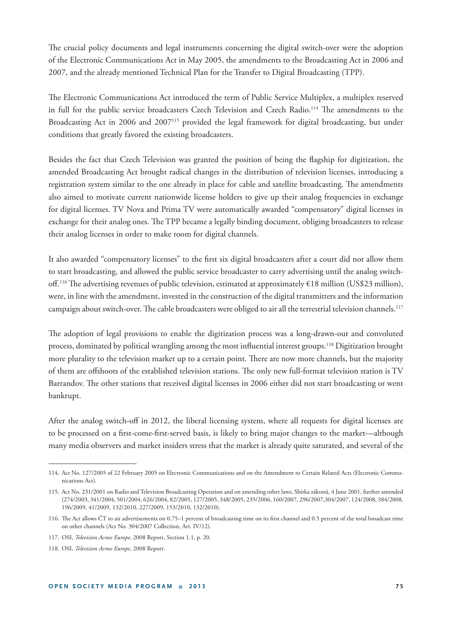The crucial policy documents and legal instruments concerning the digital switch-over were the adoption of the Electronic Communications Act in May 2005, the amendments to the Broadcasting Act in 2006 and 2007, and the already mentioned Technical Plan for the Transfer to Digital Broadcasting (TPP).

The Electronic Communications Act introduced the term of Public Service Multiplex, a multiplex reserved in full for the public service broadcasters Czech Television and Czech Radio.<sup>114</sup> The amendments to the Broadcasting Act in 2006 and 2007<sup>115</sup> provided the legal framework for digital broadcasting, but under conditions that greatly favored the existing broadcasters.

Besides the fact that Czech Television was granted the position of being the flagship for digitization, the amended Broadcasting Act brought radical changes in the distribution of television licenses, introducing a registration system similar to the one already in place for cable and satellite broadcasting. The amendments also aimed to motivate current nationwide license holders to give up their analog frequencies in exchange for digital licenses. TV Nova and Prima TV were automatically awarded "compensatory" digital licenses in exchange for their analog ones. The TPP became a legally binding document, obliging broadcasters to release their analog licenses in order to make room for digital channels.

It also awarded "compensatory licenses" to the first six digital broadcasters after a court did not allow them to start broadcasting, and allowed the public service broadcaster to carry advertising until the analog switchoff.<sup>116</sup> The advertising revenues of public television, estimated at approximately  $\epsilon$ 18 million (US\$23 million), were, in line with the amendment, invested in the construction of the digital transmitters and the information campaign about switch-over. The cable broadcasters were obliged to air all the terrestrial television channels.<sup>117</sup>

The adoption of legal provisions to enable the digitization process was a long-drawn-out and convoluted process, dominated by political wrangling among the most influential interest groups.<sup>118</sup> Digitization brought more plurality to the television market up to a certain point. There are now more channels, but the majority of them are offshoots of the established television stations. The only new full-format television station is TV Barrandov. The other stations that received digital licenses in 2006 either did not start broadcasting or went bankrupt.

After the analog switch-off in 2012, the liberal licensing system, where all requests for digital licenses are to be processed on a first-come-first-served basis, is likely to bring major changes to the market—although many media observers and market insiders stress that the market is already quite saturated, and several of the

<sup>114.</sup> Act No. 127/2005 of 22 February 2005 on Electronic Communications and on the Amendment to Certain Related Acts (Electronic Communications Act).

<sup>115.</sup> Act No. 231/2001 on Radio and Television Broadcasting Operation and on amending other laws, Sbírka zákonů, 4 June 2001, further amended (274/2003, 341/2004, 501/2004, 626/2004, 82/2005, 127/2005, 348/2005, 235/2006, 160/2007, 296/2007,304/2007, 124/2008, 384/2008, 196/2009, 41/2009, 132/2010, 227/2009, 153/2010, 132/2010).

<sup>116.</sup> The Act allows ČT to air advertisements on 0.75–1 percent of broadcasting time on its first channel and 0.5 percent of the total broadcast time on other channels (Act No. 304/2007 Collection, Art. IV/12).

<sup>117.</sup> OSI, *Television Across Europe*, 2008 Report, Section 1.1, p. 20.

<sup>118.</sup> OSI, *Television Across Europe*, 2008 Report.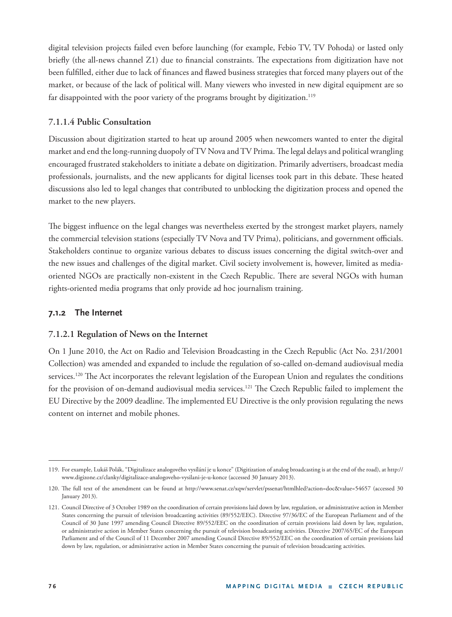digital television projects failed even before launching (for example, Febio TV, TV Pohoda) or lasted only briefly (the all-news channel  $Z1$ ) due to financial constraints. The expectations from digitization have not been fulfilled, either due to lack of finances and flawed business strategies that forced many players out of the market, or because of the lack of political will. Many viewers who invested in new digital equipment are so far disappointed with the poor variety of the programs brought by digitization.<sup>119</sup>

#### **7.1.1.4 Public Consultation**

Discussion about digitization started to heat up around 2005 when newcomers wanted to enter the digital market and end the long-running duopoly of TV Nova and TV Prima. The legal delays and political wrangling encouraged frustrated stakeholders to initiate a debate on digitization. Primarily advertisers, broadcast media professionals, journalists, and the new applicants for digital licenses took part in this debate. These heated discussions also led to legal changes that contributed to unblocking the digitization process and opened the market to the new players.

The biggest influence on the legal changes was nevertheless exerted by the strongest market players, namely the commercial television stations (especially TV Nova and TV Prima), politicians, and government officials. Stakeholders continue to organize various debates to discuss issues concerning the digital switch-over and the new issues and challenges of the digital market. Civil society involvement is, however, limited as mediaoriented NGOs are practically non-existent in the Czech Republic. There are several NGOs with human rights-oriented media programs that only provide ad hoc journalism training.

#### **7.1.2 The Internet**

#### **7.1.2.1 Regulation of News on the Internet**

On 1 June 2010, the Act on Radio and Television Broadcasting in the Czech Republic (Act No. 231/2001 Collection) was amended and expanded to include the regulation of so-called on-demand audiovisual media services.<sup>120</sup> The Act incorporates the relevant legislation of the European Union and regulates the conditions for the provision of on-demand audiovisual media services.<sup>121</sup> The Czech Republic failed to implement the EU Directive by the 2009 deadline. The implemented EU Directive is the only provision regulating the news content on internet and mobile phones.

<sup>119.</sup> For example, Lukáš Polák, "Digitalizace analogového vysílání je u konce" (Digitization of analog broadcasting is at the end of the road), at http:// www.digizone.cz/clanky/digitalizace-analogoveho-vysilani-je-u-konce (accessed 30 January 2013).

<sup>120.</sup> The full text of the amendment can be found at http://www.senat.cz/xqw/xervlet/pssenat/htmlhled?action=doc&value=54657 (accessed 30 January 2013).

<sup>121.</sup> Council Directive of 3 October 1989 on the coordination of certain provisions laid down by law, regulation, or administrative action in Member States concerning the pursuit of television broadcasting activities (89/552/EEC). Directive 97/36/EC of the European Parliament and of the Council of 30 June 1997 amending Council Directive 89/552/EEC on the coordination of certain provisions laid down by law, regulation, or administrative action in Member States concerning the pursuit of television broadcasting activities. Directive 2007/65/EC of the European Parliament and of the Council of 11 December 2007 amending Council Directive 89/552/EEC on the coordination of certain provisions laid down by law, regulation, or administrative action in Member States concerning the pursuit of television broadcasting activities.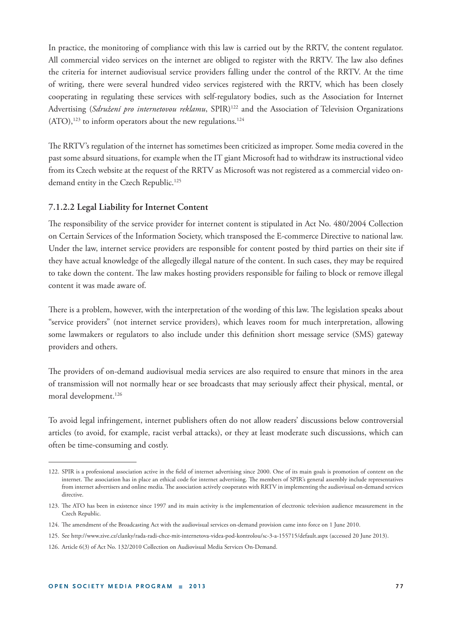In practice, the monitoring of compliance with this law is carried out by the RRTV, the content regulator. All commercial video services on the internet are obliged to register with the RRTV. The law also defines the criteria for internet audiovisual service providers falling under the control of the RRTV. At the time of writing, there were several hundred video services registered with the RRTV, which has been closely cooperating in regulating these services with self-regulatory bodies, such as the Association for Internet Advertising (Sdružení pro internetovou reklamu, SPIR)<sup>122</sup> and the Association of Television Organizations  $(ATO),<sup>123</sup>$  to inform operators about the new regulations.<sup>124</sup>

The RRTV's regulation of the internet has sometimes been criticized as improper. Some media covered in the past some absurd situations, for example when the IT giant Microsoft had to withdraw its instructional video from its Czech website at the request of the RRTV as Microsoft was not registered as a commercial video ondemand entity in the Czech Republic.<sup>125</sup>

#### **7.1.2.2 Legal Liability for Internet Content**

The responsibility of the service provider for internet content is stipulated in Act No. 480/2004 Collection on Certain Services of the Information Society, which transposed the E-commerce Directive to national law. Under the law, internet service providers are responsible for content posted by third parties on their site if they have actual knowledge of the allegedly illegal nature of the content. In such cases, they may be required to take down the content. The law makes hosting providers responsible for failing to block or remove illegal content it was made aware of.

There is a problem, however, with the interpretation of the wording of this law. The legislation speaks about "service providers" (not internet service providers), which leaves room for much interpretation, allowing some lawmakers or regulators to also include under this definition short message service (SMS) gateway providers and others.

The providers of on-demand audiovisual media services are also required to ensure that minors in the area of transmission will not normally hear or see broadcasts that may seriously affect their physical, mental, or moral development.<sup>126</sup>

To avoid legal infringement, internet publishers often do not allow readers' discussions below controversial articles (to avoid, for example, racist verbal attacks), or they at least moderate such discussions, which can often be time-consuming and costly.

<sup>122.</sup> SPIR is a professional association active in the field of internet advertising since 2000. One of its main goals is promotion of content on the internet. The association has in place an ethical code for internet advertising. The members of SPIR's general assembly include representatives from internet advertisers and online media. The association actively cooperates with RRTV in implementing the audiovisual on-demand services directive.

<sup>123.</sup> The ATO has been in existence since 1997 and its main activity is the implementation of electronic television audience measurement in the Czech Republic.

<sup>124.</sup> The amendment of the Broadcasting Act with the audiovisual services on-demand provision came into force on 1 June 2010.

<sup>125.</sup> See http://www.zive.cz/clanky/rada-radi-chce-mit-internetova-videa-pod-kontrolou/sc-3-a-155715/default.aspx (accessed 20 June 2013).

<sup>126.</sup> Article 6(3) of Act No. 132/2010 Collection on Audiovisual Media Services On-Demand.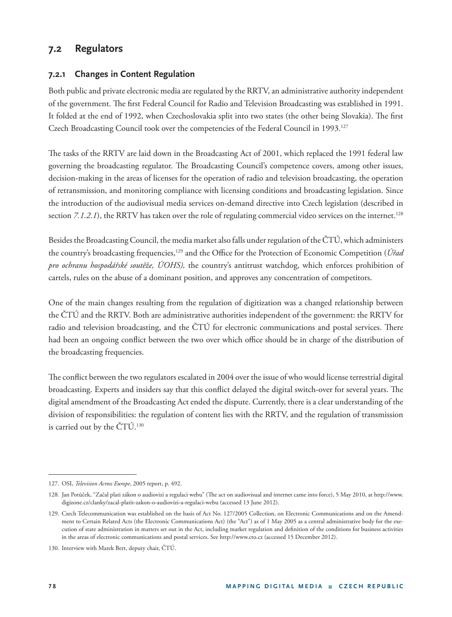## **7.2 Regulators**

#### **7.2.1 Changes in Content Regulation**

Both public and private electronic media are regulated by the RRTV, an administrative authority independent of the government. The first Federal Council for Radio and Television Broadcasting was established in 1991. It folded at the end of 1992, when Czechoslovakia split into two states (the other being Slovakia). The first Czech Broadcasting Council took over the competencies of the Federal Council in 1993.127

The tasks of the RRTV are laid down in the Broadcasting Act of 2001, which replaced the 1991 federal law governing the broadcasting regulator. The Broadcasting Council's competence covers, among other issues, decision-making in the areas of licenses for the operation of radio and television broadcasting, the operation of retransmission, and monitoring compliance with licensing conditions and broadcasting legislation. Since the introduction of the audiovisual media services on-demand directive into Czech legislation (described in section  $7.1.2.1$ ), the RRTV has taken over the role of regulating commercial video services on the internet.<sup>128</sup>

Besides the Broadcasting Council, the media market also falls under regulation of the ČTÚ, which administers the country's broadcasting frequencies,<sup>129</sup> and the Office for the Protection of Economic Competition (*Úřad pro ochranu hospodářské soutěže, ÚOHS),* the country's antitrust watchdog, which enforces prohibition of cartels, rules on the abuse of a dominant position, and approves any concentration of competitors.

One of the main changes resulting from the regulation of digitization was a changed relationship between the ČTÚ and the RRTV. Both are administrative authorities independent of the government: the RRTV for radio and television broadcasting, and the ČTÚ for electronic communications and postal services. There had been an ongoing conflict between the two over which office should be in charge of the distribution of the broadcasting frequencies.

The conflict between the two regulators escalated in 2004 over the issue of who would license terrestrial digital broadcasting. Experts and insiders say that this conflict delayed the digital switch-over for several years. The digital amendment of the Broadcasting Act ended the dispute. Currently, there is a clear understanding of the division of responsibilities: the regulation of content lies with the RRTV, and the regulation of transmission is carried out by the  $\text{CTU}.^{130}$ 

<sup>127.</sup> OSI, *Television Across Europe*, 2005 report, p. 492.

<sup>128.</sup> Jan Potůček, "Začal plati zákon o audiovizi a regulaci webu" (The act on audiovisual and internet came into force), 5 May 2010, at http://www. digizone.cz/clanky/zacal-platit-zakon-o-audiovizi-a-regulaci-webu (accessed 13 June 2012).

<sup>129.</sup> Czech Telecommunication was established on the basis of Act No. 127/2005 Collection, on Electronic Communications and on the Amendment to Certain Related Acts (the Electronic Communications Act) (the "Act") as of 1 May 2005 as a central administrative body for the execution of state administration in matters set out in the Act, including market regulation and definition of the conditions for business activities in the areas of electronic communications and postal services. See http://www.cto.cz (accessed 15 December 2012).

<sup>130.</sup> Interview with Marek Bert, deputy chair, ČTÚ.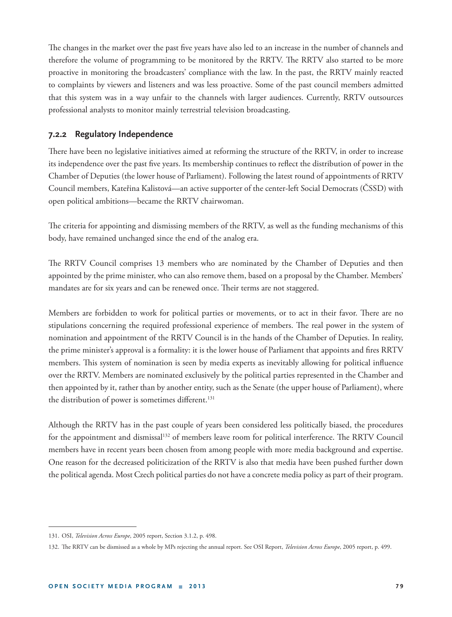The changes in the market over the past five years have also led to an increase in the number of channels and therefore the volume of programming to be monitored by the RRTV. The RRTV also started to be more proactive in monitoring the broadcasters' compliance with the law. In the past, the RRTV mainly reacted to complaints by viewers and listeners and was less proactive. Some of the past council members admitted that this system was in a way unfair to the channels with larger audiences. Currently, RRTV outsources professional analysts to monitor mainly terrestrial television broadcasting.

#### **7.2.2 Regulatory Independence**

There have been no legislative initiatives aimed at reforming the structure of the RRTV, in order to increase its independence over the past five years. Its membership continues to reflect the distribution of power in the Chamber of Deputies (the lower house of Parliament). Following the latest round of appointments of RRTV Council members, Kateřina Kalistová—an active supporter of the center-left Social Democrats (ČSSD) with open political ambitions—became the RRTV chairwoman.

The criteria for appointing and dismissing members of the RRTV, as well as the funding mechanisms of this body, have remained unchanged since the end of the analog era.

The RRTV Council comprises 13 members who are nominated by the Chamber of Deputies and then appointed by the prime minister, who can also remove them, based on a proposal by the Chamber. Members' mandates are for six years and can be renewed once. Their terms are not staggered.

Members are forbidden to work for political parties or movements, or to act in their favor. There are no stipulations concerning the required professional experience of members. The real power in the system of nomination and appointment of the RRTV Council is in the hands of the Chamber of Deputies. In reality, the prime minister's approval is a formality: it is the lower house of Parliament that appoints and fires RRTV members. This system of nomination is seen by media experts as inevitably allowing for political influence over the RRTV. Members are nominated exclusively by the political parties represented in the Chamber and then appointed by it, rather than by another entity, such as the Senate (the upper house of Parliament), where the distribution of power is sometimes different.<sup>131</sup>

Although the RRTV has in the past couple of years been considered less politically biased, the procedures for the appointment and dismissal<sup>132</sup> of members leave room for political interference. The RRTV Council members have in recent years been chosen from among people with more media background and expertise. One reason for the decreased politicization of the RRTV is also that media have been pushed further down the political agenda. Most Czech political parties do not have a concrete media policy as part of their program.

<sup>131.</sup> OSI, *Television Across Europe*, 2005 report, Section 3.1.2, p. 498.

<sup>132.</sup> The RRTV can be dismissed as a whole by MPs rejecting the annual report. See OSI Report, *Television Across Europe*, 2005 report, p. 499.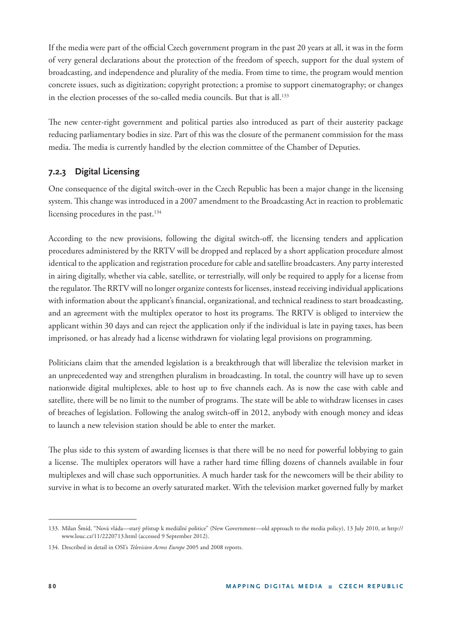If the media were part of the official Czech government program in the past 20 years at all, it was in the form of very general declarations about the protection of the freedom of speech, support for the dual system of broadcasting, and independence and plurality of the media. From time to time, the program would mention concrete issues, such as digitization; copyright protection; a promise to support cinematography; or changes in the election processes of the so-called media councils. But that is all.<sup>133</sup>

The new center-right government and political parties also introduced as part of their austerity package reducing parliamentary bodies in size. Part of this was the closure of the permanent commission for the mass media. The media is currently handled by the election committee of the Chamber of Deputies.

### **7.2.3 Digital Licensing**

One consequence of the digital switch-over in the Czech Republic has been a major change in the licensing system. This change was introduced in a 2007 amendment to the Broadcasting Act in reaction to problematic licensing procedures in the past.<sup>134</sup>

According to the new provisions, following the digital switch-off, the licensing tenders and application procedures administered by the RRTV will be dropped and replaced by a short application procedure almost identical to the application and registration procedure for cable and satellite broadcasters. Any party interested in airing digitally, whether via cable, satellite, or terrestrially, will only be required to apply for a license from the regulator. The RRTV will no longer organize contests for licenses, instead receiving individual applications with information about the applicant's financial, organizational, and technical readiness to start broadcasting, and an agreement with the multiplex operator to host its programs. The RRTV is obliged to interview the applicant within 30 days and can reject the application only if the individual is late in paying taxes, has been imprisoned, or has already had a license withdrawn for violating legal provisions on programming.

Politicians claim that the amended legislation is a breakthrough that will liberalize the television market in an unprecedented way and strengthen pluralism in broadcasting. In total, the country will have up to seven nationwide digital multiplexes, able to host up to five channels each. As is now the case with cable and satellite, there will be no limit to the number of programs. The state will be able to withdraw licenses in cases of breaches of legislation. Following the analog switch-off in 2012, anybody with enough money and ideas to launch a new television station should be able to enter the market.

The plus side to this system of awarding licenses is that there will be no need for powerful lobbying to gain a license. The multiplex operators will have a rather hard time filling dozens of channels available in four multiplexes and will chase such opportunities. A much harder task for the newcomers will be their ability to survive in what is to become an overly saturated market. With the television market governed fully by market

<sup>133.</sup> Milan Šmíd, "Nová vláda—starý přístup k mediální politice" (New Government—old approach to the media policy), 13 July 2010, at http:// www.louc.cz/11/2220713.html (accessed 9 September 2012).

<sup>134.</sup> Described in detail in OSI's *Television Across Europe* 2005 and 2008 reports.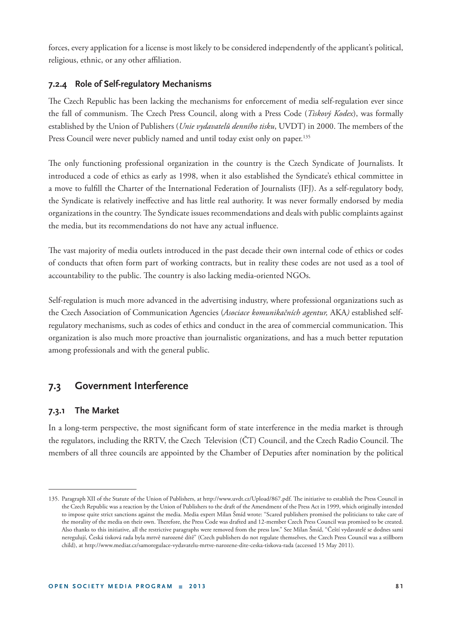forces, every application for a license is most likely to be considered independently of the applicant's political, religious, ethnic, or any other affiliation.

#### **7.2.4 Role of Self-regulatory Mechanisms**

The Czech Republic has been lacking the mechanisms for enforcement of media self-regulation ever since the fall of communism. The Czech Press Council, along with a Press Code (*Tiskový Kodex*), was formally established by the Union of Publishers (*Unie vydavatelů denního tisku*, UVDT) in 2000. The members of the Press Council were never publicly named and until today exist only on paper.<sup>135</sup>

The only functioning professional organization in the country is the Czech Syndicate of Journalists. It introduced a code of ethics as early as 1998, when it also established the Syndicate's ethical committee in a move to fulfill the Charter of the International Federation of Journalists (IFJ). As a self-regulatory body, the Syndicate is relatively ineffective and has little real authority. It was never formally endorsed by media organizations in the country. The Syndicate issues recommendations and deals with public complaints against the media, but its recommendations do not have any actual influence.

The vast majority of media outlets introduced in the past decade their own internal code of ethics or codes of conducts that often form part of working contracts, but in reality these codes are not used as a tool of accountability to the public. The country is also lacking media-oriented NGOs.

Self-regulation is much more advanced in the advertising industry, where professional organizations such as the Czech Association of Communication Agencies (*Asociace komunikačních agentur,* AKA*)* established selfregulatory mechanisms, such as codes of ethics and conduct in the area of commercial communication. This organization is also much more proactive than journalistic organizations, and has a much better reputation among professionals and with the general public.

## **7.3 Government Interference**

#### **7.3.1 The Market**

In a long-term perspective, the most significant form of state interference in the media market is through the regulators, including the RRTV, the Czech Television (CT) Council, and the Czech Radio Council. The members of all three councils are appointed by the Chamber of Deputies after nomination by the political

<sup>135.</sup> Paragraph XII of the Statute of the Union of Publishers, at http://www.uvdt.cz/Upload/867.pdf. The initiative to establish the Press Council in the Czech Republic was a reaction by the Union of Publishers to the draft of the Amendment of the Press Act in 1999, which originally intended to impose quite strict sanctions against the media. Media expert Milan Šmíd wrote: "Scared publishers promised the politicians to take care of the morality of the media on their own. Therefore, the Press Code was drafted and 12-member Czech Press Council was promised to be created. Also thanks to this initiative, all the restrictive paragraphs were removed from the press law." See Milan Šmíd, "Čeští vydavatelé se dodnes sami neregulují, Česká tisková rada byla mrtvě narozené dítě" (Czech publishers do not regulate themselves, the Czech Press Council was a stillborn child), at http://www.mediar.cz/samoregulace-vydavatelu-mrtve-narozene-dite-ceska-tiskova-rada (accessed 15 May 2011).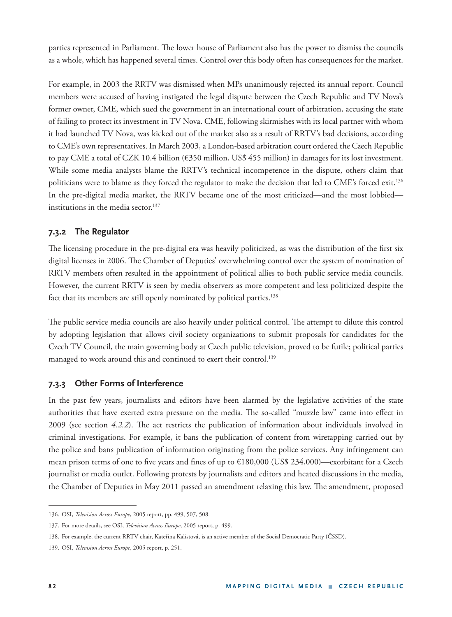parties represented in Parliament. The lower house of Parliament also has the power to dismiss the councils as a whole, which has happened several times. Control over this body often has consequences for the market.

For example, in 2003 the RRTV was dismissed when MPs unanimously rejected its annual report. Council members were accused of having instigated the legal dispute between the Czech Republic and TV Nova's former owner, CME, which sued the government in an international court of arbitration, accusing the state of failing to protect its investment in TV Nova. CME, following skirmishes with its local partner with whom it had launched TV Nova, was kicked out of the market also as a result of RRTV's bad decisions, according to CME's own representatives. In March 2003, a London-based arbitration court ordered the Czech Republic to pay CME a total of CZK 10.4 billion (€350 million, US\$ 455 million) in damages for its lost investment. While some media analysts blame the RRTV's technical incompetence in the dispute, others claim that politicians were to blame as they forced the regulator to make the decision that led to CME's forced exit.136 In the pre-digital media market, the RRTV became one of the most criticized—and the most lobbied institutions in the media sector. $137$ 

#### **7.3.2 The Regulator**

The licensing procedure in the pre-digital era was heavily politicized, as was the distribution of the first six digital licenses in 2006. The Chamber of Deputies' overwhelming control over the system of nomination of RRTV members often resulted in the appointment of political allies to both public service media councils. However, the current RRTV is seen by media observers as more competent and less politicized despite the fact that its members are still openly nominated by political parties.<sup>138</sup>

The public service media councils are also heavily under political control. The attempt to dilute this control by adopting legislation that allows civil society organizations to submit proposals for candidates for the Czech TV Council, the main governing body at Czech public television, proved to be futile; political parties managed to work around this and continued to exert their control.<sup>139</sup>

#### **7.3.3 Other Forms of Interference**

In the past few years, journalists and editors have been alarmed by the legislative activities of the state authorities that have exerted extra pressure on the media. The so-called "muzzle law" came into effect in 2009 (see section 4.2.2). The act restricts the publication of information about individuals involved in criminal investigations. For example, it bans the publication of content from wiretapping carried out by the police and bans publication of information originating from the police services. Any infringement can mean prison terms of one to five years and fines of up to  $\epsilon$ 180,000 (US\$ 234,000)—exorbitant for a Czech journalist or media outlet. Following protests by journalists and editors and heated discussions in the media, the Chamber of Deputies in May 2011 passed an amendment relaxing this law. The amendment, proposed

<sup>136.</sup> OSI, *Television Across Europe*, 2005 report, pp. 499, 507, 508.

<sup>137.</sup> For more details, see OSI, *Television Across Europe*, 2005 report, p. 499.

<sup>138.</sup> For example, the current RRTV chair, Kateřina Kalistová, is an active member of the Social Democratic Party (ČSSD).

<sup>139.</sup> OSI, *Television Across Europe*, 2005 report, p. 251.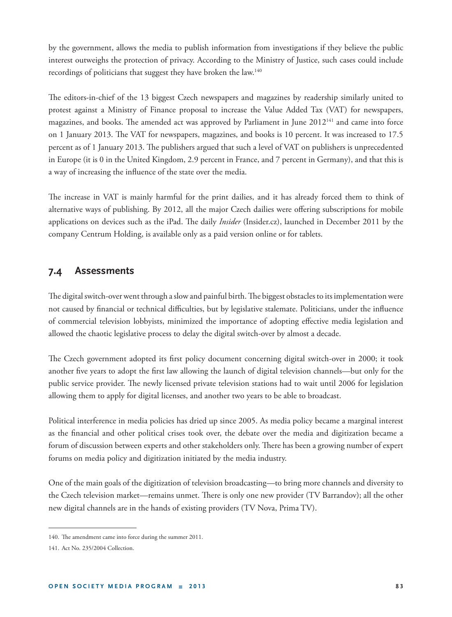by the government, allows the media to publish information from investigations if they believe the public interest outweighs the protection of privacy. According to the Ministry of Justice, such cases could include recordings of politicians that suggest they have broken the law.140

The editors-in-chief of the 13 biggest Czech newspapers and magazines by readership similarly united to protest against a Ministry of Finance proposal to increase the Value Added Tax (VAT) for newspapers, magazines, and books. The amended act was approved by Parliament in June 2012<sup>141</sup> and came into force on 1 January 2013. The VAT for newspapers, magazines, and books is 10 percent. It was increased to 17.5 percent as of 1 January 2013. The publishers argued that such a level of VAT on publishers is unprecedented in Europe (it is 0 in the United Kingdom, 2.9 percent in France, and 7 percent in Germany), and that this is a way of increasing the influence of the state over the media.

The increase in VAT is mainly harmful for the print dailies, and it has already forced them to think of alternative ways of publishing. By 2012, all the major Czech dailies were offering subscriptions for mobile applications on devices such as the iPad. The daily *Insider* (Insider.cz), launched in December 2011 by the company Centrum Holding, is available only as a paid version online or for tablets.

#### **7.4 Assessments**

The digital switch-over went through a slow and painful birth. The biggest obstacles to its implementation were not caused by financial or technical difficulties, but by legislative stalemate. Politicians, under the influence of commercial television lobbyists, minimized the importance of adopting effective media legislation and allowed the chaotic legislative process to delay the digital switch-over by almost a decade.

The Czech government adopted its first policy document concerning digital switch-over in 2000; it took another five years to adopt the first law allowing the launch of digital television channels—but only for the public service provider. The newly licensed private television stations had to wait until 2006 for legislation allowing them to apply for digital licenses, and another two years to be able to broadcast.

Political interference in media policies has dried up since 2005. As media policy became a marginal interest as the financial and other political crises took over, the debate over the media and digitization became a forum of discussion between experts and other stakeholders only. There has been a growing number of expert forums on media policy and digitization initiated by the media industry.

One of the main goals of the digitization of television broadcasting—to bring more channels and diversity to the Czech television market—remains unmet. There is only one new provider (TV Barrandov); all the other new digital channels are in the hands of existing providers (TV Nova, Prima TV).

<sup>140.</sup> The amendment came into force during the summer 2011.

<sup>141.</sup> Act No. 235/2004 Collection.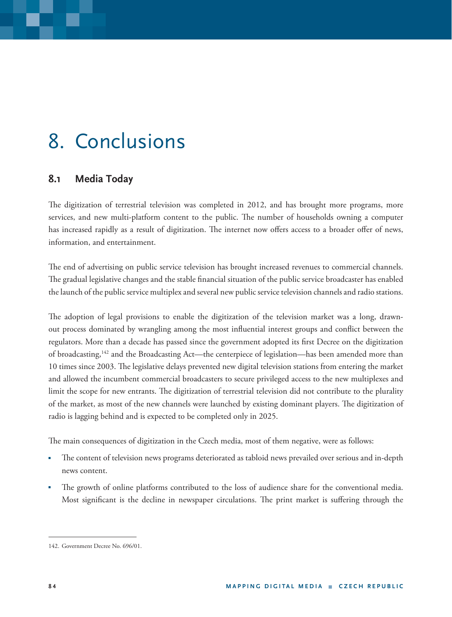# 8. Conclusions

## **8.1 Media Today**

The digitization of terrestrial television was completed in 2012, and has brought more programs, more services, and new multi-platform content to the public. The number of households owning a computer has increased rapidly as a result of digitization. The internet now offers access to a broader offer of news, information, and entertainment.

The end of advertising on public service television has brought increased revenues to commercial channels. The gradual legislative changes and the stable financial situation of the public service broadcaster has enabled the launch of the public service multiplex and several new public service television channels and radio stations.

The adoption of legal provisions to enable the digitization of the television market was a long, drawnout process dominated by wrangling among the most influential interest groups and conflict between the regulators. More than a decade has passed since the government adopted its first Decree on the digitization of broadcasting,<sup>142</sup> and the Broadcasting Act—the centerpiece of legislation—has been amended more than 10 times since 2003. The legislative delays prevented new digital television stations from entering the market and allowed the incumbent commercial broadcasters to secure privileged access to the new multiplexes and limit the scope for new entrants. The digitization of terrestrial television did not contribute to the plurality of the market, as most of the new channels were launched by existing dominant players. The digitization of radio is lagging behind and is expected to be completed only in 2025.

The main consequences of digitization in the Czech media, most of them negative, were as follows:

- The content of television news programs deteriorated as tabloid news prevailed over serious and in-depth news content.
- The growth of online platforms contributed to the loss of audience share for the conventional media. Most significant is the decline in newspaper circulations. The print market is suffering through the

<sup>142.</sup> Government Decree No. 696/01.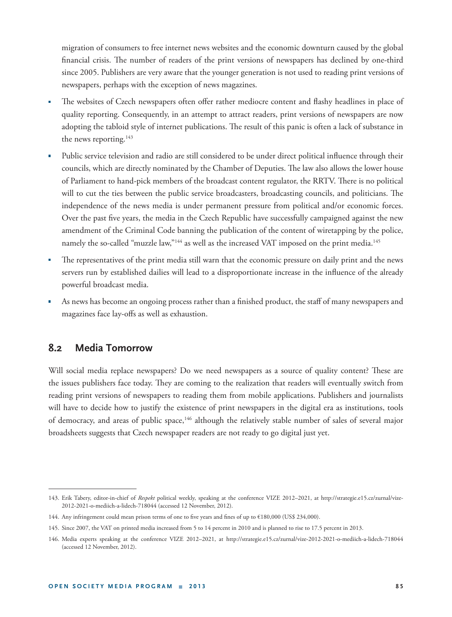migration of consumers to free internet news websites and the economic downturn caused by the global financial crisis. The number of readers of the print versions of newspapers has declined by one-third since 2005. Publishers are very aware that the younger generation is not used to reading print versions of newspapers, perhaps with the exception of news magazines.

- The websites of Czech newspapers often offer rather mediocre content and flashy headlines in place of quality reporting. Consequently, in an attempt to attract readers, print versions of newspapers are now adopting the tabloid style of internet publications. The result of this panic is often a lack of substance in the news reporting.<sup>143</sup>
- Public service television and radio are still considered to be under direct political influence through their councils, which are directly nominated by the Chamber of Deputies. The law also allows the lower house of Parliament to hand-pick members of the broadcast content regulator, the RRTV. There is no political will to cut the ties between the public service broadcasters, broadcasting councils, and politicians. The independence of the news media is under permanent pressure from political and/or economic forces. Over the past five years, the media in the Czech Republic have successfully campaigned against the new amendment of the Criminal Code banning the publication of the content of wiretapping by the police, namely the so-called "muzzle law,"<sup>144</sup> as well as the increased VAT imposed on the print media.<sup>145</sup>
- The representatives of the print media still warn that the economic pressure on daily print and the news servers run by established dailies will lead to a disproportionate increase in the influence of the already powerful broadcast media.
- As news has become an ongoing process rather than a finished product, the staff of many newspapers and magazines face lay-offs as well as exhaustion.

#### **8.2 Media Tomorrow**

Will social media replace newspapers? Do we need newspapers as a source of quality content? These are the issues publishers face today. They are coming to the realization that readers will eventually switch from reading print versions of newspapers to reading them from mobile applications. Publishers and journalists will have to decide how to justify the existence of print newspapers in the digital era as institutions, tools of democracy, and areas of public space,<sup>146</sup> although the relatively stable number of sales of several major broadsheets suggests that Czech newspaper readers are not ready to go digital just yet.

<sup>143.</sup> Erik Tabery, editor-in-chief of *Respekt* political weekly, speaking at the conference VIZE 2012–2021, at http://strategie.e15.cz/zurnal/vize-2012-2021-o-mediich-a-lidech-718044 (accessed 12 November, 2012).

<sup>144.</sup> Any infringement could mean prison terms of one to five years and fines of up to €180,000 (US\$ 234,000).

<sup>145.</sup> Since 2007, the VAT on printed media increased from 5 to 14 percent in 2010 and is planned to rise to 17.5 percent in 2013.

<sup>146.</sup> Media experts speaking at the conference VIZE 2012–2021, at http://strategie.e15.cz/zurnal/vize-2012-2021-o-mediich-a-lidech-718044 (accessed 12 November, 2012).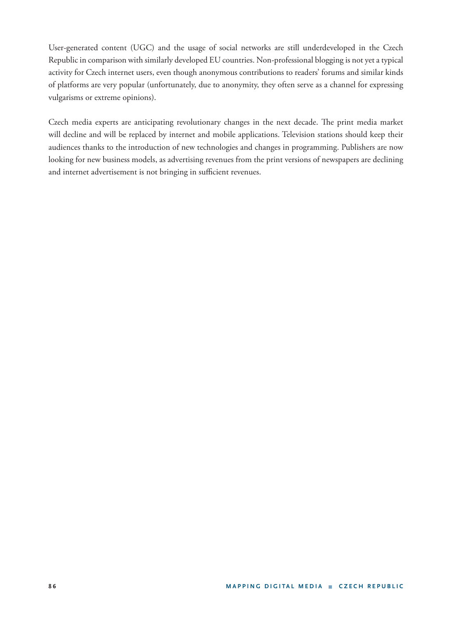User-generated content (UGC) and the usage of social networks are still underdeveloped in the Czech Republic in comparison with similarly developed EU countries. Non-professional blogging is not yet a typical activity for Czech internet users, even though anonymous contributions to readers' forums and similar kinds of platforms are very popular (unfortunately, due to anonymity, they often serve as a channel for expressing vulgarisms or extreme opinions).

Czech media experts are anticipating revolutionary changes in the next decade. The print media market will decline and will be replaced by internet and mobile applications. Television stations should keep their audiences thanks to the introduction of new technologies and changes in programming. Publishers are now looking for new business models, as advertising revenues from the print versions of newspapers are declining and internet advertisement is not bringing in sufficient revenues.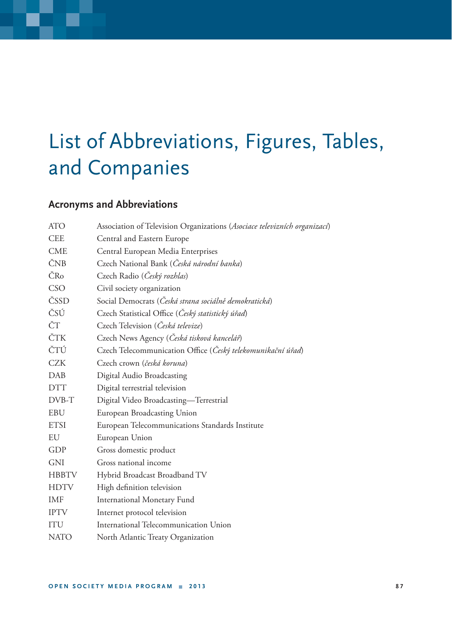# List of Abbreviations, Figures, Tables, and Companies

## **Acronyms and Abbreviations**

| <b>ATO</b>   | Association of Television Organizations (Asociace televizních organizací) |  |  |
|--------------|---------------------------------------------------------------------------|--|--|
| <b>CEE</b>   | Central and Eastern Europe                                                |  |  |
| <b>CME</b>   | Central European Media Enterprises                                        |  |  |
| ČNB          | Czech National Bank (Česká národní banka)                                 |  |  |
| ČRo          | Czech Radio (Český rozhlas)                                               |  |  |
| CSO          | Civil society organization                                                |  |  |
| ČSSD         | Social Democrats (Česká strana sociálně demokratická)                     |  |  |
| ČSÚ          | Czech Statistical Office (Český statistický úřad)                         |  |  |
| ČΤ           | Czech Television (Česká televize)                                         |  |  |
| ČTK          | Czech News Agency (Česká tisková kancelář)                                |  |  |
| ČTÚ          | Czech Telecommunication Office (Český telekomunikační úřad)               |  |  |
| <b>CZK</b>   | Czech crown (česká koruna)                                                |  |  |
| <b>DAB</b>   | Digital Audio Broadcasting                                                |  |  |
| <b>DTT</b>   | Digital terrestrial television                                            |  |  |
| DVB-T        | Digital Video Broadcasting-Terrestrial                                    |  |  |
| <b>EBU</b>   | European Broadcasting Union                                               |  |  |
| <b>ETSI</b>  | European Telecommunications Standards Institute                           |  |  |
| EU           | European Union                                                            |  |  |
| GDP          | Gross domestic product                                                    |  |  |
| <b>GNI</b>   | Gross national income                                                     |  |  |
| <b>HBBTV</b> | Hybrid Broadcast Broadband TV                                             |  |  |
| <b>HDTV</b>  | High definition television                                                |  |  |
| <b>IMF</b>   | <b>International Monetary Fund</b>                                        |  |  |
| <b>IPTV</b>  | Internet protocol television                                              |  |  |
| ITU          | International Telecommunication Union                                     |  |  |
| <b>NATO</b>  | North Atlantic Treaty Organization                                        |  |  |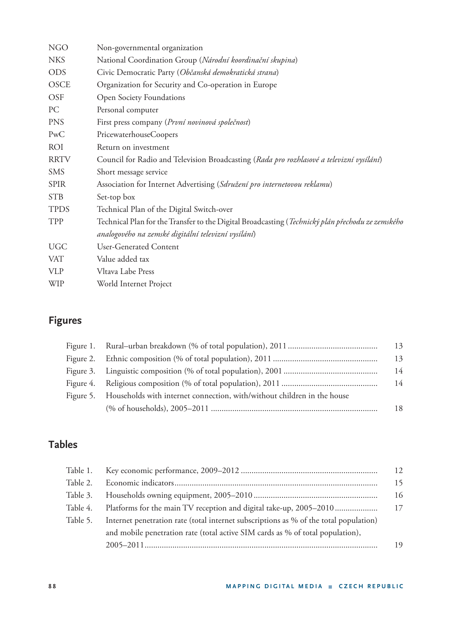| <b>NGO</b>  | Non-governmental organization                                                                    |  |  |
|-------------|--------------------------------------------------------------------------------------------------|--|--|
| <b>NKS</b>  | National Coordination Group (Národní koordinační skupina)                                        |  |  |
| <b>ODS</b>  | Civic Democratic Party (Občanská demokratická strana)                                            |  |  |
| <b>OSCE</b> | Organization for Security and Co-operation in Europe                                             |  |  |
| <b>OSF</b>  | <b>Open Society Foundations</b>                                                                  |  |  |
| PC          | Personal computer                                                                                |  |  |
| <b>PNS</b>  | First press company (První novinová společnost)                                                  |  |  |
| PwC         | PricewaterhouseCoopers                                                                           |  |  |
| <b>ROI</b>  | Return on investment                                                                             |  |  |
| <b>RRTV</b> | Council for Radio and Television Broadcasting (Rada pro rozhlasové a televizní vysílání)         |  |  |
| <b>SMS</b>  | Short message service                                                                            |  |  |
| <b>SPIR</b> | Association for Internet Advertising (Sdružení pro internetovou reklamu)                         |  |  |
| <b>STB</b>  | Set-top box                                                                                      |  |  |
| <b>TPDS</b> | Technical Plan of the Digital Switch-over                                                        |  |  |
| TPP         | Technical Plan for the Transfer to the Digital Broadcasting (Technický plán přechodu ze zemského |  |  |
|             | analogového na zemské digitální televizní vysílání)                                              |  |  |
| <b>UGC</b>  | <b>User-Generated Content</b>                                                                    |  |  |
| <b>VAT</b>  | Value added tax                                                                                  |  |  |
| <b>VLP</b>  | Vltava Labe Press                                                                                |  |  |
| <b>WIP</b>  | World Internet Project                                                                           |  |  |
|             |                                                                                                  |  |  |

# **Figures**

| Figure 5. Households with internet connection, with/without children in the house |    |
|-----------------------------------------------------------------------------------|----|
|                                                                                   | 18 |

# **Tables**

| Table 1. |                                                                                       | 12 |
|----------|---------------------------------------------------------------------------------------|----|
| Table 2. |                                                                                       | 15 |
| Table 3. |                                                                                       | 16 |
| Table 4. | Platforms for the main TV reception and digital take-up, 2005–2010                    | 17 |
| Table 5. | Internet penetration rate (total internet subscriptions as % of the total population) |    |
|          | and mobile penetration rate (total active SIM cards as % of total population),        |    |
|          |                                                                                       | 19 |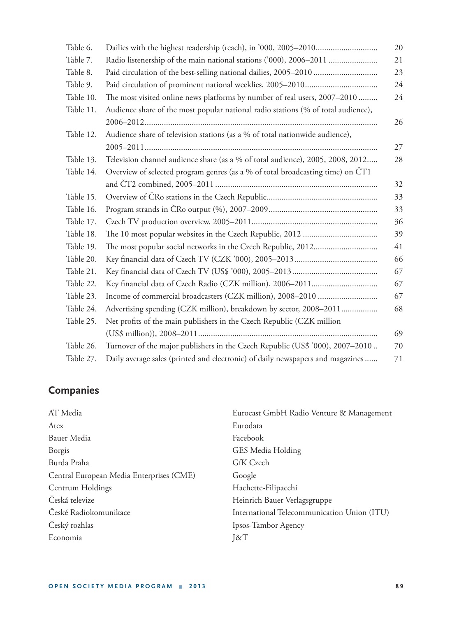| Table 6.  | 20                                                                                |    |  |
|-----------|-----------------------------------------------------------------------------------|----|--|
| Table 7.  | Radio listenership of the main national stations ('000), 2006–2011                |    |  |
| Table 8.  | Paid circulation of the best-selling national dailies, 2005-2010                  |    |  |
| Table 9.  |                                                                                   |    |  |
| Table 10. | The most visited online news platforms by number of real users, 2007-2010         |    |  |
| Table 11. | Audience share of the most popular national radio stations (% of total audience), |    |  |
|           |                                                                                   | 26 |  |
| Table 12. | Audience share of television stations (as a % of total nationwide audience),      |    |  |
|           |                                                                                   | 27 |  |
| Table 13. | Television channel audience share (as a % of total audience), 2005, 2008, 2012    |    |  |
| Table 14. | Overview of selected program genres (as a % of total broadcasting time) on ČT1    |    |  |
|           |                                                                                   | 32 |  |
| Table 15. |                                                                                   | 33 |  |
| Table 16. |                                                                                   | 33 |  |
| Table 17. |                                                                                   |    |  |
| Table 18. |                                                                                   |    |  |
| Table 19. | 41                                                                                |    |  |
| Table 20. |                                                                                   |    |  |
| Table 21. |                                                                                   |    |  |
| Table 22. |                                                                                   | 67 |  |
| Table 23. | 67                                                                                |    |  |
| Table 24. | Advertising spending (CZK million), breakdown by sector, 2008-2011                | 68 |  |
| Table 25. | Net profits of the main publishers in the Czech Republic (CZK million             |    |  |
|           |                                                                                   | 69 |  |
| Table 26. | Turnover of the major publishers in the Czech Republic (US\$ '000), 2007–2010     | 70 |  |
| Table 27. | Daily average sales (printed and electronic) of daily newspapers and magazines    | 71 |  |

# **Companies**

| AT Media                                 | Eurocast GmbH Radio Venture & Management    |
|------------------------------------------|---------------------------------------------|
| Atex                                     | Eurodata                                    |
| Bauer Media                              | Facebook                                    |
| Borgis                                   | GES Media Holding                           |
| Burda Praha                              | GfK Czech                                   |
| Central European Media Enterprises (CME) | Google                                      |
| Centrum Holdings                         | Hachette-Filipacchi                         |
| Česká televize                           | Heinrich Bauer Verlagsgruppe                |
| České Radiokomunikace                    | International Telecommunication Union (ITU) |
| Český rozhlas                            | Ipsos-Tambor Agency                         |
| Economia                                 | J&T                                         |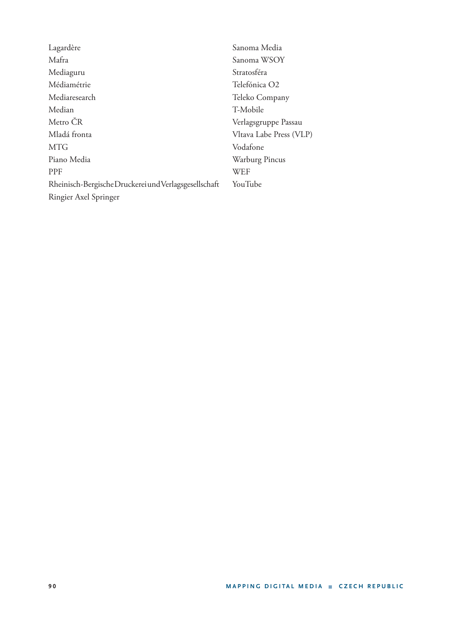Lagardère Mafra Mediaguru Médiamétrie Mediaresearch Median Metro ČR Mladá fronta MTG Piano Media PPF Rheinisch-Bergische Druckerei und Verlagsgesellschaft Ringier Axel Springer Sanoma Media Sanoma WSOY Stratosféra Telefónica O2 Teleko Company T-Mobile Verlagsgruppe Passau Vltava Labe Press (VLP) Vodafone Warburg Pincus WEF YouTube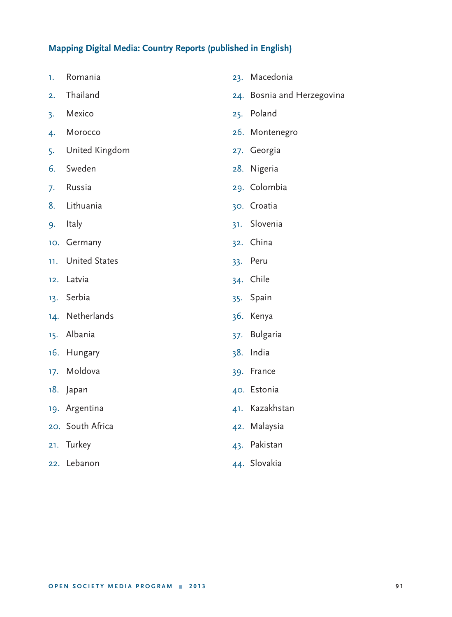#### **Mapping Digital Media: Country Reports (published in English)**

- 1. Romania
- 2. Thailand
- 3. Mexico
- 4. Morocco
- 5. United Kingdom
- 6. Sweden
- 7. Russia
- 8. Lithuania
- 9. Italy
- 10. Germany
- 11. United States
- 12. Latvia
- 13. Serbia
- 14. Netherlands
- 15. Albania
- 16. Hungary
- 17. Moldova
- 18. Japan
- 19. Argentina
- 20. South Africa
- 21. Turkey
- 22. Lebanon
- 23. Macedonia 24. Bosnia and Herzegovina 25. Poland 26. Montenegro 27. Georgia 28. Nigeria 29. Colombia 30. Croatia 31. Slovenia 32. China 33. Peru 34. Chile 35. Spain 36. Kenya 37. Bulgaria 38. India 39. France 40. Estonia 41. Kazakhstan 42. Malaysia
	- 43. Pakistan
	- 44. Slovakia